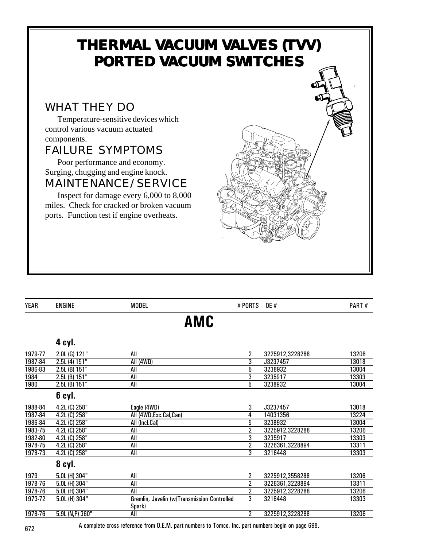### **THERMAL VACUUM VALVES (TVV) PORTED VACUUM SWITCHES** WHAT THEY DO Temperature-sensitive devices which control various vacuum actuated components. FAILURE SYMPTOMS Poor performance and economy. Surging, chugging and engine knock. MAINTENANCE/SERVICE Inspect for damage every 6,000 to 8,000 miles. Check for cracked or broken vacuum ports. Function test if engine overheats.

| <b>YEAR</b> | <b>ENGINE</b>     | <b>MODEL</b>                                | # PORTS        | <b>OE</b> #     | PART# |
|-------------|-------------------|---------------------------------------------|----------------|-----------------|-------|
|             |                   | AMC                                         |                |                 |       |
|             | 4 cyl.            |                                             |                |                 |       |
| 1979-77     | 2.0L (G) 121"     | All                                         | 2              | 3225912,3228288 | 13206 |
| 1987-84     | 2.5L (4) 151"     | All (4WD)                                   | $\overline{3}$ | J3237457        | 13018 |
| 1986-83     | $2.5L$ (B) $151"$ | All                                         | $\overline{5}$ | 3238932         | 13004 |
| 1984        | 2.5L (B) 151"     | All                                         | 3              | 3235917         | 13303 |
| 1980        | $2.5L$ (B) $151"$ | All                                         | $\overline{5}$ | 3238932         | 13004 |
|             | 6 cyl.            |                                             |                |                 |       |
| 1988-84     | 4.2L (C) 258"     | Eagle (4WD)                                 | 3              | J3237457        | 13018 |
| 1987-84     | 4.2L (C) 258"     | All (4WD, Exc. Cal, Can)                    | 4              | 14031356        | 13224 |
| 1986-84     | 4.2L (C) 258"     | All (Incl.Cal)                              | 5              | 3238932         | 13004 |
| 1983-75     | 4.2L (C) 258"     | All                                         | $\overline{2}$ | 3225912,3228288 | 13206 |
| 1982-80     | 4.2L (C) 258"     | All                                         | $\overline{3}$ | 3235917         | 13303 |
| 1978-75     | 4.2L (C) 258"     | All                                         | $\overline{2}$ | 3226361,3228894 | 13311 |
| 1978-73     | 4.2L (C) 258"     | All                                         | 3              | 3216448         | 13303 |
|             | 8 cyl.            |                                             |                |                 |       |
| 1979        | 5.0L (H) 304"     | All                                         | 2              | 3225912,3558288 | 13206 |
| 1978-76     | 5.0L (H) 304"     | All                                         | $\overline{2}$ | 3226361,3228894 | 13311 |
| 1978-76     | 5.0L (H) 304"     | All                                         | $\overline{2}$ | 3225912,3228288 | 13206 |
| 1973-72     | $5.0L$ (H) 304"   | Gremlin, Javelin (w/Transmission Controlled | 3              | 3216448         | 13303 |
|             |                   | Spark)                                      |                |                 |       |
| 1978-76     | 5.9L (N,P) 360"   | All                                         | 2              | 3225912,3228288 | 13206 |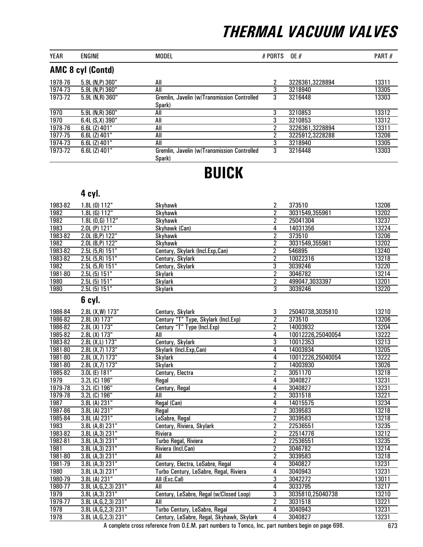| <b>YEAR</b> | <b>ENGINE</b>            | <b>MODEL</b>                                          | # PORTS OE # |                 | PART# |
|-------------|--------------------------|-------------------------------------------------------|--------------|-----------------|-------|
|             | <b>AMC 8 cyl (Contd)</b> |                                                       |              |                 |       |
| 1978-76     | $5.9L$ (N,P) $360"$      | All                                                   | 2            | 3226361,3228894 | 13311 |
| 1974-73     | 5.9L (N,P) 360"          | All                                                   | 3            | 3218940         | 13305 |
| 1973-72     | $5.9L$ (N,R) $360"$      | Gremlin, Javelin (w/Transmission Controlled           | 3            | 3216448         | 13303 |
|             |                          | Spark)                                                |              |                 |       |
| 1970        | $5.9L$ (N,R) $360"$      | All                                                   | 3            | 3210853         | 13312 |
| 1970        | $6.4L(S,X)$ 390"         | All                                                   | 3            | 3210853         | 13312 |
| 1978-76     | $6.6L$ (Z) $401"$        | All                                                   | າ            | 3226361,3228894 | 13311 |
| 1977-75     | $6.6L$ (Z) $401"$        | All                                                   | 2            | 3225912,3228288 | 13206 |
| 1974-73     | $6.6L$ (Z) $401"$        | All                                                   | 3            | 3218940         | 13305 |
| 1973-72     | $6.6L$ (Z) $401"$        | Gremlin, Javelin (w/Transmission Controlled<br>Spark) | 3            | 3216448         | 13303 |

### BUICK

### 4 cyl.

| 1983-82 | 1.8L (0) 112"       | Skyhawk                         | 2 | 373510         | 13206 |
|---------|---------------------|---------------------------------|---|----------------|-------|
| 1982    | $1.8L$ (G) $112"$   | Skyhawk                         |   | 3031549,355961 | 13202 |
| 1982    | 1.8L (0,G) 112"     | Skyhawk                         |   | 25041304       | 13237 |
| 1983    | $2.0L$ (P) 121"     | Skyhawk (Can)                   | 4 | 14031356       | 13224 |
| 1983-82 | $2.0L$ (B,P) $122"$ | Skyhawk                         |   | 373510         | 13206 |
| 1982    | 2.0L (B,P) 122"     | Skyhawk                         |   | 3031549,355961 | 13202 |
| 1983-82 | $2.5L(5,R)$ 151"    | Century, Skylark (Incl.Exp,Can) |   | 546895         | 13240 |
| 1983-82 | $2.5L(5,R)$ 151"    | Century, Skylark                | າ | 10022316       | 13218 |
| 1982    | $2.5L(5,R)$ 151"    | Century, Skylark                | 3 | 3039246        | 13220 |
| 1981-80 | 2.5L(5) 151"        | Skylark                         |   | 3046782        | 13214 |
| 1980    | 2.5L(5) 151"        | Skylark                         |   | 499047,3033397 | 13201 |
| 1980    | 2.5L(5) 151"        | Skylark                         | 3 | 3039246        | 13220 |

### 6 cyl.

| 1986-84 | 2.8L (X,W) 173"        | Century, Skylark                          | 3              | 25040738,3035810  | 13210 |
|---------|------------------------|-------------------------------------------|----------------|-------------------|-------|
| 1986-82 | 2.8L (X) 173"          | Century "T" Type, Skylark (Incl.Exp)      | 2              | 373510            | 13206 |
| 1986-82 | 2.8L (X) 173"          | Century "T" Type (Incl.Exp)               | $\overline{2}$ | 14003932          | 13204 |
| 1985-82 | 2.8L(X) 173"           | All                                       | 4              | 10012226,25040054 | 13222 |
| 1983-82 | 2.8L (X,L) 173"        | Century, Skylark                          | 3              | 10012353          | 13213 |
| 1981-80 | 2.8L $(X,7)$ 173"      | Skylark (Incl.Exp,Can)                    | 4              | 14003934          | 13205 |
| 1981-80 | 2.8L (X,7) 173"        | Skylark                                   | 4              | 10012226,25040054 | 13222 |
| 1981-80 | 2.8L (X,7) 173"        | Skylark                                   | $\overline{2}$ | 14003930          | 13026 |
| 1985-82 | 3.0L (E) 181"          | Century, Electra                          | $\overline{2}$ | 3051170           | 13218 |
| 1979    | 3.2L (C) 196"          | Regal                                     | 4              | 3040827           | 13231 |
| 1979-78 | 3.2L (C) 196"          | Century, Regal                            | 4              | 3040827           | 13231 |
| 1979-78 | 3.2L (C) 196"          | All                                       | $\overline{2}$ | 3031518           | 13221 |
| 1987    | 3.8L (A) 231"          | Regal (Can)                               | 4              | 14015575          | 13234 |
| 1987-86 | 3.8L (A) 231"          | Regal                                     | 2              | 3039583           | 13218 |
| 1985-84 | 3.8L(A) 231"           | LeSabre, Regal                            | 2              | 3039583           | 13218 |
| 1983    | 3.8L (A,8) 231"        | Century, Riviera, Skylark                 | 2              | 22536551          | 13235 |
| 1983-82 | 3.8L (A, 3) 231"       | Riviera                                   | 2              | 22514776          | 13212 |
| 1982-81 | 3.8L(A, 3) 231"        | Turbo Regal, Riviera                      | $\overline{2}$ | 22536551          | 13235 |
| 1981    | 3.8L (A,3) 231"        | Riviera (Incl.Can)                        | 2              | 3046782           | 13214 |
| 1981-80 | 3.8L (A, 3) 231"       | All                                       | 2              | 3039583           | 13218 |
| 1981-79 | 3.8L (A, 3) $231"$     | Century, Electra, LeSabre, Regal          | 4              | 3040827           | 13231 |
| 1980    | 3.8L (A, 3) 231"       | Turbo Century, LeSabre, Regal, Riviera    | 4              | 3040943           | 13231 |
| 1980-79 | 3.8L (A) 231"          | All (Exc.Cal)                             | $\overline{3}$ | 3042272           | 13011 |
| 1980-77 | 3.8L (A, G, 2, 3) 231" | All                                       | 4              | 3033795           | 13217 |
| 1979    | 3.8L (A, 3) 231"       | Century, LeSabre, Regal (w/Closed Loop)   | 3              | 3035810,25040738  | 13210 |
| 1979-77 | 3.8L (A, G, 2, 3) 231" | All                                       | $\overline{2}$ | 3031518           | 13221 |
| 1978    | 3.8L (A,G,2,3) 231"    | Turbo Century, LeSabre, Regal             | 4              | 3040943           | 13231 |
| 1978    | 3.8L (A,G,2,3) 231"    | Century, LeSabre, Regal, Skyhawk, Skylark | 4              | 3040827           | 13231 |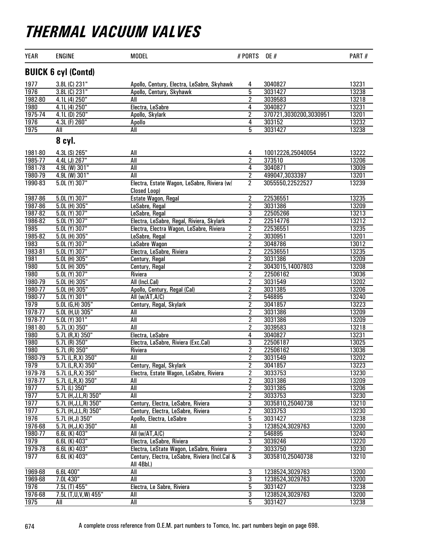| <b>YEAR</b> | <b>ENGINE</b>              | <b>MODEL</b>                                                 | # PORTS                 | <b>OE</b> #            | PART# |
|-------------|----------------------------|--------------------------------------------------------------|-------------------------|------------------------|-------|
|             | <b>BUICK 6 cyl (Contd)</b> |                                                              |                         |                        |       |
| 1977        | 3.8L (C) 231"              | Apollo, Century, Electra, LeSabre, Skyhawk                   | 4                       | 3040827                | 13231 |
| 1976        | 3.8L (C) 231"              | Apollo, Century, Skyhawk                                     | $\overline{5}$          | 3031427                | 13238 |
| 1982-80     | 4.1L (4) 250"              | All                                                          | $\overline{2}$          | 3039583                | 13218 |
| <b>1980</b> | 4.1L (4) 250"              | Electra, LeSabre                                             | 4                       | 3040827                | 13231 |
| 1975-74     | 4.1L (D) 250"              | Apollo, Skylark                                              | $\overline{2}$          | 370721,3030200,3030951 | 13201 |
| 1976        | 4.3L (F) 260"              | Apollo                                                       | 4                       | 303152                 | 13232 |
| 1975        | All                        | All                                                          | 5                       | 3031427                | 13238 |
|             | 8 cyl.                     |                                                              |                         |                        |       |
| 1981-80     | 4.3L (S) 265"              | All                                                          | $\overline{4}$          | 10012226,25040054      | 13222 |
| 1985-77     | 4.4L (J) 267"              | All                                                          | $\overline{2}$          | 373510                 | 13206 |
| 1981-78     | 4.9L (W) 301"              | All                                                          | 4                       | 3040871                | 13009 |
| 1980-79     | 4.9L (W) 301"              | All                                                          | $\overline{2}$          | 499047,3033397         | 13201 |
| 1990-83     | $5.0L$ (Y) 307"            | Electra, Estate Wagon, LeSabre, Riviera (w/<br>Closed Loop)  | $\overline{2}$          | 3055550,22522527       | 13239 |
| 1987-86     | 5.0L (Y) 307"              | Estate Wagon, Regal                                          | $\overline{2}$          | 22536551               | 13235 |
| 1987-86     | 5.0L (H) 305"              | LeSabre, Regal                                               | $\overline{2}$          | 3031386                | 13209 |
| 1987-82     | 5.0L (Y) 307"              | LeSabre, Regal                                               | 3                       | 22505266               | 13213 |
| 1986-82     | 5.0L (Y) 307"              | Electra, LeSabre, Regal, Riviera, Skylark                    | $\overline{2}$          | 22514776               | 13212 |
| 1985        | $5.0L$ (Y) 307"            | Electra, Electra Wagon, LeSabre, Riviera                     | 2                       | 22536551               | 13235 |
| 1985-82     | $5.0L$ (H) 305"            | LeSabre, Regal                                               | 2                       | 3030951                | 13201 |
| 1983        | 5.0L (Y) 307"              | LaSabre Wagon                                                | $\overline{2}$          | 3048786                | 13012 |
| 1983-81     | 5.0L (Y) 307"              | Electra, LeSabre, Riviera                                    | $\overline{2}$          | 22536551               | 13235 |
| 1981        | 5.0L (H) 305"              | Century, Regal                                               | $\overline{2}$          | 3031386                | 13209 |
| 1980        | 5.0L (H) 305"              | Century, Regal                                               | $\overline{2}$          | 3043015,14007803       | 13208 |
| 1980        | 5.0L (Y) 307"              | Riviera                                                      | $\overline{2}$          | 22506162               | 13036 |
| 1980-79     | $5.0L$ (H) 305"            | All (Incl.Cal)                                               | 2                       | 3031549                | 13202 |
| 1980-77     | 5.0L (H) 305"              | Apollo, Century, Regal (Cal)                                 | $\overline{2}$          | 3031385                | 13206 |
| 1980-77     | $5.0L$ (Y) 301"            | All (w/AT, A/C)                                              | $\overline{2}$          | 546895                 | 13240 |
| 1979        | 5.0L (G,H) 305"            | Century, Regal, Skylark                                      | $\overline{2}$          | 3041857                | 13223 |
| 1978-77     | 5.0L (H,U) 305"            | All                                                          | $\overline{2}$          | 3031386                | 13209 |
| 1978-77     | $5.0L(Y)$ 301"             | All                                                          | $\overline{2}$          | 3031386                | 13209 |
| 1981-80     | $5.7L(X)$ 350"             | All                                                          | 2                       | 3039583                | 13218 |
| 1980        | 5.7L(R,X)350"              | Electra, LeSabre                                             | 4                       | 3040827                | 13231 |
| 1980        | $5.7L(R)$ 350"             | Electra, LaSabre, Riviera (Exc.Cal)                          | $\overline{3}$          | 22506187               | 13025 |
| 1980        | $5.7L(R)$ 350"             | Riviera                                                      | $\overline{2}$          | 22506162               | 13036 |
| 1980-79     | 5.7L (L,R,X) 350"          | All                                                          | $\overline{2}$          | 3031549                | 13202 |
| 1979        | 5.7L (L,R,X) 350"          | Century, Regal, Skylark                                      | 2                       | 3041857                | 13223 |
| 1979-78     | $5.7L$ (L,R,X) 350"        | Electra, Estate Wagon, LeSabre, Riviera                      | 2                       | 3033753                | 13230 |
| 1978-77     | 5.7L (L,R,X) 350"          | All                                                          | $\overline{\mathbf{2}}$ | 3031386                | 13209 |
| 1977        | 5.7L (L) 350"              | All                                                          | $\overline{2}$          | 3031385                | 13206 |
| 1977        | 5.7L (H, J, L, R) 350"     | All                                                          | $\overline{2}$          | 3033753                | 13230 |
| 1977        | 5.7L (H, J, L, R) 350"     | Century, Electra, LeSabre, Riviera                           | 3                       | 3035810,25040738       | 13210 |
| 1977        | 5.7L (H, J, L, R) 350"     | Century, Electra, LeSabre, Riviera                           | 2                       | 3033753                | 13230 |
| 1976        | 5.7L (H, J) 350"           | Apollo, Electra, LeSabre                                     | 5                       | 3031427                | 13238 |
| 1976-68     | 5.7L (H, J, K) 350"        | All                                                          | 3                       | 1238524,3029763        | 13200 |
| 1980-77     | 6.6L (K) $403"$            | All (w/AT, A/C)                                              | 2                       | 546895                 | 13240 |
| 1979        | $6.6L$ (K) $403"$          | Electra, LeSabre, Riviera                                    | 3                       | 3039246                | 13220 |
| 1979-78     | 6.6L (K) 403"              | Electra, LeState Wagon, LeSabre, Riviera                     | $\overline{\mathbf{2}}$ | 3033750                | 13230 |
| 1977        | 6.6L (K) 403"              | Century, Electra, LeSabre, Riviera (Incl.Cal &<br>All 4Bbl.) | 3                       | 3035810,25040738       | 13210 |
| 1969-68     | 6.6L 400"                  | All                                                          | $\overline{3}$          | 1238524,3029763        | 13200 |
| 1969-68     | 7.0L 430"                  | All                                                          | $\overline{3}$          | 1238524,3029763        | 13200 |
| 1976        | 7.5L(T) 455"               | Electra, Le Sabre, Riviera                                   | 5                       | 3031427                | 13238 |
| 1976-68     | 7.5L (T,U,V,W) 455"        | All                                                          | 3                       | 1238524,3029763        | 13200 |
| 1975        | All                        | All                                                          | 5                       | 3031427                | 13238 |
|             |                            |                                                              |                         |                        |       |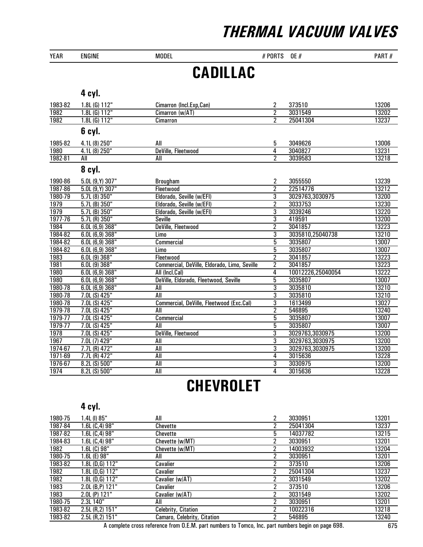| <b>YEAR</b> | <b>ENGINE</b>     | <b>MODEL</b>                                 | # PORTS        | <b>OE #</b>       | PART# |
|-------------|-------------------|----------------------------------------------|----------------|-------------------|-------|
|             |                   | <b>CADILLAC</b>                              |                |                   |       |
|             |                   |                                              |                |                   |       |
|             | 4 cyl.            |                                              |                |                   |       |
| 1983-82     | 1.8L (G) 112"     | Cimarron (Incl.Exp,Can)                      | $\overline{c}$ | 373510            | 13206 |
| 1982        | $1.8L$ (G) $112"$ | Cimarron (w/AT)                              | $\overline{2}$ | 3031549           | 13202 |
| 1982        | $1.8L$ (G) $112"$ | Cimarron                                     | $\overline{2}$ | 25041304          | 13237 |
|             | 6 cyl.            |                                              |                |                   |       |
| 1985-82     | 4.1L (8) 250"     | All                                          | 5              | 3049626           | 13006 |
| 1980        | 4.1L (8) 250"     | DeVille, Fleetwood                           | $\overline{4}$ | 3040827           | 13231 |
| 1982-81     | All               | All                                          | $\overline{2}$ | 3039583           | 13218 |
|             | 8 cyl.            |                                              |                |                   |       |
| 1990-86     | 5.0L (9, Y) 307"  | <b>Brougham</b>                              | 2              | 3055550           | 13239 |
| 1987-86     | $5.0L(9,Y)$ 307"  | Fleetwood                                    | $\overline{2}$ | 22514776          | 13212 |
| 1980-79     | 5.7L(8)350"       | Eldorado, Seville (w/EFI)                    | $\overline{3}$ | 3029763,3030975   | 13200 |
| 1979        | $5.7L$ (B) $350"$ | Eldorado, Seville (w/EFI)                    | $\overline{2}$ | 3033753           | 13230 |
| 1979        | $5.7L$ (B) $350"$ | Eldorado, Seville (w/EFI)                    | 3              | 3039246           | 13220 |
| 1977-76     | $5.7L(R)$ 350"    | <b>Seville</b>                               | $\overline{3}$ | 419591            | 13200 |
| 1984        | 6.0L(6,9)368"     | DeVille, Fleetwood                           | $\overline{2}$ | 3041857           | 13223 |
| 1984-82     | 6.0L(6,9)368"     | Limo                                         | $\overline{3}$ | 3035810,25040738  | 13210 |
| 1984-82     | 6.0L(6,9)368"     | Commercial                                   | $\overline{5}$ | 3035807           | 13007 |
| 1984-82     | 6.0L(6,9)368"     | <b>Limo</b>                                  | $\overline{5}$ | 3035807           | 13007 |
| 1983        | 6.0L(9)368"       | Fleetwood                                    | $\overline{2}$ | 3041857           | 13223 |
| 1981        | 6.0L(9)368"       | Commercial, DeVille, Eldorado, Limo, Seville | $\overline{2}$ | 3041857           | 13223 |
| 1980        | 6.0L(6,9)368"     | All (Incl.Cal)                               | 4              | 10012226,25040054 | 13222 |
| 1980        | 6.0L(6,9)368"     | DeVille, Eldorado, Fleetwood, Seville        | $\overline{5}$ | 3035807           | 13007 |
| 1980-78     | 6.0L(6,9)368"     | All                                          | $\overline{3}$ | 3035810           | 13210 |
| 1980-78     | 7.0L (S) 425"     | All                                          | $\overline{3}$ | 3035810           | 13210 |
| 1980-78     | 7.0L (S) 425"     | Commercial, DeVille, Fleetwood (Exc.Cal)     | $\overline{3}$ | 1613499           | 13027 |
| 1979-78     | 7.0L (S) 425"     | <b>All</b>                                   | $\overline{2}$ | 546895            | 13240 |
| 1979-77     | 7.0L (S) 425"     | Commercial                                   | $\overline{5}$ | 3035807           | 13007 |
| 1979-77     | 7.0L (S) 425"     | All                                          | 5              | 3035807           | 13007 |
| 1978        | 7.0L (S) 425"     | DeVille, Fleetwood                           | $\overline{3}$ | 3029763,3030975   | 13200 |
| 1967        | 7.0L (7) 429"     | <b>All</b>                                   | $\overline{3}$ | 3029763,3030975   | 13200 |
| 1974-67     | 7.7L (R) 472"     | <b>All</b>                                   | $\overline{3}$ | 3029763,3030975   | 13200 |
| 1971-69     | 7.7L (R) 472"     | All                                          | $\overline{4}$ | 3015636           | 13228 |
| 1976-67     | 8.2L (S) 500"     | All                                          | $\overline{3}$ | 3030975           | 13200 |
| 1974        | 8.2L (S) 500"     | <b>All</b>                                   | 4              | 3015636           | 13228 |

## **CHEVROLET**

#### 4 cyl.

| 1980-75 | 1.4L (I) 85"        | All                         | 2 | 3030951  | 13201 |
|---------|---------------------|-----------------------------|---|----------|-------|
| 1987-84 | 1.6L (C,4) 98"      | Chevette                    | 2 | 25041304 | 13237 |
| 1987-82 | 1.6L (C,4) 98"      | Chevette                    | 5 | 14037782 | 13215 |
| 1984-83 | 1.6L (C,4) 98"      | Chevette (w/MT)             | 2 | 3030951  | 13201 |
| 1982    | 1.6L (C) 98"        | Chevette (w/MT)             | 2 | 14003932 | 13204 |
| 1980-75 | 1.6L (E) 98"        | All                         | 2 | 3030951  | 13201 |
| 1983-82 | 1.8L (D,G) $112"$   | Cavalier                    | 2 | 373510   | 13206 |
| 1982    | 1.8L (D,G) 112"     | Cavalier                    | 2 | 25041304 | 13237 |
| 1982    | 1.8L (D,G) 112"     | Cavalier (w/AT)             | 2 | 3031549  | 13202 |
| 1983    | $2.0L$ (B,P) $121"$ | Cavalier                    | າ | 373510   | 13206 |
| 1983    | $2.0L$ (P) $121"$   | Cavalier (w/AT)             | າ | 3031549  | 13202 |
| 1980-75 | 2.3L 140"           | All                         | 2 | 3030951  | 13201 |
| 1983-82 | 2.5L(R,2) 151       | Celebrity, Citation         | 2 | 10022316 | 13218 |
| 1983-82 | 2.5L (R, 2) 151"    | Camaro, Celebrity, Citation | 2 | 546895   | 13240 |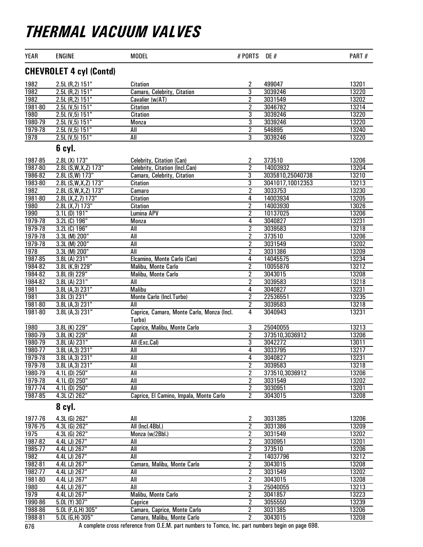| <b>YEAR</b> | <b>ENGINE</b>                  | <b>MODEL</b>                                         | # PORTS        | <b>OE</b> #      | PART# |
|-------------|--------------------------------|------------------------------------------------------|----------------|------------------|-------|
|             | <b>CHEVROLET 4 cyl (Contd)</b> |                                                      |                |                  |       |
| 1982        | 2.5L (R, 2) 151"               | Citation                                             | 2              | 499047           | 13201 |
| 1982        | 2.5L (R,2) 151"                | Camaro, Celebrity, Citation                          | $\overline{3}$ | 3039246          | 13220 |
| 1982        | 2.5L (R,2) 151"                | Cavalier (w/AT)                                      | $\overline{2}$ | 3031549          | 13202 |
| 1981-80     | 2.5L (V, 5) 151"               | <b>Citation</b>                                      | $\overline{2}$ | 3046782          | 13214 |
| 1980        | 2.5L (V, 5) 151"               | <b>Citation</b>                                      | $\overline{3}$ | 3039246          | 13220 |
| 1980-79     | 2.5L (V, 5) 151"               | <b>Monza</b>                                         | $\overline{3}$ | 3039246          | 13220 |
| 1979-78     | 2.5L (V, 5) 151"               | All                                                  | $\overline{2}$ | 546895           | 13240 |
| 1978        | 2.5L (V, 5) 151"               | All                                                  | $\overline{3}$ | 3039246          | 13220 |
|             | 6 cyl.                         |                                                      |                |                  |       |
| 1987-85     | 2.8L (X) 173"                  | <b>Celebrity, Citation (Can)</b>                     | 2              | 373510           | 13206 |
| 1987-80     | 2.8L (S, W, X, Z) 173"         | Celebrity, Citation (Incl.Can)                       | $\overline{2}$ | 14003932         | 13204 |
| 1986-82     | 2.8L (S, W) 173"               | Camaro, Celebrity, Citation                          | 3              | 3035810,25040738 | 13210 |
| 1983-80     | 2.8L (S, W, X, Z) 173"         | <b>Citation</b>                                      | $\overline{3}$ | 3041017,10012353 | 13213 |
| 1982        | 2.8L (S, W, X, Z) 173"         | Camaro                                               | $\overline{2}$ | 3033753          | 13230 |
| 1981-80     | 2.8L (X, Z, 7) 173"            | <b>Citation</b>                                      | 4              | 14003934         | 13205 |
| 1980        | 2.8L (X, 7) 173"               | <b>Citation</b>                                      | $\overline{2}$ | 14003930         | 13026 |
| 1990        | $3.1L$ (D) $191"$              | <b>Lumina APV</b>                                    | $\overline{2}$ | 10137025         | 13206 |
| 1979-78     | 3.2L (C) 196"                  | <b>Monza</b>                                         | 4              | 3040827          | 13231 |
| 1979-78     | 3.2L (C) 196"                  | All                                                  | $\overline{2}$ | 3039583          | 13218 |
| 1979-78     | 3.3L (M) 200"                  | All                                                  | $\overline{2}$ | 373510           | 13206 |
| 1979-78     | 3.3L (M) 200"                  | All                                                  | $\overline{2}$ | 3031549          | 13202 |
| 1978        | 3.3L (M) 200"                  | All                                                  | $\overline{2}$ | 3031386          | 13209 |
| 1987-85     | 3.8L (A) 231"                  | Elcamino, Monte Carlo (Can)                          | $\overline{4}$ | 14045575         | 13234 |
| 1984-82     | 3.8L (K,9) 229"                | <b>Malibu, Monte Carlo</b>                           | $\overline{2}$ | 10055876         | 13212 |
| 1984-82     | 3.8L (9) 229"                  | Malibu, Monte Carlo                                  | $\overline{2}$ | 3043015          | 13208 |
| 1984-82     | 3.8L(A) 231"                   | $\overline{All}$                                     | $\overline{2}$ | 3039583          | 13218 |
| 1981        | 3.8L (A, 3) 231"               | <b>Malibu</b>                                        | 4              | 3040827          | 13231 |
| 1981        | $3.8L(3)$ 231"                 | Monte Carlo (Incl. Turbo)                            | $\overline{2}$ | 22536551         | 13235 |
| 1981-80     | 3.8L (A, 3) 231"               | All                                                  | $\overline{2}$ | 3039583          | 13218 |
| 1981-80     | 3.8L(A,3) 231"                 | Caprice, Camaro, Monte Carlo, Monza (Incl.<br>Turbo) | 4              | 3040943          | 13231 |
| <b>1980</b> | 3.8L (K) 229"                  | Caprice, Malibu, Monte Carlo                         | 3              | 25040055         | 13213 |
| 1980-79     | 3.8L (K) 229"                  | All                                                  | $\overline{2}$ | 373510,3036912   | 13206 |
| 1980-79     | 3.8L (A) 231"                  | All (Exc.Cal)                                        | $\overline{3}$ | 3042272          | 13011 |
| 1980-77     | 3.8L (A, 3) 231"               | All                                                  | 4              | 3033795          | 13217 |
| 1979-78     | 3.8L (A, 3) 231"               | All                                                  | 4              | 3040827          | 13231 |
| 1979-78     | 3.8L(A,3) 231"                 | All                                                  | $\overline{c}$ | 3039583          | 13218 |
| 1980-79     | $4.1L$ (D) $250"$              | $\overline{All}$                                     | $\overline{2}$ | 373510,3036912   | 13206 |
| 1979-78     | 4.1L (D) 250"                  | All                                                  | $\overline{2}$ | 3031549          | 13202 |
| 1977-74     | 4.1L (D) 250"                  | $\overline{All}$                                     | $\overline{c}$ | 3030951          | 13201 |
| 1987-85     | 4.3L (Z) 262"                  | Caprice, El Camino, Impala, Monte Carlo              | 2              | 3043015          | 13208 |
|             | 8 cyl.                         |                                                      |                |                  |       |
| 1977-76     | 4.3L (G) 262"                  | All                                                  | 2              | 3031385          | 13206 |
| 1976-75     | 4.3L (G) 262"                  | All (Incl.4Bbl.)                                     | $\overline{2}$ | 3031386          | 13209 |
| 1975        | 4.3L (G) 262"                  | Monza (w/2Bbl.)                                      | $\overline{2}$ | 3031549          | 13202 |
| 1987-82     | 4.4L (J) 267"                  | All                                                  | $\overline{2}$ | 3030951          | 13201 |
| 1985-77     | 4.4L (J) 267"                  | All                                                  | $\overline{2}$ | 373510           | 13206 |
| 1982        | 4.4L (J) 267"                  | All                                                  | 2              | 14037796         | 13212 |
| 1982-81     | 4.4L (J) 267"                  | Camaro, Malibu, Monte Carlo                          | 2              | 3043015          | 13208 |
| 1982-77     | 4.4L (J) 267"                  | All                                                  | $\overline{2}$ | 3031549          | 13202 |
| 1981-80     | 4.4L (J) 267"                  | $\overline{All}$                                     | $\overline{2}$ | 3043015          | 13208 |
| 1980        | 4.4L (J) 267"                  | All                                                  | $\overline{3}$ | 25040055         | 13213 |
| 1979        | 4.4L (J) 267"                  | Malibu, Monte Carlo                                  | $\overline{2}$ | 3041857          | 13223 |
| 1990-86     | 5.0L (Y) 307"                  | Caprice                                              | 2              | 3055550          | 13239 |
| 1988-86     | 5.0L (F,G,H) 305"              | Camaro, Caprice, Monte Carlo                         | 2              | 3031385          | 13206 |
| 1988-81     | $5.0L$ (G,H) $305"$            | Camaro, Malibu, Monte Carlo                          | $\overline{2}$ | 3043015          | 13208 |
|             |                                |                                                      |                |                  |       |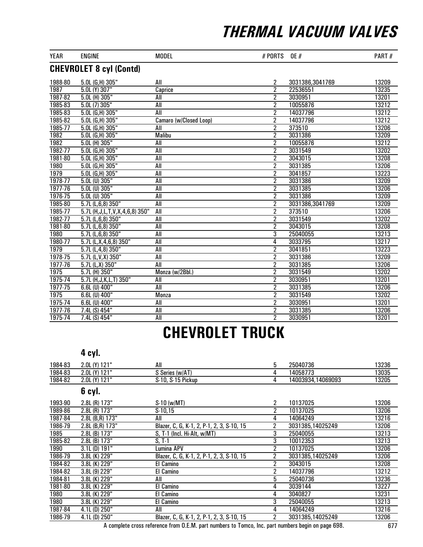| <b>YEAR</b> | <b>ENGINE</b>                         | <b>MODEL</b>           | # PORTS        | <b>OE</b> #     | PART# |  |  |  |  |
|-------------|---------------------------------------|------------------------|----------------|-----------------|-------|--|--|--|--|
|             | <b>CHEVROLET 8 cyl (Contd)</b>        |                        |                |                 |       |  |  |  |  |
| 1988-80     | 5.0L (G,H) 305"                       | All                    | 2              | 3031386,3041769 | 13209 |  |  |  |  |
| 1987        | $5.0L$ (Y) 307"                       | Caprice                | $\overline{2}$ | 22536551        | 13235 |  |  |  |  |
| 1987-82     | 5.0L (H) 305"                         | All                    | $\overline{2}$ | 3030951         | 13201 |  |  |  |  |
| 1985-83     | 5.0L(7)305"                           | All                    | $\overline{2}$ | 10055876        | 13212 |  |  |  |  |
| 1985-83     | $5.0L$ (G, H) $305"$                  | All                    | $\overline{2}$ | 14037796        | 13212 |  |  |  |  |
| 1985-82     | 5.0L (G,H) 305"                       | Camaro (w/Closed Loop) | $\overline{2}$ | 14037796        | 13212 |  |  |  |  |
| 1985-77     | 5.0L (G,H) 305"                       | All                    | $\overline{2}$ | 373510          | 13206 |  |  |  |  |
| 1982        | 5.0L (G,H) 305"                       | <b>Malibu</b>          | 2              | 3031386         | 13209 |  |  |  |  |
| 1982        | 5.0L (H) 305"                         | All                    | $\overline{2}$ | 10055876        | 13212 |  |  |  |  |
| 1982-77     | $5.0L$ (G, H) 305"                    | All                    | $\overline{2}$ | 3031549         | 13202 |  |  |  |  |
| 1981-80     | 5.0L (G,H) 305"                       | All                    | $\overline{2}$ | 3043015         | 13208 |  |  |  |  |
| 1980        | 5.0L (G,H) 305"                       | <b>All</b>             | $\overline{2}$ | 3031385         | 13206 |  |  |  |  |
| 1979        | 5.0L (G,H) 305"                       | All                    | $\overline{2}$ | 3041857         | 13223 |  |  |  |  |
| 1978-77     | $5.0L$ (U) $305"$                     | All                    | $\overline{2}$ | 3031386         | 13209 |  |  |  |  |
| 1977-76     | $5.0L$ (U) $305"$                     | All                    | $\overline{2}$ | 3031385         | 13206 |  |  |  |  |
| 1976-75     | $5.0L$ (U) $305"$                     | All                    | $\overline{2}$ | 3031386         | 13209 |  |  |  |  |
| 1985-80     | 5.7L (L,6,8) 350"                     | All                    | $\overline{2}$ | 3031386,3041769 | 13209 |  |  |  |  |
| 1985-77     | 5.7L (H, J, L, T, V, X, 4, 6, 8) 350" | All                    | $\overline{2}$ | 373510          | 13206 |  |  |  |  |
| 1982-77     | 5.7L (L,6,8) 350"                     | All                    | 2              | 3031549         | 13202 |  |  |  |  |
| 1981-80     | 5.7L (L,6,8) 350"                     | All                    | $\overline{2}$ | 3043015         | 13208 |  |  |  |  |
| 1980        | 5.7L (L,6,8) 350"                     | All                    | 3              | 25040055        | 13213 |  |  |  |  |
| 1980-77     | 5.7L (L, X, 4, 6, 8) 350"             | All                    | $\overline{4}$ | 3033795         | 13217 |  |  |  |  |
| 1979        | $5.7L(L, 4, 8)$ 350"                  | <b>All</b>             | $\overline{2}$ | 3041851         | 13223 |  |  |  |  |
| 1978-75     | $5.7L$ (L,V,X) 350"                   | All                    | $\overline{2}$ | 3031386         | 13209 |  |  |  |  |
| 1977-76     | $5.7L(L,X)$ 350"                      | $\overline{All}$       | $\overline{2}$ | 3031385         | 13206 |  |  |  |  |
| 1975        | 5.7L (H) 350"                         | Monza (w/2Bbl.)        | $\overline{2}$ | 3031549         | 13202 |  |  |  |  |
| $1975 - 74$ | 5.7L (H, J, K, L, T) 350"             | All                    | $\overline{2}$ | 3030951         | 13201 |  |  |  |  |
| 1977-75     | 6.6L (U) 400"                         | All                    | $\overline{2}$ | 3031385         | 13206 |  |  |  |  |
| 1975        | 6.6L (U) 400"                         | <b>Monza</b>           | $\overline{2}$ | 3031549         | 13202 |  |  |  |  |
| $1975 - 74$ | 6.6L (U) 400"                         | All                    | 2              | 3030951         | 13201 |  |  |  |  |
| 1977-76     | 7.4L (S) 454"                         | All                    | $\overline{2}$ | 3031385         | 13206 |  |  |  |  |
| 1975-74     | 7.4L (S) 454"                         | All                    | $\overline{2}$ | 3030951         | 13201 |  |  |  |  |

## CHEVROLET TRUCK

#### 4 cyl.

| 1984-83 | 2.0L (Y) 121"     | All                                       | 5 | 25040736          | 13236 |
|---------|-------------------|-------------------------------------------|---|-------------------|-------|
| 1984-83 | 2.0L (Y) 121"     | S Series (w/AT)                           | 4 | 14058773          | 13035 |
| 1984-82 | 2.0L (Y) 121"     | S-10, S-15 Pickup                         | 4 | 14003934,14069093 | 13205 |
|         | 6 cyl.            |                                           |   |                   |       |
| 1993-90 | 2.8L (R) 173"     | $S-10$ (w/MT)                             | 2 | 10137025          | 13206 |
| 1989-86 | 2.8L (R) 173"     | $S-10,15$                                 | 2 | 10137025          | 13206 |
| 1987-84 | 2.8L (B,R) 173"   | All                                       | 4 | 14064249          | 13216 |
| 1986-79 | 2.8L (B,R) 173"   | Blazer, C, G, K-1, 2, P-1, 2, 3, S-10, 15 | 2 | 3031385,14025249  | 13206 |
| 1985    | 2.8L (B) 173"     | S, T-1 (Incl. Hi-Alt, w/MT)               | 3 | 25040055          | 13213 |
| 1985-82 | $2.8L$ (B) $173"$ | S, T-1                                    | 3 | 10012353          | 13213 |
| 1990    | $3.1L$ (D) $191"$ | <b>Lumina APV</b>                         | 2 | 10137025          | 13206 |
| 1986-79 | 3.8L (K) 229"     | Blazer, C, G, K-1, 2, P-1, 2, 3, S-10, 15 | 2 | 3031385,14025249  | 13206 |
| 1984-82 | 3.8L (K) 229"     | El Camino                                 | 2 | 3043015           | 13208 |
| 1984-82 | 3.8L (9) 229"     | El Camino                                 | 2 | 14037796          | 13212 |
| 1984-81 | 3.8L (K) 229"     | All                                       | 5 | 25040736          | 13236 |
| 1981-80 | 3.8L (K) 229"     | El Camino                                 | 4 | 3039144           | 13227 |
| 1980    | 3.8L (K) 229"     | El Camino                                 | 4 | 3040827           | 13231 |
| 1980    | 3.8L (K) 229"     | El Camino                                 | 3 | 25040055          | 13213 |
| 1987-84 | 4.1L (D) 250"     | All                                       | 4 | 14064249          | 13216 |
| 1986-79 | 4.1L (D) 250"     | Blazer, C, G, K-1, 2, P-1, 2, 3, S-10, 15 | 2 | 3031385,14025249  | 13206 |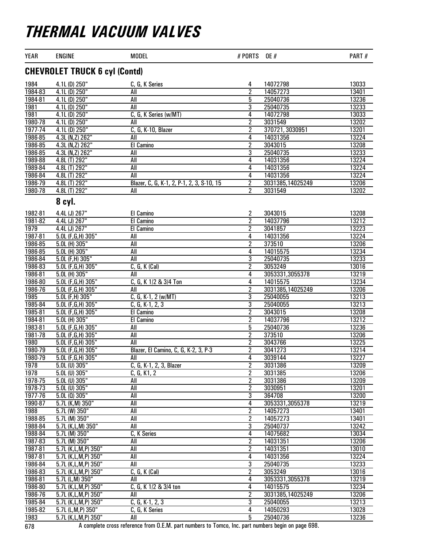| YEAR    | <b>ENGINE</b>                        | <b>MODEL</b>                              | # PORTS                 | <b>OE</b> #      | PART# |  |  |  |  |
|---------|--------------------------------------|-------------------------------------------|-------------------------|------------------|-------|--|--|--|--|
|         | <b>CHEVROLET TRUCK 6 cyl (Contd)</b> |                                           |                         |                  |       |  |  |  |  |
| 1984    | 4.1L (D) 250"                        | C, G, K Series                            | 4                       | 14072798         | 13033 |  |  |  |  |
| 1984-83 | $4.1L$ (D) $250"$                    | All                                       | $\overline{2}$          | 14057273         | 13401 |  |  |  |  |
| 1984-81 | 4.1L (D) 250"                        | All                                       | 5                       | 25040736         | 13236 |  |  |  |  |
| 1981    | 4.1L(D) 250"                         | All                                       | 3                       | 25040735         | 13233 |  |  |  |  |
| 1981    | $4.1L$ (D) $250"$                    | C, G, K Series (w/MT)                     | 4                       | 14072798         | 13033 |  |  |  |  |
| 1980-78 | $4.1L$ (D) $250"$                    | All                                       | $\overline{2}$          | 3031549          | 13202 |  |  |  |  |
| 1977-74 | 4.1L(D) 250"                         | $C, G, K-10, Blazer$                      | $\overline{2}$          | 370721, 3030951  | 13201 |  |  |  |  |
| 1986-85 | 4.3L (N,Z) 262"                      | All                                       | 4                       | 14031356         | 13224 |  |  |  |  |
| 1986-85 | 4.3L (N,Z) 262"                      | <b>El Camino</b>                          | $\overline{2}$          | 3043015          | 13208 |  |  |  |  |
| 1986-85 | 4.3L (N,Z) 262"                      | All                                       | 3                       | 25040735         | 13233 |  |  |  |  |
| 1989-88 | 4.8L (T) 292"                        | All                                       | 4                       | 14031356         | 13224 |  |  |  |  |
| 1989-84 | 4.8L (T) 292"                        | All                                       | 4                       | 14031356         | 13224 |  |  |  |  |
| 1986-84 | 4.8L (T) 292"                        | All                                       | 4                       | 14031356         | 13224 |  |  |  |  |
| 1986-79 | 4.8L (T) 292"                        | Blazer, C, G, K-1, 2, P-1, 2, 3, S-10, 15 | 2                       | 3031385,14025249 | 13206 |  |  |  |  |
| 1980-78 | 4.8L (T) 292"                        | All                                       | 2                       | 3031549          | 13202 |  |  |  |  |
|         | 8 cyl.                               |                                           |                         |                  |       |  |  |  |  |
| 1982-81 | 4.4L (J) 267"                        | El Camino                                 | 2                       | 3043015          | 13208 |  |  |  |  |
| 1981-82 | 4.4L (J) 267"                        | El Camino                                 | $\overline{2}$          | 14037796         | 13212 |  |  |  |  |
| 1979    | 4.4L (J) 267"                        | El Camino                                 | 2                       | 3041857          | 13223 |  |  |  |  |
| 1987-81 | 5.0L (F, G, H) 305"                  | All                                       | 4                       | 14031356         | 13224 |  |  |  |  |
| 1986-85 | 5.0L (H) 305"                        | All                                       | $\overline{2}$          | 373510           | 13206 |  |  |  |  |
| 1986-85 | 5.0L (H) 305"                        | $\overline{All}$                          | 4                       | 14015575         | 13234 |  |  |  |  |
| 1986-84 | $5.0L$ (F,H) $305"$                  | All                                       | 3                       | 25040735         | 13233 |  |  |  |  |
| 1986-83 | 5.0L (F,G,H) 305"                    | $C, G, K$ (Cal)                           | $\overline{2}$          | 3053249          | 13016 |  |  |  |  |
| 1986-81 | 5.0L (H) 305"                        | All                                       | 4                       | 3053331,3055378  | 13219 |  |  |  |  |
| 1986-80 | 5.0L (F,G,H) 305"                    | C, G, K 1/2 & 3/4 Ton                     | 4                       | 14015575         | 13234 |  |  |  |  |
| 1986-76 | 5.0L (F,G,H) 305"                    | All                                       | $\overline{2}$          | 3031385,14025249 | 13206 |  |  |  |  |
| 1985    | 5.0L (F,H) 305"                      | $C, G, K-1, 2 (w/MT)$                     | $\overline{3}$          | 25040055         | 13213 |  |  |  |  |
| 1985-84 | 5.0L (F, G, H) 305"                  | $C, G, K-1, 2, 3$                         | $\overline{3}$          | 25040055         | 13213 |  |  |  |  |
| 1985-81 | 5.0L (F,G,H) 305"                    | El Camino                                 | $\overline{2}$          | 3043015          | 13208 |  |  |  |  |
| 1984-81 | 5.0L (H) 305"                        | El Camino                                 | 2                       | 14037796         | 13212 |  |  |  |  |
| 1983-81 | 5.0L (F,G,H) 305"                    | All                                       | 5                       | 25040736         | 13236 |  |  |  |  |
| 1981-78 | 5.0L (F,G,H) 305"                    | All                                       | $\overline{2}$          | 373510           | 13206 |  |  |  |  |
| 1980    | 5.0L (F,G,H) 305"                    | All                                       | $\overline{2}$          | 3043766          | 13225 |  |  |  |  |
| 1980-79 | 5.0L (F,G,H) 305"                    | Blazer, El Camino, C, G, K-2, 3, P-3      | $\overline{2}$          | 3041273          | 13214 |  |  |  |  |
| 1980-79 | 5.0L (F,G,H) 305"                    | All                                       | 4                       | 3039144          | 13227 |  |  |  |  |
| 1978    | 5.0L (U) 305"                        | C, G, K-1, 2, 3, Blazer                   | 2                       | 3031386          | 13209 |  |  |  |  |
| 1978    | 5.0L (U) 305"                        | C, G, K1, 2                               | 2                       | 3031385          | 13206 |  |  |  |  |
| 1978-75 | 5.0L (U) 305"                        | All                                       | $\overline{\mathbf{2}}$ | 3031386          | 13209 |  |  |  |  |
| 1978-73 | $5.0L$ (U) $305"$                    | All                                       | $\overline{2}$          | 3030951          | 13201 |  |  |  |  |
| 1977-76 | $5.0L(0)$ 305"                       | $\overline{All}$                          | 3                       | 364708           | 13200 |  |  |  |  |
| 1990-87 | 5.7L (K,M) 350"                      | All                                       | 4                       | 3053331,3055378  | 13219 |  |  |  |  |
| 1988    | 5.7L (W) 350"                        | All                                       | 2                       | 14057273         | 13401 |  |  |  |  |
| 1988-85 | 5.7L (M) 350"                        | All                                       | 2                       | 14057273         | 13401 |  |  |  |  |
| 1988-84 | 5.7L (K,L,M) 350"                    | All                                       | $\overline{3}$          | 25040737         | 13242 |  |  |  |  |
| 1988-84 | 5.7L (M) 350"                        | C, K Series                               | 4                       | 14075682         | 13034 |  |  |  |  |
| 1987-83 | 5.7L (M) 350"                        | All                                       | 2                       | 14031351         | 13206 |  |  |  |  |
| 1987-81 | 5.7L (K, L, M, P) 350"               | All                                       | $\overline{2}$          | 14031351         | 13010 |  |  |  |  |
| 1987-81 | 5.7L (K,L,M,P) 350"                  | All                                       | 4                       | 14031356         | 13224 |  |  |  |  |
| 1986-84 | 5.7L (K,L,M,P) 350"                  | All                                       | 3                       | 25040735         | 13233 |  |  |  |  |
| 1986-83 | 5.7L (K,L,M,P) 350"                  | C, G, K (Cal)                             | $\overline{2}$          | 3053249          | 13016 |  |  |  |  |
| 1986-81 | 5.7L (L,M) 350"                      | All                                       | 4                       | 3053331,3055378  | 13219 |  |  |  |  |
| 1986-80 | 5.7L (K,L,M,P) 350"                  | C, G, K 1/2 & 3/4 ton                     | 4                       | 14015575         | 13234 |  |  |  |  |
| 1986-76 | 5.7L (K,L,M,P) 350"                  | All                                       | $\overline{2}$          | 3031385,14025249 | 13206 |  |  |  |  |
| 1985-84 | 5.7L (K, L, M, P) 350"               | $C, G, K-1, 2, 3$                         | 3                       | 25040055         | 13213 |  |  |  |  |
| 1985-82 | 5.7L (L,M,P) 350"                    | C, G, K Series                            | 4                       | 14050293         | 13028 |  |  |  |  |
| 1983    | 5.7L (K,L,M,P) 350"                  | All                                       | $\overline{5}$          | 25040736         | 13236 |  |  |  |  |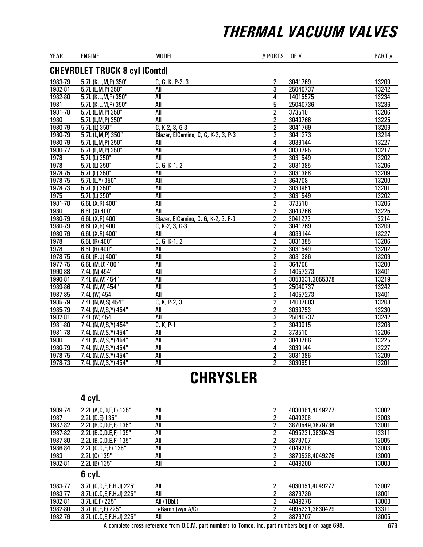| <b>YEAR</b>                          | <b>ENGINE</b>          | <b>MODEL</b>                        | # PORTS        | <b>OE#</b>      | PART# |  |  |  |
|--------------------------------------|------------------------|-------------------------------------|----------------|-----------------|-------|--|--|--|
| <b>CHEVROLET TRUCK 8 cyl (Contd)</b> |                        |                                     |                |                 |       |  |  |  |
| 1983-79                              | 5.7L (K,L,M,P) 350"    | C, G, K, P-2, 3                     | $\overline{2}$ | 3041769         | 13209 |  |  |  |
| 1982-81                              | 5.7L (L,M,P) 350"      | All                                 | $\overline{3}$ | 25040737        | 13242 |  |  |  |
| 1982-80                              | 5.7L (K,L,M,P) 350"    | All                                 | 4              | 14015575        | 13234 |  |  |  |
| 1981                                 | 5.7L (K,L,M,P) 350"    | All                                 | $\overline{5}$ | 25040736        | 13236 |  |  |  |
| 1981-78                              | 5.7L (L,M,P) 350"      | All                                 | $\overline{2}$ | 373510          | 13206 |  |  |  |
| 1980                                 | 5.7L (L,M,P) 350"      | All                                 | $\overline{2}$ | 3043766         | 13225 |  |  |  |
| 1980-79                              | 5.7L (L) 350"          | $C, K-2, 3, G-3$                    | $\overline{2}$ | 3041769         | 13209 |  |  |  |
| 1980-79                              | 5.7L (L,M,P) 350"      | Blazer, ElCamino, C, G, K-2, 3, P-3 | $\overline{2}$ | 3041273         | 13214 |  |  |  |
| 1980-79                              | 5.7L (L,M,P) 350"      | All                                 | $\overline{4}$ | 3039144         | 13227 |  |  |  |
| 1980-77                              | 5.7L (L,M,P) 350"      | All                                 | 4              | 3033795         | 13217 |  |  |  |
| 1978                                 | 5.7L (L) 350"          | All                                 | $\overline{2}$ | 3031549         | 13202 |  |  |  |
| 1978                                 | $5.7L$ (L) $350"$      | $C, G, K-1, 2$                      | $\overline{2}$ | 3031385         | 13206 |  |  |  |
| 1978-75                              | 5.7L (L) 350"          | All                                 | $\overline{2}$ | 3031386         | 13209 |  |  |  |
| 1978-75                              | $5.7L(L,Y)$ 350"       | All                                 | $\overline{3}$ | 364708          | 13200 |  |  |  |
| 1978-73                              | 5.7L (L) 350"          | All                                 | $\overline{2}$ | 3030951         | 13201 |  |  |  |
| 1975                                 | 5.7L (L) 350"          | All                                 | $\overline{2}$ | 3031549         | 13202 |  |  |  |
| 1981-78                              | $6.6L(X,R)$ 400"       | All                                 | $\overline{2}$ | 373510          | 13206 |  |  |  |
| 1980                                 | $6.6L(X)$ 400"         | All                                 | $\overline{2}$ | 3043766         | 13225 |  |  |  |
| 1980-79                              | $6.6L(X,R)$ 400"       | Blazer, ElCamino, C, G, K-2, 3, P-3 | $\overline{2}$ | 3041273         | 13214 |  |  |  |
| 1980-79                              | $6.6L(X,R)$ 400"       | $C, K-2, 3, G-3$                    | $\overline{2}$ | 3041769         | 13209 |  |  |  |
| 1980-79                              | $6.6L(X,R)$ 400"       | All                                 | 4              | 3039144         | 13227 |  |  |  |
| 1978                                 | $6.6L$ (R) $400"$      | $C, G, K-1, 2$                      | $\overline{2}$ | 3031385         | 13206 |  |  |  |
| 1978                                 | $6.6L$ (R) $400"$      | All                                 | $\overline{2}$ | 3031549         | 13202 |  |  |  |
| 1978-75                              | 6.6L (R,U) 400"        | All                                 | $\overline{2}$ | 3031386         | 13209 |  |  |  |
| 1977-75                              | 6.6L (M, U) 400"       | <b>All</b>                          | 3              | 364708          | 13200 |  |  |  |
| 1990-88                              | 7.4L (N) 454"          | All                                 | $\overline{2}$ | 14057273        | 13401 |  |  |  |
| 1990-81                              | 7.4L (N, W) 454"       | All                                 | $\overline{4}$ | 3053331,3055378 | 13219 |  |  |  |
| 1989-86                              | 7.4L (N, W) 454"       | <b>All</b>                          | 3              | 25040737        | 13242 |  |  |  |
| 1987-85                              | 7.4L (W) 454"          | All                                 | $\overline{2}$ | 14057273        | 13401 |  |  |  |
| 1985-79                              | 7.4L (N, W, S) 454"    | $C, K, P-2, 3$                      | $\overline{2}$ | 14007803        | 13208 |  |  |  |
| 1985-79                              | 7.4L (N, W, S, Y) 454" | All                                 | $\overline{2}$ | 3033753         | 13230 |  |  |  |
| 1982-81                              | 7.4L (W) 454"          | All                                 | $\overline{3}$ | 25040737        | 13242 |  |  |  |
| 1981-80                              | 7.4L (N, W, S, Y) 454" | $C, K, P-1$                         | $\overline{2}$ | 3043015         | 13208 |  |  |  |
| 1981-78                              | 7.4L (N, W, S, Y) 454" | All                                 | $\overline{2}$ | 373510          | 13206 |  |  |  |
| 1980                                 | 7.4L (N, W, S, Y) 454" | All                                 | $\overline{2}$ | 3043766         | 13225 |  |  |  |
| 1980-79                              | 7.4L (N, W, S, Y) 454" | All                                 | 4              | 3039144         | 13227 |  |  |  |
| 1978-75                              | 7.4L (N, W, S, Y) 454" | <b>All</b>                          | $\overline{2}$ | 3031386         | 13209 |  |  |  |
| 1978-73                              | 7.4L (N, W, S, Y) 454" | All                                 | $\overline{2}$ | 3030951         | 13201 |  |  |  |

## **CHRYSLER**

### 4 cyl.

| 1989-74 | 2.2L (A, C, D, E, F) 135" | All |         | 13002<br>4030351,4049277 |
|---------|---------------------------|-----|---------|--------------------------|
| 1987    | 2.2L (D.E) 135"           | All | 4049208 | 13003                    |
| 1987-82 | 2.2L (B, C, D, E, F) 135" | All |         | 13001<br>3870549.3879736 |
| 1987-82 | 2.2L (B, C, D, E, F) 135" | All |         | 13311<br>4095231.3830429 |
| 1987-80 | 2.2L (B, C, D, E, F) 135" | All | 3879707 | 13005                    |
| 1986-84 | 2.2L (C,D,E,F) 135"       | All | 4049208 | 13003                    |
| 1983    | 2.2L (C) 135"             | All |         | 13000<br>3870528.4049276 |
| 1982-81 | $2.2L$ (B) $135"$         | All | 4049208 | 13003                    |

### 6 cyl.

| 1983-77 | 3.7L (C,D,E,F,H,J) 225" | All               | 4030351.4049277 | 13002 |
|---------|-------------------------|-------------------|-----------------|-------|
| 1983-77 | 3.7L (C,D,E,F,H,J) 225" | All               | 3879736         | 13001 |
| 1982-81 | 3.7L (E,F) 225"         | All (1Bbl.)       | 4049276         | 13000 |
| 1982-80 | 3.7L (C,E,F) 225"       | LeBaron (w/o A/C) | 4095231.3830429 | 13311 |
| 1982-79 | 3.7L (C,D,E,F,H,J) 225" | All               | 3879707         | 13005 |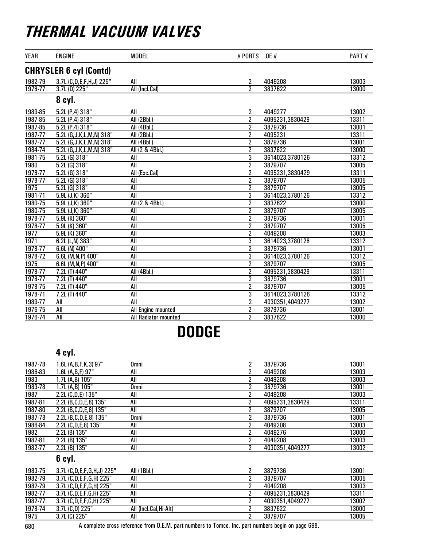| <b>YEAR</b> | <b>ENGINE</b>                 | <b>MODEL</b>         | # PORTS        | <b>OE #</b>     | PART# |
|-------------|-------------------------------|----------------------|----------------|-----------------|-------|
|             | <b>CHRYSLER 6 cyl (Contd)</b> |                      |                |                 |       |
| 1982-79     | 3.7L (C,D,E,F,H,J) 225"       | All                  | 2              | 4049208         | 13003 |
| 1978-77     | 3.7L (D) 225"                 | All (Incl.Cal)       | $\overline{2}$ | 3837622         | 13000 |
|             | 8 cyl.                        |                      |                |                 |       |
| 1989-85     | 5.2L (P,4) 318"               | All                  | 2              | 4049277         | 13002 |
| 1987-85     | 5.2L(P,4)318"                 | <b>All (2Bbl.)</b>   | $\overline{2}$ | 4095231,3830429 | 13311 |
| 1987-85     | 5.2L(P,4)318"                 | All (4Bbl.)          | $\overline{2}$ | 3879736         | 13001 |
| $1987 - 77$ | 5.2L (G, J, K, L, M, N) 318"  | All (2Bbl.)          | $\overline{2}$ | 4095231         | 13311 |
| 1987-77     | 5.2L (G, J, K, L, M, N) 318"  | All (4Bbl.)          | $\overline{2}$ | 3879736         | 13001 |
| 1984-74     | 5.2L (G, J, K, L, M, N) 318"  | All (2 & 4Bbl.)      | $\overline{2}$ | 3837622         | 13000 |
| 1981-75     | 5.2L(G)318"                   | All                  | 3              | 3614023,3780126 | 13312 |
| 1980        | $5.2L(G)$ 318"                | All                  | $\overline{2}$ | 3879707         | 13005 |
| 1978-77     | $5.2L$ (G) $318"$             | All (Exc.Cal)        | $\overline{2}$ | 4095231,3830429 | 13311 |
| 1978-77     | 5.2L (G) 318"                 | All                  | $\overline{2}$ | 3879707         | 13005 |
| 1975        | $5.2L(G)$ 318"                | All                  | $\overline{2}$ | 3879707         | 13005 |
| 1981-71     | 5.9L (J,K) 360"               | All                  | $\overline{3}$ | 3614023,3780126 | 13312 |
| 1980-75     | 5.9L (J,K) 360"               | All (2 & 4Bbl.)      | $\overline{2}$ | 3837622         | 13000 |
| 1980-75     | 5.9L (J,K) 360"               | All                  | $\overline{2}$ | 3879707         | 13005 |
| 1978-77     | 5.9L (K) 360"                 | All                  | $\overline{2}$ | 3879736         | 13001 |
| 1978-77     | 5.9L (K) 360"                 | All                  | $\overline{2}$ | 3879707         | 13005 |
| 1977        | 5.9L (K) 360"                 | <b>All</b>           | $\overline{2}$ | 4049208         | 13003 |
| 1971        | $6.2L$ (L,N) 383"             | All                  | $\overline{3}$ | 3614023,3780126 | 13312 |
| 1978-77     | 6.6L (N) 400"                 | All                  | $\overline{2}$ | 3879736         | 13001 |
| 1978-72     | 6.6L (M, N, P) 400"           | All                  | $\overline{3}$ | 3614023,3780126 | 13312 |
| 1975        | 6.6L (M, N, P) 400"           | All                  | $\overline{2}$ | 3879707         | 13005 |
| 1978-77     | 7.2L (T) 440"                 | All (4Bbl.)          | $\overline{2}$ | 4095231,3830429 | 13311 |
| 1978-77     | 7.2L (T) 440"                 | All                  | $\overline{2}$ | 3879736         | 13001 |
| 1978-75     | $7.2L(T)$ 440"                | All                  | $\overline{2}$ | 3879707         | 13005 |
| $1978 - 71$ | 7.2L (T) 440"                 | All                  | 3              | 3614023,3780126 | 13312 |
| 1989-77     | All                           | All                  | $\overline{2}$ | 4030351,4049277 | 13002 |
| 1976-75     | All                           | All Engine mounted   | $\overline{2}$ | 3879736         | 13001 |
| 1976-74     | All                           | All Radiator mounted | $\overline{2}$ | 3837622         | 13000 |

### DODGE

### 4 cyl.

| 1987-78 | 1.6L (A, B, F, K, 3) 97" | Omni        | 2 | 3879736         | 13001 |
|---------|--------------------------|-------------|---|-----------------|-------|
| 1986-83 | 1.6L (A,B,F) 97"         | All         |   | 4049208         | 13003 |
| 1983    | 1.7L (A,B) 105"          | All         |   | 4049208         | 13003 |
| 1983-78 | 1.7L (A,B) 105"          | Omni        |   | 3879736         | 13001 |
| 1987    | 2.2L (C,D,E) 135"        | All         |   | 4049208         | 13003 |
| 1987-81 | 2.2L (B,C,D,E,8) 135"    | All         |   | 4095231,3830429 | 13311 |
| 1987-80 | 2.2L (B,C,D,E,8) 135"    | All         |   | 3879707         | 13005 |
| 1987-78 | 2.2L (B,C,D,E,8) 135"    | <b>Omni</b> |   | 3879736         | 13001 |
| 1986-84 | 2.2L (C,D,E,8) 135"      | All         |   | 4049208         | 13003 |
| 1982    | 2.2L (B) 135"            | All         |   | 4049276         | 13000 |
| 1982-81 | 2.2L (B) 135"            | All         | າ | 4049208         | 13003 |
| 1982-77 | 2.2L (B) 135"            | All         |   | 4030351,4049277 | 13002 |

### 6 cyl.

| 1983-75 | 3.7L (C,D,E,F,G,H,J) 225" | All (1Bbl.)           | 3879736         | 13001 |
|---------|---------------------------|-----------------------|-----------------|-------|
| 1982-79 | 3.7L (C,D,E,F,G,H) 225"   | All                   | 3879707         | 13005 |
| 1982-79 | 3.7L (C,D,E,F,G,H) 225"   | All                   | 4049208         | 13003 |
| 1982-77 | 3.7L (C,D,E,F,G,H) 225"   | All                   | 4095231.3830429 | 13311 |
| 1982-77 | 3.7L (C,D,E,F,G,H) 225"   | All                   | 4030351.4049277 | 13002 |
| 1978-74 | 3.7L (C.D) 225"           | All (Incl.Cal.Hi-Alt) | 3837622         | 13000 |
| 1975    | 3.7L (C) 225"             | All                   | 3879707         | 13005 |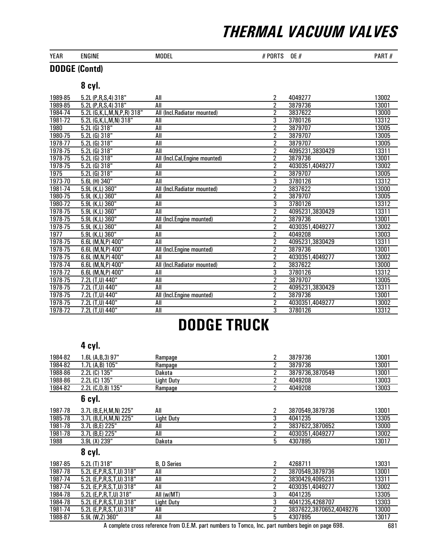| <b>YEAR</b> | <b>ENGINE</b> | MODEL | 0E<br>$\boldsymbol{\mu}$<br>Uŀ<br>Ð<br>π | 0.027<br>ט ⊿.<br><b>AULI</b><br>- 11 |
|-------------|---------------|-------|------------------------------------------|--------------------------------------|
|             |               |       |                                          |                                      |

### DODGE (Contd)

### 8 cyl.

| 1989-85 | 5.2L (P,R,S,4) 318"             | All                            | 2              | 4049277         | 13002 |
|---------|---------------------------------|--------------------------------|----------------|-----------------|-------|
| 1989-85 | 5.2L (P, R, $S$ , 4) 318"       | All                            | $\overline{2}$ | 3879736         | 13001 |
| 1984-74 | 5.2L (G, K, L, M, N, P, R) 318" | All (Incl.Radiator mounted)    | $\overline{2}$ | 3837622         | 13000 |
| 1981-72 | 5.2L (G, K, L, M, N) 318"       | All                            | 3              | 3780126         | 13312 |
| 1980    | 5.2L (G) 318"                   | All                            | $\overline{2}$ | 3879707         | 13005 |
| 1980-75 | $5.2L(G)$ 318"                  | All                            | $\overline{2}$ | 3879707         | 13005 |
| 1978-77 | $5.2L(G)$ 318"                  | All                            | $\overline{2}$ | 3879707         | 13005 |
| 1978-75 | $5.2L(G)$ 318"                  | All                            | 2              | 4095231,3830429 | 13311 |
| 1978-75 | $5.2L$ (G) $318"$               | All (Incl.Cal, Engine mounted) | $\overline{2}$ | 3879736         | 13001 |
| 1978-75 | $5.2L(G)$ 318"                  | All                            | 2              | 4030351,4049277 | 13002 |
| 1975    | $5.2L(G)$ 318"                  | All                            | $\overline{2}$ | 3879707         | 13005 |
| 1973-70 | 5.6L (H) 340"                   | All                            | 3              | 3780126         | 13312 |
| 1981-74 | 5.9L (K,L) 360"                 | All (Incl.Radiator mounted)    | $\overline{2}$ | 3837622         | 13000 |
| 1980-75 | $5.9L$ (K, $L$ ) 360"           | All                            | $\overline{2}$ | 3879707         | 13005 |
| 1980-72 | 5.9L (K,L) 360"                 | All                            | 3              | 3780126         | 13312 |
| 1978-75 | 5.9L (K,L) 360"                 | All                            | 2              | 4095231,3830429 | 13311 |
| 1978-75 | 5.9L (K,L) 360"                 | All (Incl.Engine mounted)      | 2              | 3879736         | 13001 |
| 1978-75 | $5.9L$ (K,L) $360"$             | All                            | $\overline{2}$ | 4030351,4049277 | 13002 |
| 1977    | 5.9L (K,L) 360"                 | All                            | $\overline{2}$ | 4049208         | 13003 |
| 1978-75 | 6.6L (M,N,P) 400"               | All                            | 2              | 4095231,3830429 | 13311 |
| 1978-75 | 6.6L (M,N,P) 400"               | All (Incl.Engine mounted)      | $\overline{2}$ | 3879736         | 13001 |
| 1978-75 | 6.6L (M,N,P) 400"               | All                            | 2              | 4030351,4049277 | 13002 |
| 1978-74 | 6.6L (M,N,P) 400"               | All (Incl.Radiator mounted)    | $\overline{2}$ | 3837622         | 13000 |
| 1978-72 | 6.6L (M, N, P) 400"             | All                            | 3              | 3780126         | 13312 |
| 1978-75 | 7.2L (T,U) 440"                 | All                            | 2              | 3879707         | 13005 |
| 1978-75 | 7.2L (T,U) 440"                 | All                            | $\overline{2}$ | 4095231,3830429 | 13311 |
| 1978-75 | 7.2L (T,U) 440"                 | All (Incl.Engine mounted)      | $\overline{2}$ | 3879736         | 13001 |
| 1978-75 | 7.2L (T,U) 440"                 | All                            | $\overline{2}$ | 4030351,4049277 | 13002 |
| 1978-72 | 7.2L (T,U) 440"                 | All                            | 3              | 3780126         | 13312 |

### DODGE TRUCK

#### 4 cyl.

| 1984-82 | 1.6L (A, B, 3) 97"           | Rampage            | 2 | 3879736         | 13001 |
|---------|------------------------------|--------------------|---|-----------------|-------|
| 1984-82 | 1.7L (A,B) 105"              | Rampage            | 2 | 3879736         | 13001 |
| 1988-86 | 2.2L (C) 135"                | Dakota             | 2 | 3879736,3870549 | 13001 |
| 1988-86 | 2.2L (C) 135"                | <b>Light Duty</b>  | 2 | 4049208         | 13003 |
| 1984-82 | 2.2L (C,D,8) 135"            | Rampage            | 2 | 4049208         | 13003 |
|         | 6 cyl.                       |                    |   |                 |       |
| 1987-78 | 3.7L (B,E,H,M,N) 225"        | All                | 2 | 3870549.3879736 | 13001 |
| 1985-78 | 3.7L (B,E,H,M,N) 225"        | <b>Light Duty</b>  | 3 | 4041235         | 13305 |
| 1981-78 | 3.7L (B.E) 225"              | All                | 2 | 3837622,3870652 | 13000 |
| 1981-78 | 3.7L (B,E) 225"              | All                | 2 | 4030351,4049277 | 13002 |
| 1988    | 3.9L (X) 239"                | Dakota             | 5 | 4307895         | 13017 |
|         | 8 cyl.                       |                    |   |                 |       |
| 1987-85 | 5.2L (T) 318"                | <b>B. D Series</b> | 2 | 4268711         | 13031 |
| 1987-78 | 5.2L (E, P, R, S, T, U) 318" | All                | 2 | 3870549,3879736 | 13001 |
|         |                              |                    |   |                 |       |

| טט וטטו | <u>U.LL 117 U I U</u>        | טטווטט ש          | <b>TLUUII</b>           | . טטט |
|---------|------------------------------|-------------------|-------------------------|-------|
| 1987-78 | 5.2L (E, P, R, S, T, U) 318" | All               | 3870549.3879736         | 13001 |
| 1987-74 | 5.2L (E, P, R, S, T, U) 318" | All               | 3830429,4095231         | 13311 |
| 1987-74 | 5.2L (E, P, R, S, T, U) 318" | AII               | 4030351.4049277         | 13002 |
| 1984-78 | 5.2L (E, P, R, T, U) 318"    | All (w/MT)        | 4041235                 | 13305 |
| 1984-78 | 5.2L (E, P, R, S, T, U) 318" | <b>Light Duty</b> | 4041235.4268707         | 13303 |
| 1981-74 | 5.2L (E, P, R, S, T, U) 318" | AII               | 3837622.3870652.4049276 | 13000 |
| 1988-87 | 5.9L (W.Z) 360"              | All               | 4307895                 | 13017 |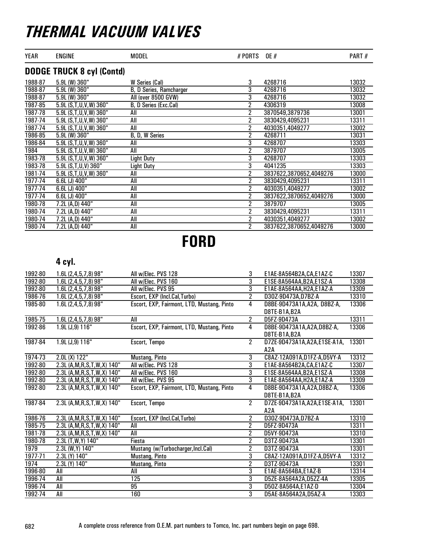| YEAR    | <b>ENGINE</b>                    | <b>MODEL</b>            | # PORTS OE #   |                         | PART# |
|---------|----------------------------------|-------------------------|----------------|-------------------------|-------|
|         | <b>DODGE TRUCK 8 cyl (Contd)</b> |                         |                |                         |       |
| 1988-87 | $5.9L$ (W) 360"                  | W Series (Cal)          | 3              | 4268716                 | 13032 |
| 1988-87 | $5.9L$ (W) 360"                  | B, D Series, Ramcharger | 3              | 4268716                 | 13032 |
| 1988-87 | 5.9L (W) 360"                    | All (over 8500 GVW)     | 3              | 4268716                 | 13032 |
| 1987-85 | 5.9L (S,T,U,V,W) 360"            | B, D Series (Exc.Cal)   | 2              | 4306319                 | 13008 |
| 1987-78 | 5.9L (S,T,U,V,W) 360"            | All                     | 2              | 3870549,3879736         | 13001 |
| 1987-74 | 5.9L (S,T,U,V,W) 360"            | All                     | 2              | 3830429,4095231         | 13311 |
| 1987-74 | 5.9L (S,T,U,V,W) 360"            | All                     | 2              | 4030351,4049277         | 13002 |
| 1986-85 | $5.9L$ (W) 360"                  | B, D, W Series          | 2              | 4268711                 | 13031 |
| 1986-84 | 5.9L (S,T,U,V,W) 360"            | All                     | 3              | 4268707                 | 13303 |
| 1984    | 5.9L (S,T,U,V,W) 360"            | All                     | 2              | 3879707                 | 13005 |
| 1983-78 | 5.9L (S,T,U,V,W) 360"            | Light Duty              | 3              | 4268707                 | 13303 |
| 1983-78 | 5.9L (S,T,U,V) 360"              | <b>Light Duty</b>       | 3              | 4041235                 | 13303 |
| 1981-74 | 5.9L (S, T, U, V, W) 360"        | All                     | $\overline{2}$ | 3837622,3870652,4049276 | 13000 |
| 1977-74 | 6.6L (J) 400"                    | All                     | $\overline{2}$ | 3830429,4095231         | 13311 |
| 1977-74 | 6.6L (J) 400"                    | All                     | 2              | 4030351,4049277         | 13002 |
| 1977-74 | $6.6L$ (J) $400"$                | All                     | 2              | 3837622,3870652,4049276 | 13000 |
| 1980-78 | 7.2L (A,D) 440"                  | All                     | 2              | 3879707                 | 13005 |
| 1980-74 | 7.2L (A,D) 440"                  | All                     | 2              | 3830429,4095231         | 13311 |
| 1980-74 | 7.2L (A,D) 440"                  | All                     | $\overline{2}$ | 4030351,4049277         | 13002 |
| 1980-74 | 7.2L (A,D) 440"                  | All                     | 2              | 3837622,3870652,4049276 | 13000 |

FORD

### 4 cyl.

| 1992-80     | 1.6L (2,4,5,7,8) 98"            | All w/Elec. PVS 128                        | 3              | E1AE-8A564B2A, CA, E1AZ-C     | 13307 |
|-------------|---------------------------------|--------------------------------------------|----------------|-------------------------------|-------|
| 1992-80     | 1.6L (2,4,5,7,8) 98"            | All w/Elec. PVS 160                        | $\overline{3}$ | E1SE-8A564AA, B2A, E1SZ-A     | 13308 |
| 1992-80     | 1.6L(2,4,5,7,8)98"              | All w/Elec. PVS 95                         | $\overline{3}$ | E1AE-8A564AA, H2A, E1AZ-A     | 13309 |
| 1986-76     | 1.6L (2,4,5,7,8) 98"            | Escort, EXP (Incl.Cal,Turbo)               | $\overline{2}$ | D30Z-9D473A,D7BZ-A            | 13310 |
| 1985-80     | 1.6L(2,4,5,7,8)98"              | Escort, EXP, Fairmont, LTD, Mustang, Pinto | 4              | D8BE-9D473A1A, A2A, D8BZ-A,   | 13306 |
|             |                                 |                                            |                | D8TE-B1A.B2A                  |       |
| 1985-75     | $1.6L(2,4,5,7,8)$ 98"           | All                                        | $\overline{2}$ | D5FZ-9D473A                   | 13311 |
| 1992-86     | 1.9L (J, 9) 116"                | Escort, EXP, Fairmont, LTD, Mustang, Pinto | 4              | D8BE-9D473A1A, A2A, D8BZ-A,   | 13306 |
|             |                                 |                                            |                | D8TE-B1A, B2A                 |       |
| 1987-84     | 1.9L (J, 9) 116"                | Escort, Tempo                              | $\overline{2}$ | D7ZE-9D473A1A, A2A, E1SE-A1A, | 13301 |
|             |                                 |                                            |                | A2A                           |       |
| 1974-73     | $2.0L(X)$ 122"                  | Mustang, Pinto                             | $\overline{3}$ | C8AZ-12A091A,D1FZ-A,D5VY-A    | 13312 |
| 1992-80     | 2.3L (A, M, R, S, T, W, X) 140" | All w/Elec. PVS 128                        | 3              | E1AE-8A564B2A, CA, E1AZ-C     | 13307 |
| 1992-80     | 2.3L (A, M, R, S, T, W, X) 140" | All w/Elec. PVS 160                        | $\overline{3}$ | E1SE-8A564AA, B2A, E1SZ-A     | 13308 |
| 1992-80     | 2.3L (A, M, R, S, T, W, X) 140" | All w/Elec. PVS 95                         | $\overline{3}$ | E1AE-8A564AA, H2A, E1AZ-A     | 13309 |
| 1992-80     | 2.3L (A, M, R, S, T, W, X) 140" | Escort, EXP, Fairmont, LTD, Mustang, Pinto | 4              | D8BE-9D473A1A, A2A, D8BZ-A,   | 13306 |
|             |                                 |                                            |                | D8TE-B1A.B2A                  |       |
| 1987-84     | 2.3L (A, M, R, S, T, W, X) 140" | Escort, Tempo                              | $\overline{2}$ | D7ZE-9D473A1A, A2A, E1SE-A1A, | 13301 |
|             |                                 |                                            |                | A2A                           |       |
| 1986-76     | 2.3L (A, M, R, S, T, W, X) 140" | Escort, EXP (Incl.Cal, Turbo)              | $\overline{2}$ | D30Z-9D473A,D7BZ-A            | 13310 |
| 1985-75     | 2.3L (A, M, R, S, T, W, X) 140" | All                                        | $\overline{2}$ | D5FZ-9D473A                   | 13311 |
| 1981-78     | 2.3L (A, M, R, S, T, W, X) 140" | All                                        | $\overline{2}$ | D5VY-9D473A                   | 13310 |
| 1980-78     | 2.3L (T, W, Y) 140"             | Fiesta                                     | $\overline{2}$ | D3TZ-9D473A                   | 13301 |
| 1979        | 2.3L (W, Y) 140"                | Mustang (w/Turbocharger, Incl.Cal)         | $\overline{2}$ | D3TZ-9D473A                   | 13301 |
| $1977 - 71$ | 2.3L (Y) 140"                   | Mustang, Pinto                             | $\overline{3}$ | C8AZ-12A091A,D1FZ-A,D5VY-A    | 13312 |
| 1974        | 2.3L (Y) 140"                   | Mustang, Pinto                             | $\overline{2}$ | D3TZ-9D473A                   | 13301 |
| 1996-80     | All                             | <b>All</b>                                 | $\overline{3}$ | E1AE-8A564BA,E1AZ-B           | 13314 |
| 1996-74     | All                             | 125                                        | 3              | D5ZE-8A564A2A,D5ZZ-4A         | 13305 |
| 1996-74     | All                             | 95                                         | $\overline{3}$ | D50Z-8A564A,E1AZ-D            | 13304 |
| 1992-74     | All                             | 160                                        | $\overline{3}$ | D5AE-8A564A2A,D5AZ-A          | 13303 |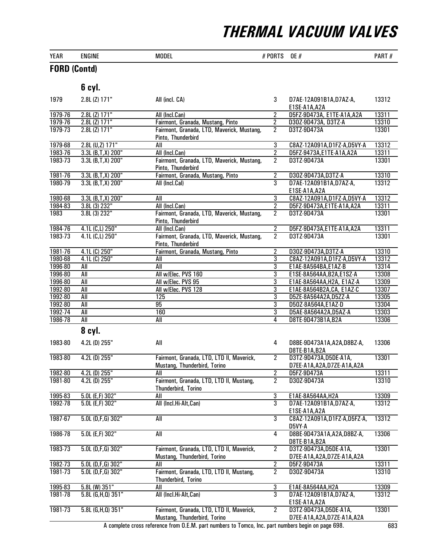| $\frac{1}{2}$ | .             |       |                                     |            |
|---------------|---------------|-------|-------------------------------------|------------|
| <b>YEAR</b>   | <b>ENGINE</b> | MODEL | $OE$ $A$<br>- 121 1<br>$\mathbf{u}$ | --<br>PART |

#### FORD (Contd)

|         | 6 cyl.                  |                                                                           |                |                                                       |       |
|---------|-------------------------|---------------------------------------------------------------------------|----------------|-------------------------------------------------------|-------|
| 1979    | 2.8L (Z) 171"           | All (incl. CA)                                                            | 3              | D7AE-12A091B1A,D7AZ-A,<br>E1SE-A1A, A2A               | 13312 |
| 1979-76 | $2.8L$ (Z) $171"$       | All (Incl.Can)                                                            | 2              | D5FZ-9D473A, E1TE-A1A, A2A                            | 13311 |
| 1979-76 | $2.8L$ (Z) $171"$       | Fairmont, Granada, Mustang, Pinto                                         | $\overline{2}$ | D30Z-9D473A, D3TZ-A                                   | 13310 |
| 1979-73 | $2.8L(Z)$ 171"          | Fairmont, Granada, LTD, Maverick, Mustang,<br>Pinto, Thunderbird          | $\overline{2}$ | D3TZ-9D473A                                           | 13301 |
| 1979-68 | 2.8L (U,Z) 171"         | All                                                                       | $\overline{3}$ | C8AZ-12A091A,D1FZ-A,D5VY-A                            | 13312 |
| 1983-76 | $3.3L$ (B, T, X) 200"   | All (Incl.Can)                                                            | $\overline{2}$ | D5FZ-9473A,E1TE-A1A,A2A                               | 13311 |
| 1983-73 | $3.3L$ (B, T, X) $200"$ | Fairmont, Granada, LTD, Maverick, Mustang,<br>Pinto, Thunderbird          | $\overline{2}$ | D3TZ-9D473A                                           | 13301 |
| 1981-76 | 3.3L (B,T,X) 200"       | Fairmont, Granada, Mustang, Pinto                                         | $\overline{2}$ | D30Z-9D473A,D3TZ-A                                    | 13310 |
| 1980-79 | $3.3L$ (B,T,X) $200"$   | All (Incl.Cal)                                                            | $\overline{3}$ | D7AE-12A091B1A,D7AZ-A,<br>E1SE-A1A, A2A               | 13312 |
| 1980-68 | 3.3L (B,T,X) 200"       | All                                                                       | 3              | C8AZ-12A091A,D1FZ-A,D5VY-A                            | 13312 |
| 1984-83 | 3.8L (3) 232"           | All (Incl.Can)                                                            | $\overline{2}$ | D5FZ-9D473A,E1TE-A1A,A2A                              | 13311 |
| 1983    | 3.8L (3) 232"           | Fairmont, Granada, LTD, Maverick, Mustang,<br>Pinto, Thunderbird          | $\overline{2}$ | D3TZ-9D473A                                           | 13301 |
| 1984-76 | 4.1L (C,L) 250"         | All (Incl.Can)                                                            | $\overline{2}$ | D5FZ-9D473A,E1TE-A1A,A2A                              | 13311 |
| 1983-73 | 4.1L (C,L) 250"         | Fairmont, Granada, LTD, Maverick, Mustang,<br>Pinto, Thunderbird          | $\overline{2}$ | D3TZ-9D473A                                           | 13301 |
| 1981-76 | 4.1L (C) 250"           | Fairmont, Granada, Mustang, Pinto                                         | $\overline{2}$ | D30Z-9D473A,D3TZ-A                                    | 13310 |
| 1980-68 | 4.1L (C) 250"           | All                                                                       | $\overline{3}$ | C8AZ-12A091A,D1FZ-A,D5VY-A                            | 13312 |
| 1996-80 | All                     | All                                                                       | $\overline{3}$ | E1AE-8A564BA,E1AZ-B                                   | 13314 |
| 1996-80 | All                     | All w/Elec. PVS 160                                                       | 3              | E1SE-8A564AA, B2A, E1SZ-A                             | 13308 |
| 1996-80 | All                     | All w/Elec. PVS 95                                                        | 3              | E1AE-8A564AA, H2A, E1AZ-A                             | 13309 |
| 1992-80 | All                     | All w/Elec. PVS 128                                                       | $\overline{3}$ | E1AE-8A564B2A, CA, E1AZ-C                             | 13307 |
| 1992-80 | $\overline{All}$        | 125                                                                       | $\overline{3}$ | D5ZE-8A564A2A,D5ZZ-A                                  | 13305 |
| 1992-80 | $\overline{All}$        | 95                                                                        | $\overline{3}$ | D50Z-8A564A,E1AZ-D                                    | 13304 |
| 1992-74 | All                     | 160                                                                       | $\overline{3}$ | D5AE-8A564A2A,D5AZ-A                                  | 13303 |
| 1986-78 | All                     | All                                                                       | 4              | D8TE-9D473B1A,B2A                                     | 13306 |
|         | 8 cyl.                  |                                                                           |                |                                                       |       |
| 1983-80 | 4.2L (D) 255"           | All                                                                       | 4              | D8BE-9D473A1A, A2A, D8BZ-A,<br>D8TE-B1A, B2A          | 13306 |
| 1983-80 | $4.2L$ (D) $255"$       | Fairmont, Granada, LTD, LTD II, Maverick,                                 | $\overline{2}$ | D3TZ-9D473A, D5DE-A1A,                                | 13301 |
|         |                         | Mustang, Thunderbird, Torino                                              |                | D7EE-A1A, A2A, D7ZE-A1A, A2A                          |       |
| 1982-80 | $4.2L$ (D) $255"$       | All                                                                       | $\overline{2}$ | D5FZ-9D473A                                           | 13311 |
| 1981-80 | $4.2L$ (D) $255"$       | Fairmont, Granada, LTD, LTD II, Mustang,<br>Thunderbird, Torino           | $\overline{2}$ | D30Z-9D473A                                           | 13310 |
| 1995-83 | $5.0L$ (E,F) $302"$     | All                                                                       | 3              | E1AE-8A564AA, H2A                                     | 13309 |
| 1992-78 | $5.0L$ (E,F) $302"$     | All (Incl.Hi-Alt,Can)                                                     | $\overline{3}$ | D7AE-12A091B1A, D7AZ-A,<br>E1SE-A1A, A2A              | 13312 |
| 1987-67 | $5.0L$ (D,F,G) 302"     | All                                                                       | $\overline{3}$ | C8AZ-12A091A, D1FZ-A, D5FZ-A,<br>D5VY-A               | 13312 |
| 1986-78 | $5.0L$ (E,F) $302"$     | All                                                                       | $\overline{4}$ | D8BE-9D473A1A, A2A, D8BZ-A,<br>D8TE-B1A, B2A          | 13306 |
| 1983-73 | $5.0L$ (D,F,G) 302"     | Fairmont, Granada, LTD, LTD II, Maverick,<br>Mustang, Thunderbird, Torino | $\overline{2}$ | D3TZ-9D473A,D5DE-A1A,<br>D7EE-A1A, A2A, D7ZE-A1A, A2A | 13301 |
| 1982-73 | $5.0L$ (D,F,G) 302"     | All                                                                       | $\overline{2}$ | D5FZ-9D473A                                           | 13311 |
| 1981-73 | $5.0L$ (D,F,G) 302"     | Fairmont, Granada, LTD, LTD II, Mustang,<br>Thunderbird, Torino           | $\overline{2}$ | D30Z-9D473A                                           | 13310 |
| 1995-83 | 5.8L (W) 351"           | All                                                                       | $\overline{3}$ | E1AE-8A564AA, H2A                                     | 13309 |
| 1981-78 | 5.8L (G,H,Q) 351"       | All (Incl.Hi-Alt,Can)                                                     | $\overline{3}$ | D7AE-12A091B1A, D7AZ-A,<br>E1SE-A1A, A2A              | 13312 |
| 1981-73 | 5.8L (G,H,Q) 351"       | Fairmont, Granada, LTD, LTD II, Maverick,<br>Mustang, Thunderbird, Torino | $\overline{2}$ | D3TZ-9D473A,D5DE-A1A,<br>D7EE-A1A, A2A, D7ZE-A1A, A2A | 13301 |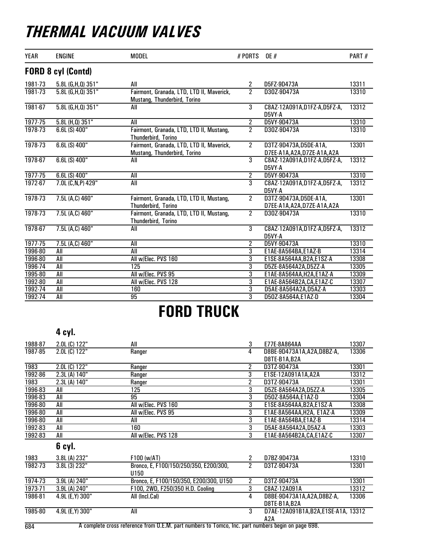| <b>YEAR</b> | <b>ENGINE</b>             | <b>MODEL</b>                                                              | # PORTS        | <b>OE</b> #                                           | PART# |
|-------------|---------------------------|---------------------------------------------------------------------------|----------------|-------------------------------------------------------|-------|
|             | <b>FORD 8 cyl (Contd)</b> |                                                                           |                |                                                       |       |
| 1981-73     | 5.8L (G,H,Q) 351"         | All                                                                       | 2              | D5FZ-9D473A                                           | 13311 |
| 1981-73     | $5.8L$ (G, H, Q) 351"     | Fairmont, Granada, LTD, LTD II, Maverick,<br>Mustang, Thunderbird, Torino | $\overline{2}$ | D30Z-9D473A                                           | 13310 |
| 1981-67     | $5.8L$ (G, H, Q) $351"$   | All                                                                       | $\overline{3}$ | C8AZ-12A091A,D1FZ-A,D5FZ-A,<br>D5VY-A                 | 13312 |
| $1977 - 75$ | 5.8L (H,Q) 351"           | All                                                                       | $\overline{2}$ | D5VY-9D473A                                           | 13310 |
| 1978-73     | $6.6L(S)$ 400"            | Fairmont, Granada, LTD, LTD II, Mustang,<br>Thunderbird, Torino           | $\overline{2}$ | D30Z-9D473A                                           | 13310 |
| 1978-73     | $6.6L(S)$ 400"            | Fairmont, Granada, LTD, LTD II, Maverick,<br>Mustang, Thunderbird, Torino | $2^{\circ}$    | D3TZ-9D473A,D5DE-A1A,<br>D7EE-A1A, A2A, D7ZE-A1A, A2A | 13301 |
| 1978-67     | 6.6L (S) 400"             | All                                                                       | $\overline{3}$ | C8AZ-12A091A,D1FZ-A,D5FZ-A,<br>D5VY-A                 | 13312 |
| 1977-75     | $6.6L(S)$ 400"            | All                                                                       | $\overline{2}$ | D5VY-9D473A                                           | 13310 |
| 1972-67     | 7.0L (C, N, P) 429"       | All                                                                       | $\overline{3}$ | C8AZ-12A091A,D1FZ-A,D5FZ-A,<br>D5VY-A                 | 13312 |
| 1978-73     | 7.5L (A,C) 460"           | Fairmont, Granada, LTD, LTD II, Mustang,<br><b>Thunderbird, Torino</b>    | $\overline{2}$ | D3TZ-9D473A,D5DE-A1A,<br>D7EE-A1A, A2A, D7ZE-A1A, A2A | 13301 |
| 1978-73     | 7.5L (A,C) 460"           | Fairmont, Granada, LTD, LTD II, Mustang,<br>Thunderbird, Torino           | $\overline{2}$ | D30Z-9D473A                                           | 13310 |
| 1978-67     | 7.5L (A,C) 460"           | All                                                                       | 3              | C8AZ-12A091A,D1FZ-A,D5FZ-A,<br>D5VY-A                 | 13312 |
| 1977-75     | 7.5L (A,C) 460"           | All                                                                       | $\overline{2}$ | D5VY-9D473A                                           | 13310 |
| 1996-80     | All                       | All                                                                       | $\overline{3}$ | E1AE-8A564BA,E1AZ-B                                   | 13314 |
| 1996-80     | All                       | All w/Elec. PVS 160                                                       | $\overline{3}$ | E1SE-8A564AA, B2A, E1SZ-A                             | 13308 |
| 1996-74     | All                       | 125                                                                       | 3              | D5ZE-8A564A2A,D5ZZ-A                                  | 13305 |
| 1995-80     | All                       | All w/Elec. PVS 95                                                        | $\overline{3}$ | E1AE-8A564AA, H2A, E1AZ-A                             | 13309 |
| 1992-80     | All                       | All w/Elec. PVS 128                                                       | $\overline{3}$ | E1AE-8A564B2A, CA, E1AZ-C                             | 13307 |
| 1992-74     | All                       | 160                                                                       | 3              | D5AE-8A564A2A,D5AZ-A                                  | 13303 |
| 1992-74     | All                       | 95                                                                        | 3              | D50Z-8A564A,E1AZ-D                                    | 13304 |

# FORD TRUCK

#### 4 cyl.

| 1988-87 | 2.0L (C) 122"    | All                                     | 3              | E77E-8A864AA                       | 13307 |
|---------|------------------|-----------------------------------------|----------------|------------------------------------|-------|
| 1987-85 | 2.0L (C) 122"    | Ranger                                  | 4              | D8BE-9D473A1A, A2A, D8BZ-A,        | 13306 |
|         |                  |                                         |                | D8TE-B1A, B2A                      |       |
| 1983    | 2.0L (C) 122"    | Ranger                                  | 2              | D3TZ-9D473A                        | 13301 |
| 1992-86 | 2.3L (A) 140"    | Ranger                                  | 3              | E1SE-12A091A1A, A2A                | 13312 |
| 1983    | 2.3L (A) 140"    | Ranger                                  | 2              | D3TZ-9D473A                        | 13301 |
| 1996-83 | All              | 125                                     | 3              | D5ZE-8A564A2A,D5ZZ-A               | 13305 |
| 1996-83 | All              | 95                                      | 3              | D50Z-8A564A,E1AZ-D                 | 13304 |
| 1996-80 | All              | All w/Elec. PVS 160                     | 3              | E1SE-8A564AA, B2A, E1SZ-A          | 13308 |
| 1996-80 | All              | All w/Elec. PVS 95                      | $\overline{3}$ | E1AE-8A564AA, H2A, E1AZ-A          | 13309 |
| 1996-80 | All              | All                                     | $\overline{3}$ | E1AE-8A564BA,E1AZ-B                | 13314 |
| 1992-83 | All              | 160                                     | 3              | D5AE-8A564A2A,D5AZ-A               | 13303 |
| 1992-83 | All              | All w/Elec. PVS 128                     | 3              | E1AE-8A564B2A, CA, E1AZ-C          | 13307 |
|         | 6 cyl.           |                                         |                |                                    |       |
| 1983    | 3.8L (A) 232"    | F100 (w/AT)                             | 2              | D7BZ-9D473A                        | 13310 |
| 1982-73 | 3.8L (3) 232"    | Bronco, E, F100/150/250/350, E200/300,  | 2              | D3TZ-9D473A                        | 13301 |
|         |                  | U150                                    |                |                                    |       |
| 1974-73 | 3.9L (A) 240"    | Bronco, E, F100/150/350, E200/300, U150 | 2              | D3TZ-9D473A                        | 13301 |
| 1973-71 | 3.9L (A) 240"    | F100, 2WD, F250/350 H.D. Cooling        | 3              | C8AZ-12A091A                       | 13312 |
| 1986-81 | 4.9L (E, Y) 300" | All (Incl.Cal)                          | 4              | D8BE-9D473A1A, A2A, D8BZ-A,        | 13306 |
|         |                  |                                         |                | D8TE-B1A, B2A                      |       |
| 1985-80 | 4.9L (E.Y) 300"  | All                                     | $\overline{3}$ | D7AE-12A091B1A,B2A,E1SE-A1A, 13312 |       |
|         |                  |                                         |                | A2A                                |       |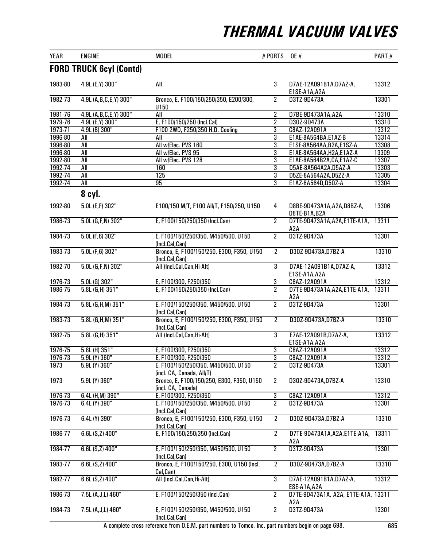| <b>YEAR</b>        | <b>ENGINE</b>                  | <b>MODEL</b>                                                     | # PORTS             | <b>OE</b> #                                            | PART#          |
|--------------------|--------------------------------|------------------------------------------------------------------|---------------------|--------------------------------------------------------|----------------|
|                    | <b>FORD TRUCK 6cyl (Contd)</b> |                                                                  |                     |                                                        |                |
| 1983-80            | 4.9L (E, Y) 300"               | All                                                              | 3                   | D7AE-12A091B1A, D7AZ-A,<br>E1SE-A1A, A2A               | 13312          |
| 1982-73            | 4.9L (A, B, C, E, Y) 300"      | Bronco, E, F100/150/250/350, E200/300,<br>U150                   | $\overline{2}$      | D3TZ-9D473A                                            | 13301          |
| 1981-76            | 4.9L (A,B,C,E,Y) 300"          | All                                                              | $\overline{2}$      | D7BE-9D473A1A,A2A                                      | 13310          |
| 1979-76            | 4.9L (E, Y) 300"               | E, F100/150/250 (Incl.Cal)                                       | $\overline{2}$      | D30Z-9D473A                                            | 13310          |
| 1973-71            | 4.9L (B) 300"                  | F100 2WD, F250/350 H.D. Cooling                                  | 3                   | C8AZ-12A091A                                           | 13312          |
| 1996-80            | All                            | All                                                              | $\overline{3}$      | E1AE-8A564BA,E1AZ-B                                    | 13314          |
| 1996-80<br>1996-80 | <b>All</b><br><b>All</b>       | All w/Elec. PVS 160<br>All w/Elec. PVS 95                        | $\overline{3}$<br>3 | E1SE-8A564AA, B2A, E1SZ-A<br>E1AE-8A564AA, H2A, E1AZ-A | 13308<br>13309 |
| 1992-80            | <b>All</b>                     | All w/Elec. PVS 128                                              | $\overline{3}$      | E1AE-8A564B2A, CA, E1AZ-C                              | 13307          |
| 1992-74            | All                            | 160                                                              | 3                   | D5AE-8A564A2A,D5AZ-A                                   | 13303          |
| 1992-74            | All                            | 125                                                              | 3                   | D5ZE-8A564A2A,D5ZZ-A                                   | 13305          |
| 1992-74            | All                            | 95                                                               | $\overline{3}$      | E1AZ-8A564D, D50Z-A                                    | 13304          |
|                    | 8 cyl.                         |                                                                  |                     |                                                        |                |
| 1992-80            | 5.0L (E,F) 302"                | E100/150 M/T, F100 All/T, F150/250, U150                         | 4                   | D8BE-9D473A1A, A2A, D8BZ-A,<br>D8TE-B1A, B2A           | 13306          |
| 1986-73            | $5.0L$ (G,F,N) 302"            | E, F100/150/250/350 (Incl.Can)                                   | $\overline{2}$      | D7TE-9D473A1A, A2A, E1TE-A1A,<br>A2A                   | 13311          |
| 1984-73            | $5.0L$ (F,6) 302"              | E, F100/150/250/350, M450/500, U150<br>(Incl.Cal,Can)            | $\overline{2}$      | D3TZ-9D473A                                            | 13301          |
| 1983-73            | $5.0L$ (F,6) 302"              | Bronco, E, F100/150/250, E300, F350, U150<br>(Incl.Cal,Can)      | $\overline{2}$      | D30Z-9D473A,D7BZ-A                                     | 13310          |
| 1982-70            | $5.0L$ (G,F,N) 302"            | All (Incl.Cal,Can,Hi-Alt)                                        | $\overline{3}$      | D7AE-12A091B1A, D7AZ-A,<br>E1SE-A1A, A2A               | 13312          |
| 1976-73            | $5.0L$ (G) $302"$              | E, F100/300, F250/350                                            | 3                   | C8AZ-12A091A                                           | 13312          |
| 1986-75            | $5.8L$ (G,H) $351"$            | E, F100/150/250/350 (Incl.Can)                                   | $\overline{2}$      | D7TE-9D473A1A, A2A, E1TE-A1A,<br>A <sub>2</sub> A      | 13311          |
| 1984-73            | 5.8L (G,H,M) 351"              | E, F100/150/250/350, M450/500, U150<br>(Incl.Cal,Can)            | $\overline{2}$      | D3TZ-9D473A                                            | 13301          |
| 1983-73            | 5.8L (G,H,M) 351"              | Bronco, E, F100/150/250, E300, F350, U150<br>(Incl.Cal,Can)      | $\overline{2}$      | D30Z-9D473A,D7BZ-A                                     | 13310          |
| 1982-75            | $5.8L$ (G,H) $351"$            | All (Incl.Cal,Can,Hi-Alt)                                        | $\overline{3}$      | E7AE-12A091B, D7AZ-A,<br>E1SE-A1A, A2A                 | 13312          |
| 1976-75            | 5.8L (H) 351"                  | E, F100/300, F250/350                                            | 3                   | C8AZ-12A091A                                           | 13312          |
| 1976-73            | 5.9L (Y) 360"                  | E, F100/300, F250/350                                            | 3                   | C8AZ-12A091A                                           | 13312          |
| 1973               | 5.9L (Y) 360"                  | E, F100/150/250/350, M450/500, U150<br>(incl. CA, Canada, All/T) | $\overline{2}$      | D3TZ-9D473A                                            | 13301          |
| 1973               | 5.9L (Y) 360"                  | Bronco, E, F100/150/250, E300, F350, U150<br>(incl. CA, Canada)  | $\overline{2}$      | D30Z-9D473A, D7BZ-A                                    | 13310          |
| 1976-73            | 6.4L (H,M) 390"                | E, F100/300, F250/350                                            | $\overline{3}$      | C8AZ-12A091A                                           | 13312          |
| 1976-73            | 6.4L (Y) 390"                  | E, F100/150/250/350, M450/500, U150<br>(Incl.Cal,Can)            | $\overline{2}$      | D3TZ-9D473A                                            | 13301          |
| 1976-73            | 6.4L (Y) 390"                  | Bronco, E, F100/150/250, E300, F350, U150<br>(Incl.Cal,Can)      | $\overline{2}$      | D30Z-9D473A,D7BZ-A                                     | 13310          |
| 1986-77            | 6.6L (S,Z) 400"                | E, F100/150/250/350 (Incl.Can)                                   | $\overline{2}$      | D7TE-9D473A1A, A2A, E1TE-A1A,<br>A2A                   | 13311          |
| 1984-77            | 6.6L (S,Z) 400"                | E, F100/150/250/350, M450/500, U150<br>(Incl.Cal,Can)            | $\overline{2}$      | D3TZ-9D473A                                            | 13301          |
| 1983-77            | 6.6L (S,Z) 400"                | Bronco, E, F100/150/250, E300, U150 (Incl.<br>Cal, Can)          | $\overline{2}$      | D30Z-9D473A,D7BZ-A                                     | 13310          |
| 1982-77            | $6.6L$ (S,Z) $400"$            | All (Incl.Cal,Can,Hi-Alt)                                        | $\overline{3}$      | D7AE-12A091B1A, D7AZ-A,<br>ESE-A1A, A2A                | 13312          |
| 1986-73            | 7.5L (A, J, L) 460"            | E, F100/150/250/350 (Incl.Can)                                   | $\overline{2}$      | D7TE-9D473A1A, A2A, E1TE-A1A, 13311<br>A2A             |                |
| 1984-73            | 7.5L (A, J, L) 460"            | E, F100/150/250/350, M450/500, U150<br>(Incl.Cal,Can)            | $\overline{2}$      | D3TZ-9D473A                                            | 13301          |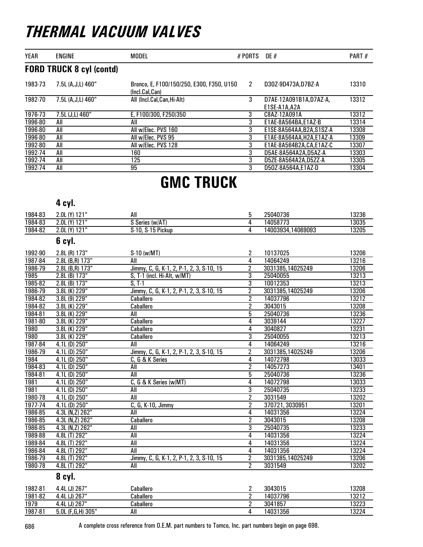| <b>YEAR</b> | <b>ENGINE</b>                   | <b>MODEL</b>                                                | # PORTS | <b>OE</b> #                            | PART# |
|-------------|---------------------------------|-------------------------------------------------------------|---------|----------------------------------------|-------|
|             | <b>FORD TRUCK 8 cyl (contd)</b> |                                                             |         |                                        |       |
| 1983-73     | 7.5L (A, J, L) 460"             | Bronco, E, F100/150/250, E300, F350, U150<br>(Incl.Cal.Can) | 2       | D30Z-9D473A.D7BZ-A                     | 13310 |
| 1982-70     | 7.5L (A.J.L) 460"               | All (Incl.Cal,Can,Hi-Alt)                                   | 3       | D7AE-12A091B1A.D7AZ-A.<br>E1SE-A1A.A2A | 13312 |
| 1976-73     | 7.5L (J,L) 460"                 | E. F100/300. F250/350                                       | 3       | C8AZ-12A091A                           | 13312 |
| 1996-80     | All                             | All                                                         | 3       | E1AE-8A564BA.E1AZ-B                    | 13314 |
| 1996-80     | All                             | All w/Elec. PVS 160                                         | 3       | E1SE-8A564AA.B2A.S1SZ-A                | 13308 |
| 1996-80     | All                             | All w/Elec. PVS 95                                          | 3       | E1AE-8A564AA.H2A.E1AZ-A                | 13309 |
| 1992-80     | All                             | All w/Elec. PVS 128                                         | 3       | E1AE-8A564B2A.CA.E1AZ-C                | 13307 |
| 1992-74     | All                             | 160                                                         | 3       | D5AE-8A564A2A.D5AZ-A                   | 13303 |
| 1992-74     | All                             | 125                                                         | 3       | D5ZE-8A564A2A.D5ZZ-A                   | 13305 |
| 1992-74     | All                             | 95                                                          | 3       | D50Z-8A564A.E1AZ-D                     | 13304 |

### GMC TRUCK

### 4 cyl.

| 1984-83 | 2.0L (Y) 121"       | All                                      | 5              | 25040736          | 13236 |
|---------|---------------------|------------------------------------------|----------------|-------------------|-------|
| 1984-83 | 2.0L (Y) 121"       | S Series (w/AT)                          | 4              | 14058773          | 13035 |
| 1984-82 | 2.0L (Y) 121"       | S-10, S-15 Pickup                        | 4              | 14003934,14069093 | 13205 |
|         | 6 cyl.              |                                          |                |                   |       |
| 1992-90 | 2.8L (R) 173"       | S-10 (w/MT)                              | $\overline{2}$ | 10137025          | 13206 |
| 1987-84 | 2.8L (B,R) 173"     | All                                      | $\overline{4}$ | 14064249          | 13216 |
| 1986-79 | 2.8L (B,R) 173"     | Jimmy, C, G, K-1, 2, P-1, 2, 3, S-10, 15 | $\overline{2}$ | 3031385,14025249  | 13206 |
| 1985    | 2.8L (B) 173"       | S, T-1 (incl. Hi-Alt, w/MT)              | $\overline{3}$ | 25040055          | 13213 |
| 1985-82 | $2.8L$ (B) $173"$   | $S, T-1$                                 | $\overline{3}$ | 10012353          | 13213 |
| 1986-79 | 3.8L (K) 229"       | Jimmy, C, G, K-1, 2, P-1, 2, 3, S-10, 15 | $\overline{2}$ | 3031385,14025249  | 13206 |
| 1984-82 | 3.8L (9) 229"       | Caballero                                | 2              | 14037796          | 13212 |
| 1984-82 | 3.8L (K) 229"       | <b>Caballero</b>                         | $\overline{2}$ | 3043015           | 13208 |
| 1984-81 | 3.8L (K) 229"       | All                                      | $\overline{5}$ | 25040736          | 13236 |
| 1981-80 | 3.8L (K) 229"       | <b>Caballero</b>                         | 4              | 3039144           | 13227 |
| 1980    | 3.8L (K) 229"       | Caballero                                | 4              | 3040827           | 13231 |
| 1980    | 3.8L (K) 229"       | Caballero                                | $\overline{3}$ | 25040055          | 13213 |
| 1987-84 | $4.1L$ (D) $250"$   | All                                      | 4              | 14064249          | 13216 |
| 1986-79 | 4.1L (D) 250"       | Jimmy, C, G, K-1, 2, P-1, 2, 3, S-10, 15 | $\overline{2}$ | 3031385,14025249  | 13206 |
| 1984    | $4.1L$ (D) $250"$   | C, G & K Series                          | $\overline{4}$ | 14072798          | 13033 |
| 1984-83 | $4.1L$ (D) $250"$   | All                                      | $\overline{2}$ | 14057273          | 13401 |
| 1984-81 | $4.1L$ (D) $250"$   | All                                      | 5              | 25040736          | 13236 |
| 1981    | 4.1L (D) 250"       | C, G & K Series (w/MT)                   | 4              | 14072798          | 13033 |
| 1981    | $4.1L$ (D) $250"$   | All                                      | 3              | 25040735          | 13233 |
| 1980-78 | $4.1L$ (D) $250"$   | All                                      | $\overline{2}$ | 3031549           | 13202 |
| 1977-74 | 4.1L (D) 250"       | C, G, K-10, Jimmy                        | $\overline{2}$ | 370721, 3030951   | 13201 |
| 1986-85 | 4.3L (N,Z) 262"     | All                                      | 4              | 14031356          | 13224 |
| 1986-85 | 4.3L (N,Z) 262"     | <b>Caballero</b>                         | $\overline{2}$ | 3043015           | 13208 |
| 1986-85 | 4.3L (N,Z) 262"     | All                                      | $\overline{3}$ | 25040735          | 13233 |
| 1989-88 | 4.8L (T) 292"       | All                                      | $\overline{4}$ | 14031356          | 13224 |
| 1989-84 | 4.8L (T) 292"       | All                                      | 4              | 14031356          | 13224 |
| 1986-84 | 4.8L (T) 292"       | All                                      | 4              | 14031356          | 13224 |
| 1986-79 | 4.8L (T) 292"       | Jimmy, C, G, K-1, 2, P-1, 2, 3, S-10, 15 | $\overline{2}$ | 3031385,14025249  | 13206 |
| 1980-78 | 4.8L (T) 292"       | All                                      | $\overline{2}$ | 3031549           | 13202 |
|         | 8 cyl.              |                                          |                |                   |       |
| 1982-81 | 4.4L (J) 267"       | Caballero                                | $\overline{c}$ | 3043015           | 13208 |
| 1981-82 | 4.4L (J) 267"       | Caballero                                | 2              | 14037796          | 13212 |
| 1979    | 4.4L (J) 267"       | Caballero                                | $\overline{2}$ | 3041857           | 13223 |
| 1987-81 | 5.0L (F, G, H) 305" | $\overline{All}$                         | 4              | 14031356          | 13224 |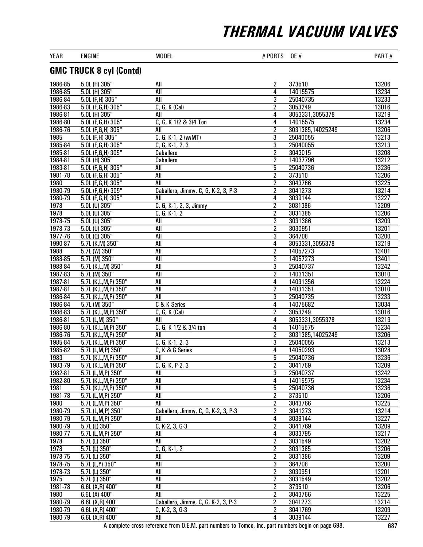| YEAR               | <b>ENGINE</b>                                     | <b>MODEL</b>                        | # PORTS                          | <b>OE</b> #          | PART#          |
|--------------------|---------------------------------------------------|-------------------------------------|----------------------------------|----------------------|----------------|
|                    | <b>GMC TRUCK 8 cyl (Contd)</b>                    |                                     |                                  |                      |                |
| 1986-85            | 5.0L (H) 305"                                     | All                                 | 2                                | 373510               | 13206          |
| 1986-85            | 5.0L (H) 305"                                     | All                                 | 4                                | 14015575             | 13234          |
| 1986-84            | 5.0L (F,H) 305"                                   | All                                 | $\overline{3}$                   | 25040735             | 13233          |
| 1986-83            | 5.0L (F, G, H) 305"                               | $C, G, K$ (Cal)                     | $\overline{2}$                   | 3053249              | 13016          |
| 1986-81            | 5.0L (H) 305"                                     | All                                 | 4                                | 3053331,3055378      | 13219          |
| 1986-80            | 5.0L (F,G,H) 305"                                 | C, G, K 1/2 & 3/4 Ton               | 4                                | 14015575             | 13234          |
| 1986-76<br>1985    | 5.0L (F, G, H) 305"                               | All<br>$C, G, K-1, 2 (w/MT)$        | $\overline{2}$                   | 3031385,14025249     | 13206<br>13213 |
| 1985-84            | 5.0L (F,H) 305"<br>5.0L (F,G,H) 305"              | $C, G, K-1, 2, 3$                   | $\overline{3}$<br>$\overline{3}$ | 25040055<br>25040055 | 13213          |
| 1985-81            | 5.0L (F,G,H) 305"                                 | Caballero                           | $\overline{2}$                   | 3043015              | 13208          |
| 1984-81            | 5.0L (H) 305"                                     | Caballero                           | $\overline{2}$                   | 14037796             | 13212          |
| 1983-81            | 5.0L (F,G,H) 305"                                 | All                                 | 5                                | 25040736             | 13236          |
| 1981-78            | 5.0L (F, G, H) 305"                               | All                                 | $\overline{2}$                   | 373510               | 13206          |
| 1980               | 5.0L (F,G,H) 305"                                 | All                                 | $\overline{2}$                   | 3043766              | 13225          |
| 1980-79            | 5.0L (F, G, H) 305"                               | Caballero, Jimmy, C, G, K-2, 3, P-3 | $\overline{2}$                   | 3041273              | 13214          |
| 1980-79            | $5.0L$ (F, G, H) 305"                             | All                                 | 4                                | 3039144              | 13227          |
| 1978               | 5.0L (U) 305"                                     | C, G, K-1, 2, 3, Jimmy              | $\overline{2}$                   | 3031386              | 13209          |
| 1978               | $5.0L$ (U) $305"$                                 | $C, G, K-1, 2$                      | $\overline{2}$                   | 3031385              | 13206          |
| 1978-75            | $5.0L$ (U) $305"$                                 | All                                 | $\overline{2}$                   | 3031386              | 13209          |
| 1978-73            | 5.0L (U) 305"                                     | All                                 | 2                                | 3030951              | 13201          |
| 1977-76            | $5.0L(0)$ 305"                                    | All                                 | 3                                | 364708               | 13200          |
| 1990-87<br>1988    | $5.7L$ (K, M) $350"$                              | All<br>All                          | 4                                | 3053331,3055378      | 13219          |
| 1988-85            | $5.7L$ (W) 350"<br>5.7L (M) 350"                  | <b>All</b>                          | $\overline{2}$<br>$\overline{2}$ | 14057273<br>14057273 | 13401<br>13401 |
| 1988-84            | 5.7L (K,L,M) 350"                                 | <b>All</b>                          | 3                                | 25040737             | 13242          |
| 1987-83            | 5.7L (M) 350"                                     | All                                 | $\overline{2}$                   | 14031351             | 13010          |
| 1987-81            | 5.7L (K,L,M,P) 350"                               | All                                 | 4                                | 14031356             | 13224          |
| 1987-81            | 5.7L (K,L,M,P) 350"                               | <b>All</b>                          | $\overline{2}$                   | 14031351             | 13010          |
| 1986-84            | 5.7L (K,L,M,P) 350"                               | All                                 | 3                                | 25040735             | 13233          |
| 1986-84            | 5.7L (M) 350"                                     | C & K Series                        | 4                                | 14075682             | 13034          |
| 1986-83            | 5.7L (K,L,M,P) 350"                               | $C, G, K$ (Cal)                     | 2                                | 3053249              | 13016          |
| 1986-81            | $5.7L$ (L,M) $350"$                               | All                                 | 4                                | 3053331,3055378      | 13219          |
| 1986-80            | 5.7L (K,L,M,P) 350"                               | C, G, K 1/2 & 3/4 ton               | 4                                | 14015575             | 13234          |
| 1986-76            | 5.7L (K,L,M,P) 350"                               | All                                 | $\overline{2}$                   | 3031385,14025249     | 13206          |
| 1985-84            | 5.7L (K,L,M,P) 350"                               | $C, G, K-1, 2, 3$                   | 3                                | 25040055             | 13213          |
| 1985-82            | 5.7L (L,M,P) 350"                                 | C, K & G Series                     | 4                                | 14050293             | 13028          |
| 1983<br>1983-79    | $5.7L$ (K, L, M, P) $350"$<br>5.7L (K,L,M,P) 350" | All<br>C, G, K, P-2, 3              | 5<br>2                           | 25040736<br>3041769  | 13236<br>13209 |
| 1982-81            | 5.7L (L,M,P) 350"                                 | All                                 | 3                                | 25040737             | 13242          |
| 1982-80            | 5.7L (K,L,M,P) 350"                               | All                                 | 4                                | 14015575             | 13234          |
| 1981               | 5.7L (K,L,M,P) 350"                               | All                                 | 5                                | 25040736             | 13236          |
| 1981-78            | 5.7L (L, M, P) 350"                               | $\overline{All}$                    | $\overline{2}$                   | 373510               | 13206          |
| <b>1980</b>        | 5.7L (L, M, P) 350"                               | All                                 | $\overline{2}$                   | 3043766              | 13225          |
| 1980-79            | 5.7L (L,M,P) 350"                                 | Caballero, Jimmy, C, G, K-2, 3, P-3 | 2                                | 3041273              | 13214          |
| 1980-79            | 5.7L (L,M,P) 350"                                 | All                                 | 4                                | 3039144              | 13227          |
| 1980-79            | 5.7L (L) 350"                                     | $C, K-2, 3, G-3$                    | 2                                | 3041769              | 13209          |
| 1980-77            | 5.7L (L, M, P) 350"                               | All                                 | 4                                | 3033795              | 13217          |
| 1978               | 5.7L (L) 350"                                     | $\overline{All}$                    | $\overline{2}$                   | 3031549              | 13202          |
| 1978               | 5.7L (L) 350"                                     | $C, G, K-1, 2$                      | $\overline{c}$                   | 3031385              | 13206          |
| 1978-75            | 5.7L (L) 350"                                     | All                                 | 2                                | 3031386              | 13209          |
| 1978-75<br>1978-73 | 5.7L (L, Y) 350"                                  | All<br>All                          | 3                                | 364708               | 13200<br>13201 |
| $\frac{1975}{ }$   | 5.7L (L) 350"<br>5.7L (L) 350"                    | All                                 | 2<br>$\overline{2}$              | 3030951<br>3031549   | 13202          |
| 1981-78            | $6.6L(X,R)$ 400"                                  | $\overline{All}$                    | $\overline{2}$                   | 373510               | 13206          |
| 1980               | $6.6L(X)$ 400"                                    | All                                 | $\overline{2}$                   | 3043766              | 13225          |
| 1980-79            | 6.6L (X,R) 400"                                   | Caballero, Jimmy, C, G, K-2, 3, P-3 | $\overline{c}$                   | 3041273              | 13214          |
| 1980-79            | $6.6L(X,R)$ 400"                                  | $C, K-2, 3, G-3$                    | 2                                | 3041769              | 13209          |
| 1980-79            | 6.6L (X,R) 400"                                   | All                                 | 4                                | 3039144              | 13227          |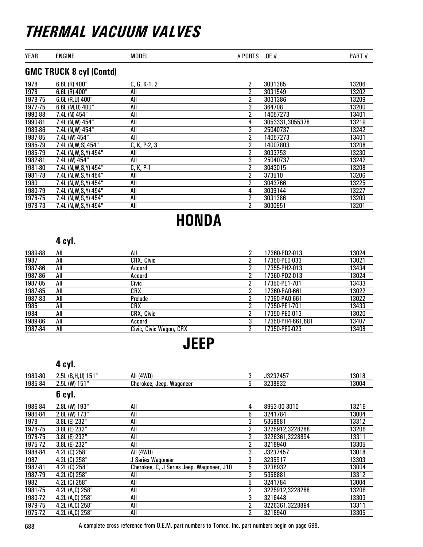|  | YEAR<br>MODEL<br>ENGINE | 0E<br>. .<br>"<br>- '' | $-$<br>'AK |
|--|-------------------------|------------------------|------------|
|--|-------------------------|------------------------|------------|

### GMC TRUCK 8 cyl (Contd)

| 1978    | $6.6L(R)$ 400"         | $C, G, K-1, 2$ | 2              | 3031385         | 13206 |
|---------|------------------------|----------------|----------------|-----------------|-------|
| 1978    | $6.6L(R)$ 400"         | All            | 2              | 3031549         | 13202 |
| 1978-75 | $6.6L$ (R,U) 400"      | All            | 2              | 3031386         | 13209 |
| 1977-75 | 6.6L (M,U) 400"        | All            | 3              | 364708          | 13200 |
| 1990-88 | 7.4L (N) 454"          | All            | 2              | 14057273        | 13401 |
| 1990-81 | 7.4L (N,W) 454"        | All            | 4              | 3053331,3055378 | 13219 |
| 1989-86 | 7.4L (N,W) 454"        | All            | 3              | 25040737        | 13242 |
| 1987-85 | 7.4L (W) 454"          | All            | 2              | 14057273        | 13401 |
| 1985-79 | 7.4L (N, W, S) 454"    | $C, K, P-2, 3$ | 2              | 14007803        | 13208 |
| 1985-79 | 7.4L (N, W, S, Y) 454" | All            | $\overline{2}$ | 3033753         | 13230 |
| 1982-81 | 7.4L (W) 454"          | All            | 3              | 25040737        | 13242 |
| 1981-80 | 7.4L (N, W, S, Y) 454" | $C, K, P-1$    | 2              | 3043015         | 13208 |
| 1981-78 | 7.4L (N, W, S, Y) 454" | All            | 2              | 373510          | 13206 |
| 1980    | 7.4L (N, W, S, Y) 454" | All            | 2              | 3043766         | 13225 |
| 1980-79 | 7.4L (N, W, S, Y) 454" | All            | 4              | 3039144         | 13227 |
| 1978-75 | 7.4L (N, W, S, Y) 454" | All            | $\overline{2}$ | 3031386         | 13209 |
| 1978-73 | 7.4L (N, W, S, Y) 454" | All            | 2              | 3030951         | 13201 |

# **HONDA**

### 4 cyl.

| 1989-88 | All | All                     | າ | 17360-PD2-013     | 13024 |
|---------|-----|-------------------------|---|-------------------|-------|
| 1987    | All | CRX, Civic              |   | 17350-PE0-033     | 13021 |
| 1987-86 | All | Accord                  |   | 17355-PH2-013     | 13434 |
| 1987-86 | All | Accord                  |   | 17360-PD2-013     | 13024 |
| 1987-85 | All | Civic                   |   | 17350-PE1-701     | 13433 |
| 1987-85 | All | CRX                     |   | 17360-PA0-661     | 13022 |
| 1987-83 | All | Prelude                 |   | 17360-PA0-661     | 13022 |
| 1985    | All | CRX                     |   | 17350-PE1-701     | 13433 |
| 1984    | All | CRX, Civic              | ົ | 17350-PE0-013     | 13020 |
| 1989-86 | All | Accord                  |   | 17350-PH4-661.681 | 13407 |
| 1987-84 | All | Civic, Civic Wagon, CRX |   | 17350-PE0-023     | 13408 |

### JEEP

#### 4 cyl.

| 1989-80 | 2.5L (B,H,U) 151" | All (4WD)                                 | 3              | J3237457        | 13018 |
|---------|-------------------|-------------------------------------------|----------------|-----------------|-------|
| 1985-84 | $2.5L$ (W) 151"   | Cherokee, Jeep, Wagoneer                  | 5              | 3238932         | 13004 |
|         | 6 cyl.            |                                           |                |                 |       |
| 1986-84 | 2.8L (W) 193"     | All                                       | 4              | 8953-00-3010    | 13216 |
| 1986-84 | 2.8L (W) 173"     | All                                       | 5              | 3241784         | 13004 |
| 1978    | 3.8L (E) 232"     | All                                       | 3              | 5358881         | 13312 |
| 1978-75 | 3.8L (E) 232"     | All                                       | $\overline{2}$ | 3225912,3228288 | 13206 |
| 1978-75 | 3.8L (E) 232"     | All                                       | 2              | 3226361,3228894 | 13311 |
| 1975-72 | 3.8L (E) 232"     | All                                       | 2              | 3218940         | 13305 |
| 1988-84 | 4.2L (C) 258"     | All (4WD)                                 | 3              | J3237457        | 13018 |
| 1987    | 4.2L (C) 258"     | J Series Wagoneer                         | 3              | 3235917         | 13303 |
| 1987-81 | 4.2L (C) 258"     | Cherokee, C, J Series Jeep, Wagoneer, J10 | 5              | 3238932         | 13004 |
| 1987-79 | 4.2L (C) 258"     | All                                       | 3              | 5358881         | 13312 |
| 1982    | 4.2L (C) 258"     | All                                       | 5              | 3241784         | 13004 |
| 1981-75 | 4.2L (A,C) 258"   | All                                       | 2              | 3225912,3228288 | 13206 |
| 1980-72 | 4.2L (A,C) 258"   | All                                       | 3              | 3216448         | 13303 |
| 1979-75 | 4.2L (A,C) 258"   | All                                       | 2              | 3226361,3228894 | 13311 |
| 1975-72 | 4.2L (A,C) 258"   | All                                       | 2              | 3218940         | 13305 |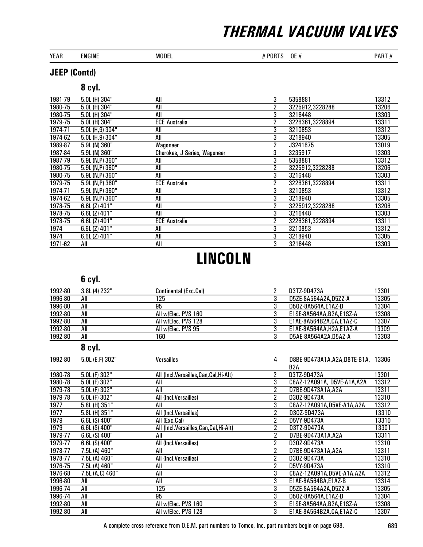| YEAR | ENGINE | MODEL | <b>PORTS</b><br><b>OE#</b> | $\sim$ $\sim$ $\sim$ $\sim$<br>PAR<br>AU J |
|------|--------|-------|----------------------------|--------------------------------------------|
|      |        |       | $\sim$ $\sim$              |                                            |

#### JEEP (Contd)

#### 8 cyl.

| 1981-79 | 5.0L (H) 304"       | All                          | 3 | 5358881         | 13312 |
|---------|---------------------|------------------------------|---|-----------------|-------|
| 1980-75 | 5.0L (H) 304"       | All                          | 2 | 3225912,3228288 | 13206 |
| 1980-75 | 5.0L (H) 304"       | All                          | 3 | 3216448         | 13303 |
| 1979-75 | $5.0L$ (H) $304"$   | <b>ECE Australia</b>         | 2 | 3226361,3228894 | 13311 |
| 1974-71 | 5.0L (H,9) 304"     | All                          | 3 | 3210853         | 13312 |
| 1974-62 | 5.0L (H,9) 304"     | All                          | 3 | 3218940         | 13305 |
| 1989-87 | 5.9L (N) 360"       | Wagoneer                     | 2 | J3241675        | 13019 |
| 1987-84 | $5.9L$ (N) $360"$   | Cherokee, J Series, Wagoneer | 3 | 3235917         | 13303 |
| 1987-79 | 5.9L (N,P) 360"     | All                          | 3 | 5358881         | 13312 |
| 1980-75 | 5.9L (N,P) 360"     | All                          | 2 | 3225912,3228288 | 13206 |
| 1980-75 | 5.9L (N,P) 360"     | All                          | 3 | 3216448         | 13303 |
| 1979-75 | $5.9L$ (N,P) $360"$ | <b>ECE Australia</b>         | 2 | 3226361,3228894 | 13311 |
| 1974-71 | 5.9L (N,P) 360"     | All                          | 3 | 3210853         | 13312 |
| 1974-62 | 5.9L (N,P) 360"     | All                          | 3 | 3218940         | 13305 |
| 1978-75 | $6.6L$ (Z) $401"$   | All                          | 2 | 3225912,3228288 | 13206 |
| 1978-75 | 6.6L (Z) 401"       | All                          | 3 | 3216448         | 13303 |
| 1978-75 | 6.6L (Z) 401"       | <b>ECE Australia</b>         | 2 | 3226361,3228894 | 13311 |
| 1974    | 6.6L (Z) 401"       | All                          | 3 | 3210853         | 13312 |
| 1974    | 6.6L (Z) 401"       | All                          | 3 | 3218940         | 13305 |
| 1971-62 | All                 | All                          | 3 | 3216448         | 13303 |

# LINCOLN

### 6 cyl.

| 1992-80 | 3.8L(4) 232" | Continental (Exc.Cal) | D3TZ-9D473A             | 13301 |
|---------|--------------|-----------------------|-------------------------|-------|
| 1996-80 | All          | 125                   | D5ZE-8A564A2A.D5ZZ-A    | 13305 |
| 1996-80 | All          | 95                    | D50Z-8A564A.E1AZ-D      | 13304 |
| 1992-80 | All          | All w/Elec. PVS 160   | E1SE-8A564AA.B2A.E1SZ-A | 13308 |
| 1992-80 | All          | All w/Elec. PVS 128   | E1AE-8A564B2A.CA.E1AZ-C | 13307 |
| 1992-80 | All          | All w/Elec. PVS 95    | E1AE-8A564AA.H2A.E1AZ-A | 13309 |
| 1992-80 | All          | 160                   | D5AE-8A564A2A.D5AZ-A    | 13303 |

### 8 cyl.

| 1992-80 | 5.0L (E,F) 302"   | <b>Versailles</b>                        | 4 | D8BE-9D473A1A, A2A, D8TE-B1A, 13306 |       |
|---------|-------------------|------------------------------------------|---|-------------------------------------|-------|
|         |                   |                                          |   | B <sub>2</sub> A                    |       |
| 1980-78 | 5.0L (F) 302"     | All (Incl.Versailles,Can,Cal,Hi-Alt)     | 2 | D3TZ-9D473A                         | 13301 |
| 1980-78 | $5.0L$ (F) $302"$ | All                                      | 3 | C8AZ-12A091A, D5VE-A1A, A2A         | 13312 |
| 1979-78 | 5.0L (F) 302"     | All                                      | 2 | D7BE-9D473A1A,A2A                   | 13311 |
| 1979-78 | 5.0L (F) 302"     | All (Incl.Versailles)                    | 2 | D30Z-9D473A                         | 13310 |
| 1977    | 5.8L (H) 351"     | All                                      | 3 | C8AZ-12A091A,D5VE-A1A,A2A           | 13312 |
| 1977    | 5.8L (H) 351"     | All (Incl.Versailles)                    | 2 | D30Z-9D473A                         | 13310 |
| 1979    | $6.6L(S)$ 400"    | All (Exc.Cal)                            | 2 | D5VY-9D473A                         | 13310 |
| 1979    | $6.6L(S)$ 400"    | All (Incl. Versailles, Can, Cal, Hi-Alt) | 2 | D3TZ-9D473A                         | 13301 |
| 1979-77 | $6.6L(S)$ 400"    | All                                      | 2 | D7BE-9D473A1A.A2A                   | 13311 |
| 1979-77 | $6.6L(S)$ 400"    | All (Incl.Versailles)                    | 2 | D30Z-9D473A                         | 13310 |
| 1978-77 | 7.5L (A) 460"     | All                                      | 2 | D7BE-9D473A1A.A2A                   | 13311 |
| 1978-77 | 7.5L (A) 460"     | All (Incl.Versailles)                    | 2 | D30Z-9D473A                         | 13310 |
| 1976-75 | 7.5L (A) 460"     | All                                      |   | D5VY-9D473A                         | 13310 |
| 1976-68 | 7.5L (A,C) 460"   | All                                      | 3 | C8AZ-12A091A,D5VE-A1A,A2A           | 13312 |
| 1996-80 | All               | All                                      | 3 | E1AE-8A564BA,E1AZ-B                 | 13314 |
| 1996-74 | All               | 125                                      | 3 | D5ZE-8A564A2A,D5ZZ-A                | 13305 |
| 1996-74 | All               | 95                                       | 3 | D50Z-8A564A,E1AZ-D                  | 13304 |
| 1992-80 | All               | All w/Elec. PVS 160                      | 3 | E1SE-8A564AA, B2A, E1SZ-A           | 13308 |
| 1992-80 | All               | All w/Elec. PVS 128                      | 3 | E1AE-8A564B2A.CA.E1AZ-C             | 13307 |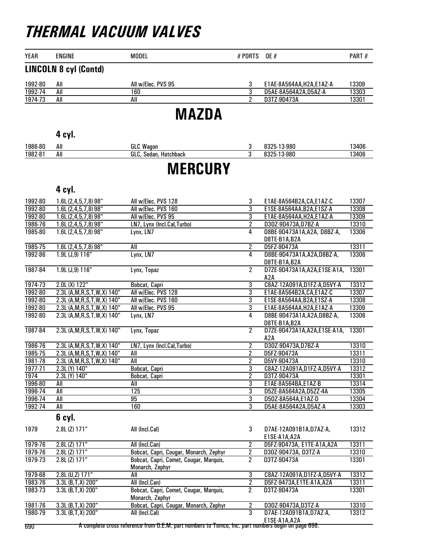| <b>YEAR</b> | <b>ENGINE</b>                | <b>MODEL</b>       | # PORTS | <b>OE</b> #               | PART# |
|-------------|------------------------------|--------------------|---------|---------------------------|-------|
|             | <b>LINCOLN 8 cyl (Contd)</b> |                    |         |                           |       |
| 1992-80     | All                          | All w/Elec. PVS 95 | 3       | E1AE-8A564AA, H2A, E1AZ-A | 13309 |
| 1992-74     | All                          | 160                |         | D5AE-8A564A2A,D5AZ-A      | 13303 |
| 1974-73     | All                          | All                |         | D3TZ-9D473A               | 13301 |
|             |                              | <b>MAZDA</b>       |         |                           |       |
|             | 4 cyl.                       |                    |         |                           |       |
| 1986-80     | All                          | <b>GLC Wagon</b>   | 3       | 8325-13-980               | 13406 |

### **MERCURY**

1982-81 All GLC, Sedan, Hatchback 3 8325-13-980 13406

#### 4 cyl.

|                    |                                            |                                                           | 3                                  |                                                        | 13307          |
|--------------------|--------------------------------------------|-----------------------------------------------------------|------------------------------------|--------------------------------------------------------|----------------|
| 1992-80<br>1992-80 | 1.6L (2,4,5,7,8) 98"<br>1.6L(2,4,5,7,8)98" | All w/Elec. PVS 128<br>All w/Elec. PVS 160                | 3                                  | E1AE-8A564B2A, CA, E1AZ-C<br>E1SE-8A564AA, B2A, E1SZ-A | 13308          |
| 1992-80            |                                            | All w/Elec. PVS 95                                        | $\overline{3}$                     | E1AE-8A564AA, H2A, E1AZ-A                              | 13309          |
| 1986-76            | 1.6L(2,4,5,7,8)98"<br>1.6L(2,4,5,7,8)98"   | LN7, Lynx (Incl.Cal, Turbo)                               | $\overline{2}$                     | D30Z-9D473A,D7BZ-A                                     | 13310          |
| 1985-80            | $1.6L(2,4,5,7,8)$ 98"                      |                                                           | 4                                  | D8BE-9D473A1A, A2A, D8BZ-A,                            | 13306          |
|                    |                                            | Lynx, LN7                                                 |                                    |                                                        |                |
|                    |                                            |                                                           | $\overline{2}$                     | D8TE-B1A, B2A                                          | 13311          |
| 1985-75<br>1992-86 | 1.6L(2,4,5,7,8)98"                         | All<br>Lynx, LN7                                          |                                    | D5FZ-9D473A                                            | 13306          |
|                    | 1.9L (J, 9) 116"                           |                                                           | 4                                  | D8BE-9D473A1A, A2A, D8BZ-A,                            |                |
|                    |                                            |                                                           |                                    | D8TE-B1A, B2A                                          |                |
| 1987-84            | 1.9L (J, 9) 116"                           | Lynx, Topaz                                               | $\overline{2}$                     | D7ZE-9D473A1A, A2A, E1SE-A1A,                          | 13301          |
|                    |                                            |                                                           |                                    | A <sub>2</sub> A                                       |                |
| 1974-73            | $2.0L(X)$ 122"                             | Bobcat, Capri                                             | $\overline{3}$                     | C8AZ-12A091A,D1FZ-A,D5VY-A                             | 13312          |
| 1992-80            | 2.3L (A, M, R, S, T, W, X) 140"            | All w/Elec. PVS 128                                       | 3                                  | E1AE-8A564B2A,CA,E1AZ-C                                | 13307          |
| 1992-80            | 2.3L (A, M, R, S, T, W, X) 140"            | All w/Elec. PVS 160                                       | $\overline{3}$                     | E1SE-8A564AA, B2A, E1SZ-A                              | 13308          |
| 1992-80            | 2.3L (A, M, R, S, T, W, X) 140"            | All w/Elec. PVS 95                                        | $\overline{3}$                     | E1AE-8A564AA, H2A, E1AZ-A                              | 13309          |
| 1992-80            | 2.3L (A, M, R, S, T, W, X) 140"            | Lynx, LN7                                                 | $\overline{4}$                     | D8BE-9D473A1A, A2A, D8BZ-A,                            | 13306          |
|                    |                                            |                                                           |                                    | D8TE-B1A, B2A                                          |                |
| 1987-84            | 2.3L (A, M, R, S, T, W, X) 140"            | Lynx, Topaz                                               | $\overline{2}$                     | D7ZE-9D473A1A, A2A, E1SE-A1A,                          | 13301          |
|                    |                                            |                                                           |                                    | A <sub>2</sub> A                                       |                |
| 1986-76            | 2.3L (A, M, R, S, T, W, X) 140"            | LN7, Lynx (Incl.Cal, Turbo)                               | $\overline{2}$                     | D30Z-9D473A,D7BZ-A                                     | 13310          |
| 1985-75            | 2.3L (A, M, R, S, T, W, X) 140"            | All                                                       | $\overline{2}$                     | D5FZ-9D473A                                            | 13311          |
| 1981-78            | 2.3L (A, M, R, S, T, W, X) 140"            | All                                                       | $\overline{2}$                     | D5VY-9D473A                                            | 13310          |
| 1977-71            | 2.3L (Y) 140"                              | Bobcat, Capri                                             | $\overline{3}$                     | C8AZ-12A091A,D1FZ-A,D5VY-A                             | 13312          |
| 1974               | 2.3L (Y) 140"                              | Bobcat, Capri                                             | $\overline{2}$                     | D3TZ-9D473A                                            | 13301          |
| 1996-80            | All                                        | All                                                       | 3                                  | E1AE-8A564BA,E1AZ-B                                    | 13314          |
| 1996-74            | All                                        | $\overline{125}$                                          | $\overline{3}$                     | D5ZE-8A564A2A,D5ZZ-4A                                  | 13305          |
| 1996-74            | All                                        | $\overline{95}$                                           | $\overline{3}$                     | D50Z-8A564A,E1AZ-D                                     | 13304          |
| 1992-74            | All                                        | 160                                                       | $\overline{3}$                     | D5AE-8A564A2A, D5AZ-A                                  | 13303          |
|                    | 6 cyl.                                     |                                                           |                                    |                                                        |                |
|                    |                                            |                                                           |                                    |                                                        |                |
| 1979               | 2.8L (Z) 171"                              | All (Incl.Cal)                                            | 3                                  | D7AE-12A091B1A, D7AZ-A,                                | 13312          |
| 1979-76            | $2.8L$ (Z) $171"$                          | All (Incl.Can)                                            |                                    | E1SE-A1A, A2A<br>D5FZ-9D473A, E1TE-A1A, A2A            | 13311          |
| 1979-76            | $2.8L$ (Z) $171"$                          |                                                           | 2                                  | D30Z-9D473A, D3TZ-A                                    | 13310          |
| 1979-73            | $2.8L$ (Z) $171"$                          | Bobcat, Capri, Cougar, Monarch, Zephyr                    | $\overline{2}$<br>$\overline{2}$   | D3TZ-9D473A                                            | 13301          |
|                    |                                            | Bobcat, Capri, Comet, Cougar, Marquis,<br>Monarch, Zephyr |                                    |                                                        |                |
|                    |                                            |                                                           |                                    |                                                        |                |
| 1979-68            | 2.8L (U,Z) 171"                            | All                                                       | $\overline{3}$<br>$\overline{2}$   | C8AZ-12A091A,D1FZ-A,D5VY-A                             | 13312          |
| 1983-76<br>1983-73 | $3.3L(B,T,X)$ 200"                         | All (Incl.Can)                                            | $\overline{2}$                     | D5FZ-9473A,E1TE-A1A,A2A<br>D3TZ-9D473A                 | 13311<br>13301 |
|                    | 3.3L (B,T,X) 200"                          | Bobcat, Capri, Comet, Cougar, Marquis,                    |                                    |                                                        |                |
|                    |                                            | Monarch, Zephyr                                           |                                    |                                                        |                |
| 1981-76<br>1980-79 | 3.3L (B,T,X) 200"                          | Bobcat, Capri, Cougar, Monarch, Zephyr                    | $\boldsymbol{2}$<br>$\overline{3}$ | D30Z-9D473A,D3TZ-A                                     | 13310          |
|                    | $3.3L$ (B, T, X) $200"$                    | All (Incl.Cal)                                            |                                    | D7AE-12A091B1A, D7AZ-A,<br><b>F1SE.A1A A2A</b>         | 13312          |
|                    |                                            |                                                           |                                    |                                                        |                |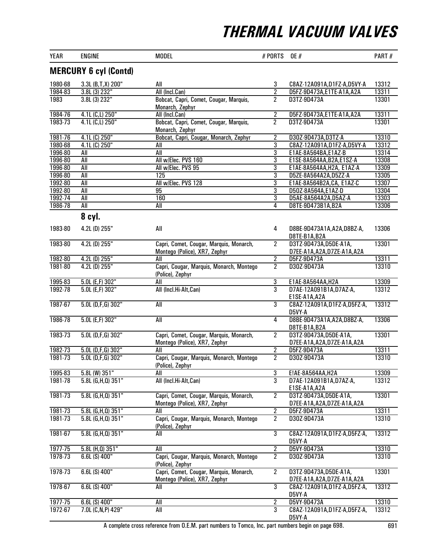| <b>YEAR</b>                  | <b>ENGINE</b>           | <b>MODEL</b>                                                             | # PORTS        | <b>OE</b> #                                            | PART# |  |  |  |
|------------------------------|-------------------------|--------------------------------------------------------------------------|----------------|--------------------------------------------------------|-------|--|--|--|
| <b>MERCURY 6 cyl (Contd)</b> |                         |                                                                          |                |                                                        |       |  |  |  |
| 1980-68                      | 3.3L (B,T,X) 200"       | All                                                                      | 3              | C8AZ-12A091A,D1FZ-A,D5VY-A                             | 13312 |  |  |  |
| 1984-83                      | 3.8L (3) 232"           | All (Incl.Can)                                                           | $\overline{2}$ | D5FZ-9D473A,E1TE-A1A,A2A                               | 13311 |  |  |  |
| 1983                         | 3.8L (3) 232"           | Bobcat, Capri, Comet, Cougar, Marquis,<br>Monarch, Zephyr                | $\overline{2}$ | D3TZ-9D473A                                            | 13301 |  |  |  |
| 1984-76                      | 4.1L (C,L) 250"         | All (Incl.Can)                                                           | $\overline{2}$ | D5FZ-9D473A,E1TE-A1A,A2A                               | 13311 |  |  |  |
| 1983-73                      | 4.1L (C,L) 250"         | Bobcat, Capri, Comet, Cougar, Marquis,<br>Monarch, Zephyr                | $\overline{2}$ | D3TZ-9D473A                                            | 13301 |  |  |  |
| 1981-76                      | $4.1L(G)$ 250"          | Bobcat, Capri, Cougar, Monarch, Zephyr                                   | $\overline{2}$ | D30Z-9D473A,D3TZ-A                                     | 13310 |  |  |  |
| 1980-68                      | $4.1L(G)$ 250"          | All                                                                      | $\overline{3}$ | C8AZ-12A091A,D1FZ-A,D5VY-A                             | 13312 |  |  |  |
| 1996-80                      | All                     | All                                                                      | 3              | E1AE-8A564BA,E1AZ-B                                    | 13314 |  |  |  |
| 1996-80                      | All                     | All w/Elec. PVS 160                                                      | 3              | E1SE-8A564AA, B2A, E1SZ-A                              | 13308 |  |  |  |
| 1996-80                      | All                     | All w/Elec. PVS 95                                                       | $\overline{3}$ | E1AE-8A564AA, H2A, E1AZ-A                              | 13309 |  |  |  |
| 1996-80                      | <b>All</b>              | 125                                                                      | 3              | D5ZE-8A564A2A,D5ZZ-A                                   | 13305 |  |  |  |
| 1992-80                      | <b>All</b>              | All w/Elec. PVS 128                                                      | $\overline{3}$ | E1AE-8A564B2A, CA, E1AZ-C                              | 13307 |  |  |  |
| 1992-80                      | All                     | 95                                                                       | $\overline{3}$ | D50Z-8A564A,E1AZ-D                                     | 13304 |  |  |  |
| 1992-74                      | All                     | 160                                                                      | 3              | D5AE-8A564A2A,D5AZ-A                                   | 13303 |  |  |  |
| 1986-78                      | All                     | All                                                                      | 4              | D8TE-9D473B1A,B2A                                      | 13306 |  |  |  |
|                              | 8 cyl.                  |                                                                          |                |                                                        |       |  |  |  |
| 1983-80                      | 4.2L (D) 255"           | All                                                                      | 4              | D8BE-9D473A1A, A2A, D8BZ-A,<br>D8TE-B1A, B2A           | 13306 |  |  |  |
| 1983-80                      | $4.2L$ (D) $255"$       | Capri, Comet, Cougar, Marquis, Monarch,<br>Montego (Police), XR7, Zephyr | $\overline{2}$ | D3TZ-9D473A, D5DE-A1A,<br>D7EE-A1A, A2A, D7ZE-A1A, A2A | 13301 |  |  |  |
| 1982-80                      | 4.2L (D) 255"           | All                                                                      | $\overline{2}$ | D5FZ-9D473A                                            | 13311 |  |  |  |
| 1981-80                      | $4.2L$ (D) $255"$       | Capri, Cougar, Marquis, Monarch, Montego<br>(Police), Zephyr             | $\overline{2}$ | D30Z-9D473A                                            | 13310 |  |  |  |
| 1995-83                      | 5.0L (E,F) 302"         | All                                                                      | $\overline{3}$ | E1AE-8A564AA, H2A                                      | 13309 |  |  |  |
| 1992-78                      | $5.0L$ (E,F) $302"$     | All (Incl.Hi-Alt, Can)                                                   | $\overline{3}$ | D7AE-12A091B1A, D7AZ-A,<br>E1SE-A1A, A2A               | 13312 |  |  |  |
| 1987-67                      | $5.0L$ (D,F,G) 302"     | $\overline{All}$                                                         | $\overline{3}$ | C8AZ-12A091A, D1FZ-A, D5FZ-A,<br>D5VY-A                | 13312 |  |  |  |
| 1986-78                      | $5.0L$ (E,F) $302"$     | $\overline{All}$                                                         | 4              | D8BE-9D473A1A, A2A, D8BZ-A,<br>D8TE-B1A, B2A           | 13306 |  |  |  |
| 1983-73                      | $5.0L$ (D,F,G) 302"     | Capri, Comet, Cougar, Marquis, Monarch,<br>Montego (Police), XR7, Zephyr | $\overline{2}$ | D3TZ-9D473A, D5DE-A1A,<br>D7EE-A1A, A2A, D7ZE-A1A, A2A | 13301 |  |  |  |
| 1982-73                      | 5.0L (D,F,G) 302"       | All                                                                      | $\overline{2}$ | D5FZ-9D473A                                            | 13311 |  |  |  |
| 1981-73                      | $5.0L$ (D,F,G) 302"     | Capri, Cougar, Marquis, Monarch, Montego<br>(Police), Zephyr             | $\overline{2}$ | D30Z-9D473A                                            | 13310 |  |  |  |
| 1995-83                      | 5.8L (W) 351"           | All                                                                      | $\overline{3}$ | E!AE-8A564AA, H2A                                      | 13309 |  |  |  |
| 1981-78                      | 5.8L (G,H,Q) 351"       | All (Incl.Hi-Alt,Can)                                                    | $\overline{3}$ | D7AE-12A091B1A, D7AZ-A,<br>E1SE-A1A, A2A               | 13312 |  |  |  |
| 1981-73                      | $5.8L$ (G,H,Q) $351"$   | Capri, Comet, Cougar, Marquis, Monarch,<br>Montego (Police), XR7, Zephyr | $\overline{2}$ | D3TZ-9D473A,D5DE-A1A,<br>D7EE-A1A, A2A, D7ZE-A1A, A2A  | 13301 |  |  |  |
| 1981-73                      | $5.8L$ (G, H, Q) $351"$ | All                                                                      | $\overline{2}$ | D5FZ-9D473A                                            | 13311 |  |  |  |
| 1981-73                      | $5.8L$ (G, H, Q) $351"$ | Capri, Cougar, Marquis, Monarch, Montego<br>(Police), Zephyr             | $\overline{2}$ | D30Z-9D473A                                            | 13310 |  |  |  |
| 1981-67                      | $5.8L$ (G,H,Q) $351"$   | All                                                                      | $\overline{3}$ | C8AZ-12A091A, D1FZ-A, D5FZ-A,<br>D5VY-A                | 13312 |  |  |  |
| 1977-75                      | 5.8L (H, 0) 351"        | All                                                                      | $\overline{2}$ | D5VY-9D473A                                            | 13310 |  |  |  |
| 1978-73                      | $6.6L(S)$ 400"          | Capri, Cougar, Marquis, Monarch, Montego<br>(Police), Zephyr             | $\overline{2}$ | D30Z-9D473A                                            | 13310 |  |  |  |
| 1978-73                      | $6.6L(S)$ 400"          | Capri, Comet, Cougar, Marquis, Monarch,<br>Montego (Police), XR7, Zephyr | $\overline{2}$ | D3TZ-9D473A,D5DE-A1A,<br>D7EE-A1A, A2A, D7ZE-A1A, A2A  | 13301 |  |  |  |
| 1978-67                      | $6.6L(S)$ 400"          | All                                                                      | $\overline{3}$ | C8AZ-12A091A,D1FZ-A,D5FZ-A,<br>D5VY-A                  | 13312 |  |  |  |
| 1977-75                      | $6.6L(S)$ 400"          | All                                                                      | $\overline{2}$ | D5VY-9D473A                                            | 13310 |  |  |  |
| 1972-67                      | 7.0L (C, N, P) 429"     | All                                                                      | $\overline{3}$ | C8AZ-12A091A, D1FZ-A, D5FZ-A,<br>D5VY-A                | 13312 |  |  |  |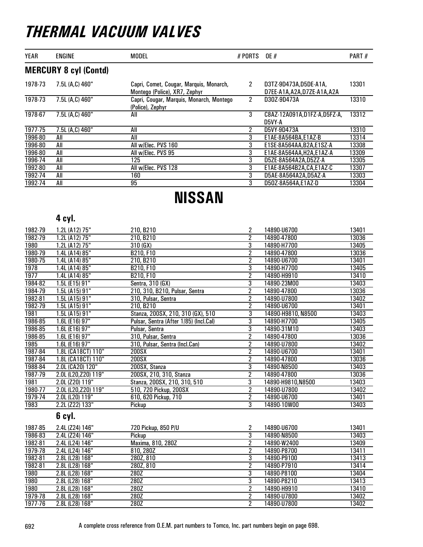| YEAR        | <b>ENGINE</b>                | <b>MODEL</b>                                                             | # PORTS OE # |                                                    | PART# |
|-------------|------------------------------|--------------------------------------------------------------------------|--------------|----------------------------------------------------|-------|
|             | <b>MERCURY 8 cyl (Contd)</b> |                                                                          |              |                                                    |       |
| 1978-73     | 7.5L (A,C) 460"              | Capri, Comet, Cougar, Marquis, Monarch,<br>Montego (Police), XR7, Zephyr | 2            | D3TZ-9D473A,D5DE-A1A,<br>D7EE-A1A.A2A.D7ZE-A1A.A2A | 13301 |
| 1978-73     | 7.5L (A,C) 460"              | Capri, Cougar, Marquis, Monarch, Montego<br>(Police), Zephyr             | 2            | D30Z-9D473A                                        | 13310 |
| 1978-67     | 7.5L (A,C) 460"              | All                                                                      | 3            | C8AZ-12A091A,D1FZ-A,D5FZ-A,<br>D5VY-A              | 13312 |
| $1977 - 75$ | 7.5L (A,C) 460"              | All                                                                      | 2            | D5VY-9D473A                                        | 13310 |
| 1996-80     | All                          | All                                                                      | 3            | E1AE-8A564BA.E1AZ-B                                | 13314 |
| 1996-80     | All                          | All w/Elec. PVS 160                                                      | 3            | E1SE-8A564AA.B2A.E1SZ-A                            | 13308 |
| 1996-80     | All                          | All w/Elec. PVS 95                                                       | 3            | E1AE-8A564AA.H2A.E1AZ-A                            | 13309 |
| 1996-74     | All                          | 125                                                                      | 3            | D5ZE-8A564A2A,D5ZZ-A                               | 13305 |
| 1992-80     | All                          | All w/Elec. PVS 128                                                      | 3            | E1AE-8A564B2A, CA, E1AZ-C                          | 13307 |
| 1992-74     | All                          | 160                                                                      | 3            | D5AE-8A564A2A,D5AZ-A                               | 13303 |
| 1992-74     | All                          | 95                                                                       | 3            | D50Z-8A564A,E1AZ-D                                 | 13304 |

### NISSAN

#### 4 cyl.

| 1982-79 | 1.2L (A12) 75"       | 210, B210                              | 2              | 14890-U6700        | 13401 |
|---------|----------------------|----------------------------------------|----------------|--------------------|-------|
| 1982-79 | 1.2L (A12) 75"       | 210, B210                              | $\overline{2}$ | 14890-47800        | 13036 |
| 1980    | 1.2L (A12) 75"       | 310(GX)                                | $\overline{3}$ | 14890-H7700        | 13405 |
| 1980-79 | 1.4L (A14) 85"       | B210, F10                              | $\overline{2}$ | 14890-47800        | 13036 |
| 1980-75 | 1.4L (A14) 85"       | 210, B210                              | $\overline{2}$ | 14890-U6700        | 13401 |
| 1978    | 1.4L (A14) 85"       | B210, F10                              | 3              | 14890-H7700        | 13405 |
| 1977    | 1.4L (A14) 85"       | B210, F10                              | $\overline{2}$ | 14890-H9910        | 13410 |
| 1984-82 | 1.5L (E15) 91"       | Sentra, 310 (GX)                       | $\overline{3}$ | 14890-23M00        | 13403 |
| 1984-79 | 1.5L(A15)91"         | 210, 310, B210, Pulsar, Sentra         | $\overline{2}$ | 14890-47800        | 13036 |
| 1982-81 | 1.5L (A15) 91"       | 310, Pulsar, Sentra                    | $\overline{2}$ | 14890-U7800        | 13402 |
| 1982-79 | 1.5L (A15) 91"       | 210, B210                              | $\overline{2}$ | 14890-U6700        | 13401 |
| 1981    | 1.5L(A15)91"         | Stanza, 200SX, 210, 310 (GX), 510      | 3              | 14890-H9810, N8500 | 13403 |
| 1986-85 | 1.6L (E16) 97"       | Pulsar, Sentra (After 1/85) (Incl.Cal) | $\overline{3}$ | 14890-H7700        | 13405 |
| 1986-85 | 1.6L (E16) $97"$     | Pulsar, Sentra                         | $\overline{3}$ | 14890-31M10        | 13403 |
| 1986-85 | 1.6L (E16) 97"       | 310, Pulsar, Sentra                    | $\overline{2}$ | 14890-47800        | 13036 |
| 1985    | 1.6L (E16) 97"       | 310, Pulsar, Sentra (Incl.Can)         | $\overline{2}$ | 14890-U7800        | 13402 |
| 1987-84 | 1.8L (CA18CT) 110"   | 200SX                                  | $\overline{2}$ | 14890-U6700        | 13401 |
| 1987-84 | 1.8L (CA18CT) 110"   | $200$ SX                               | $\overline{2}$ | 14890-47800        | 13036 |
| 1988-84 | 2.0L (CA20) 120"     | 200SX, Stanza                          | $\overline{3}$ | 14890-N8500        | 13403 |
| 1987-79 | 2.0L (L20, Z20) 119" | 200SX, 210, 310, Stanza                | $\overline{2}$ | 14890-47800        | 13036 |
| 1981    | 2.0L (Z20) 119"      | Stanza, 200SX, 210, 310, 510           | $\overline{3}$ | 14890-H9810,N8500  | 13403 |
| 1980-77 | 2.0L (L20, Z20) 119" | 510, 720 Pickup, 200SX                 | $\overline{2}$ | 14890-U7800        | 13402 |
| 1979-74 | 2.0L (L20) 119"      | 610, 620 Pickup, 710                   | $\overline{2}$ | 14890-U6700        | 13401 |
| 1983    | 2.2L (Z22) 133"      | Pickup                                 | 3              | 14890-10W00        | 13403 |
|         | 6 cyl.               |                                        |                |                    |       |
| 1987-85 | 2.4L (Z24) 146"      | 720 Pickup, 850 P/U                    | 2              | 14890-U6700        | 13401 |
| 1986-83 | 2.4L (Z24) 146"      | Pickup                                 | $\overline{3}$ | 14890-N8500        | 13403 |
| 1982-81 | 2.4L (L24) 146"      | Maxima, 810, 280Z                      | $\overline{2}$ | 14890-W2400        | 13409 |
| 1979-78 | 2.4L (L24) 146"      | 810, 280Z                              | $\overline{2}$ | 14890-P8700        | 13411 |
| 1982-81 | 2.8L (L28) 168"      | 280Z, 810                              | $\overline{3}$ | 14890-P9100        | 13413 |
| 1982-81 | 2.8L (L28) 168"      | 280Z, 810                              | $\overline{2}$ | 14890-P7910        | 13414 |
| 1980    | 2.8L (L28) 168"      | 280Z                                   | $\overline{3}$ | 14890-P8100        | 13404 |

1980 2.8L (L28) 168" 280Z 3 14890-P8100 13404

1980 2.8L (L28) 168" 280Z 2 14890-H9910 13410 1979-78 2.8L (L28) 168" 280Z 2 14890-U7800 13402

2.8L (L28) 168" 280Z 3<br>2.8L (L28) 168" 280Z 2

2.8L (L28) 168"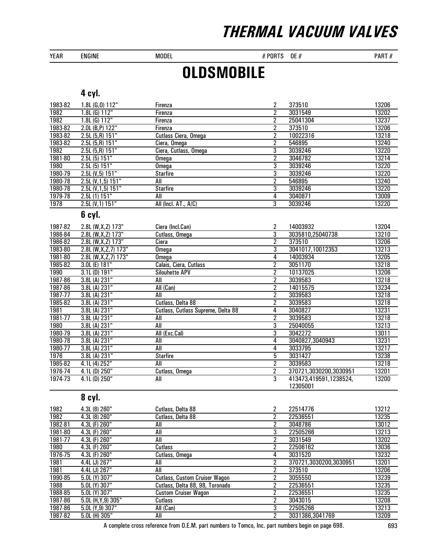YEAR ENGINE MODEL MODEL # PORTS OE # PART #

## **OLDSMOBILE**

### 4 cyl.

| 1983-82 | 1.8L (G,0) 112"            | Firenza                            | $\overline{\mathbf{2}}$ | 373510                 | 13206 |
|---------|----------------------------|------------------------------------|-------------------------|------------------------|-------|
| 1982    | $1.8L$ (G) $112"$          | Firenza                            | $\overline{2}$          | 3031549                | 13202 |
| 1982    | $1.8L$ (G) $112"$          | Firenza                            | $\overline{2}$          | 25041304               | 13237 |
| 1983-82 | 2.0L (B, P) 122"           | Firenza                            | $\overline{2}$          | 373510                 | 13206 |
| 1983-82 | $2.5L(5,R)$ 151"           | Cutlass Ciera, Omega               | $\overline{2}$          | 10022316               | 13218 |
| 1983-82 | $2.5L(5,R)$ 151"           | Ciera, Omega                       | $\overline{2}$          | 546895                 | 13240 |
| 1982    | $2.5L(5,R)$ 151"           | Ciera, Cutlass, Omega              | $\overline{3}$          | 3039246                | 13220 |
| 1981-80 | 2.5L(5) 151"               | Omega                              | $\overline{2}$          | 3046782                | 13214 |
| 1980    | 2.5L(5) 151"               | Omega                              | $\overline{3}$          | 3039246                | 13220 |
| 1980-79 | 2.5L (V, 5) 151"           | <b>Starfire</b>                    | $\overline{3}$          | 3039246                | 13220 |
| 1980-78 | 2.5L (V, 1, 5) 151"        | All                                | $\overline{2}$          | 546895                 | 13240 |
| 1980-78 | 2.5L (V, 1, 5) 151"        | <b>Starfire</b>                    | $\overline{3}$          | 3039246                | 13220 |
| 1979-78 | 2.5L(1) 151"               | All                                | 4                       | 3040871                | 13009 |
| 1978    | 2.5L (V, 1) 151"           | All (Incl. AT., A/C)               | $\overline{3}$          | 3039246                | 13220 |
|         | 6 cyl.                     |                                    |                         |                        |       |
| 1987-82 | 2.8L (W,X,Z) 173"          | Ciera (Incl.Can)                   | 2                       | 14003932               | 13204 |
| 1986-84 | 2.8L (W, X, Z) 173"        | Cutlass, Omega                     | 3                       | 3035810,25040738       | 13210 |
| 1986-82 | 2.8L (W, X, Z) 173"        | Ciera                              | $\overline{2}$          | 373510                 | 13206 |
| 1983-80 | $2.8L$ (W, X, Z, 7) $173"$ | <b>Omega</b>                       | $\overline{3}$          | 3041017,10012353       | 13213 |
| 1981-80 | 2.8L (W, X, Z, 7) 173"     | Omega                              | 4                       | 14003934               | 13205 |
| 1985-82 | 3.0L (E) 181"              | Calais, Ciera, Cutlass             | $\overline{2}$          | 3051170                | 13218 |
| 1990    | 3.1L (D) 191"              | <b>Silouhette APV</b>              | $\overline{2}$          | 10137025               | 13206 |
| 1987-86 | 3.8L (A) 231"              | All                                | $\overline{2}$          | 3039583                | 13218 |
| 1987-86 | 3.8L (A) 231"              | All (Can)                          | $\overline{2}$          | 14015575               | 13234 |
| 1987-77 | 3.8L (A) 231"              | All                                | $\overline{2}$          | 3039583                | 13218 |
| 1985-82 | 3.8L (A) 231"              | Cutlass, Delta 88                  | $\overline{2}$          | 3039583                | 13218 |
| 1981    | 3.8L (A) 231"              | Cutlass, Cutlass Supreme, Delta 88 | 4                       | 3040827                | 13231 |
| 1981-77 | 3.8L (A) 231"              | All                                | $\overline{2}$          | 3039583                | 13218 |
| 1980    | 3.8L (A) 231"              | All                                | $\overline{3}$          | 25040055               | 13213 |
| 1980-79 | 3.8L (A) 231"              | All (Exc.Cal)                      | $\overline{3}$          | 3042272                | 13011 |
| 1980-78 | 3.8L (A) 231"              | All                                | 4                       | 3040827,3040943        | 13231 |
| 1980-77 | 3.8L(A) 231"               | All                                | 4                       | 3033795                | 13217 |
| 1976    | 3.8L (A) 231"              | <b>Starfire</b>                    | $\overline{5}$          | 3031427                | 13238 |
| 1985-82 | 4.1L (4) 252"              | All                                | $\overline{2}$          | 3039583                | 13218 |
| 1976-74 | $4.1L$ (D) $250"$          | Cutlass, Omega                     | $\overline{2}$          | 370721,3030200,3030951 | 13201 |
| 1974-73 | $4.1L$ (D) $250"$          | All                                | $\overline{3}$          | 413473,419591,1238524, | 13200 |
|         |                            |                                    |                         | 12305001               |       |

### 8 cyl.

| 1982    | 4.3L (8) 260"         | Cutlass, Delta 88                    | 2 | 22514776               | 13212 |
|---------|-----------------------|--------------------------------------|---|------------------------|-------|
| 1982    | 4.3L (8) 260"         | Cutlass, Delta 88                    | 2 | 22536551               | 13235 |
| 1982-81 | 4.3L (F) 260"         | All                                  | າ | 3048786                | 13012 |
| 1981-80 | 4.3L (F) 260"         | All                                  | 3 | 22505266               | 13213 |
| 1981-77 | 4.3L (F) 260"         | All                                  | 2 | 3031549                | 13202 |
| 1980    | 4.3L (F) 260"         | Cutlass                              | 2 | 22506162               | 13036 |
| 1976-75 | 4.3L (F) 260"         | Cutlass, Omega                       | 4 | 3031520                | 13232 |
| 1981    | 4.4L (J) 267"         | All                                  | 2 | 370721,3030200,3030951 | 13201 |
| 1981    | 4.4L (J) 267"         | All                                  | 2 | 373510                 | 13206 |
| 1990-85 | 5.0L (Y) 307"         | <b>Cutlass, Custom Cruiser Wagon</b> | 2 | 3055550                | 13239 |
| 1988    | 5.0L (Y) 307"         | Cutlass, Delta 88, 98, Toronado      | 2 | 22536551               | 13235 |
| 1988-85 | 5.0L (Y) 307"         | <b>Custom Cruiser Wagon</b>          | 2 | 22536551               | 13235 |
| 1987-86 | $5.0L$ (H, Y, 9) 305" | Cutlass                              | າ | 3043015                | 13208 |
| 1987-86 | 5.0L (Y, 9) 307"      | All (Can)                            | 3 | 22505266               | 13213 |
| 1987-82 | 5.0L (H) 305"         | All                                  | 2 | 3031386.3041769        | 13209 |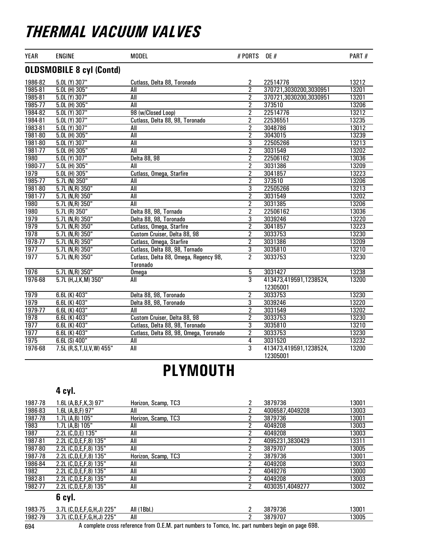| <b>YEAR</b>       | <b>ENGINE</b>                   | <b>MODEL</b>                                      | # PORTS        | <b>OE</b> #                        | PART# |
|-------------------|---------------------------------|---------------------------------------------------|----------------|------------------------------------|-------|
|                   | <b>OLDSMOBILE 8 cyl (Contd)</b> |                                                   |                |                                    |       |
| 1986-82           | 5.0L (Y) 307"                   | Cutlass, Delta 88, Toronado                       | 2              | 22514776                           | 13212 |
| 1985-81           | 5.0L (H) 305"                   | All                                               | $\overline{2}$ | 370721,3030200,3030951             | 13201 |
| 1985-81           | 5.0L (Y) 307"                   | All                                               | $\overline{2}$ | 370721,3030200,3030951             | 13201 |
| 1985-77           | 5.0L (H) 305"                   | <b>All</b>                                        | $\overline{2}$ | 373510                             | 13206 |
| 1984-82           | $5.0L$ (Y) 307"                 | 98 (w/Closed Loop)                                | $\overline{2}$ | 22514776                           | 13212 |
| 1984-81           | 5.0L (Y) 307"                   | Cutlass, Delta 88, 98, Toronado                   | $\overline{2}$ | 22536551                           | 13235 |
| 1983-81           | 5.0L (Y) 307"                   | All                                               | $\overline{2}$ | 3048786                            | 13012 |
| 1981-80           | 5.0L (H) 305"                   | All                                               | $\overline{2}$ | 3043015                            | 13239 |
| 1981-80           | $5.0L$ (Y) 307"                 | All                                               | $\overline{3}$ | 22505266                           | 13213 |
| 1981-77           | 5.0L (H) 305"                   | All                                               | $\overline{2}$ | 3031549                            | 13202 |
| 1980              | $5.0L$ (Y) $307"$               | Delta 88, 98                                      | 2              | 22506162                           | 13036 |
| 1980-77           | 5.0L (H) 305"                   | All                                               | $\overline{2}$ | 3031386                            | 13209 |
| 1979              | 5.0L (H) 305"                   | Cutlass, Omega, Starfire                          | $\overline{2}$ | 3041857                            | 13223 |
| 1985-77           | $5.7L$ (N) $350"$               | All                                               | $\overline{2}$ | 373510                             | 13206 |
| 1981-80           | 5.7L (N,R) 350"                 | All                                               | $\overline{3}$ | 22505266                           | 13213 |
| 1981-77           | $5.7L$ (N,R) $350"$             | All                                               | $\overline{c}$ | 3031549                            | 13202 |
| 1980              | $5.7L$ (N,R) $350"$             | All                                               | $\overline{2}$ | 3031385                            | 13206 |
| <b>1980</b>       | 5.7L (R) 350"                   | Delta 88, 98, Tornado                             | $\overline{2}$ | 22506162                           | 13036 |
| 1979              | 5.7L (N,R) 350"                 | Delta 88, 98, Toronado                            | $\overline{3}$ | 3039246                            | 13220 |
| 1979              | $5.7L(N,R)$ 350"                | Cutlass, Omega, Starfire                          | $\overline{2}$ | 3041857                            | 13223 |
| 1978              | $5.7L(N,R)$ 350"                | Custom Cruiser, Delta 88, 98                      | $\overline{2}$ | 3033753                            | 13230 |
| 1978-77           | 5.7L (N,R) 350"                 | Cutlass, Omega, Starfire                          | $\overline{2}$ | 3031386                            | 13209 |
| $\overline{1977}$ | 5.7L (N,R) 350"                 | Cutlass, Delta 88, 98, Tornado                    | $\overline{3}$ | 3035810                            | 13210 |
| 1977              | $5.7L(N,R)$ 350"                | Cutlass, Delta 88, Omega, Regency 98,<br>Toronado | $\overline{2}$ | 3033753                            | 13230 |
| 1976              | $5.7L(N,R)$ 350"                | <b>Omega</b>                                      | 5              | 3031427                            | 13238 |
| 1976-68           | 5.7L (H, J, K, M) 350"          | All                                               | $\overline{3}$ | 413473,419591,1238524,<br>12305001 | 13200 |
| 1979              | 6.6L (K) 403"                   | Delta 88, 98, Toronado                            | $\overline{2}$ | 3033753                            | 13230 |
| 1979              | 6.6L (K) 403"                   | Delta 88, 98, Toronado                            | $\overline{3}$ | 3039246                            | 13220 |
| 1979-77           | 6.6L (K) 403"                   | All                                               | $\overline{2}$ | 3031549                            | 13202 |
| 1978              | $6.6L$ (K) $403"$               | Custom Cruiser, Delta 88, 98                      | $\overline{2}$ | 3033753                            | 13230 |
| 1977              | 6.6L (K) 403"                   | Cutlass, Delta 88, 98, Toronado                   | 3              | 3035810                            | 13210 |
| 1977              | 6.6L (K) 403"                   | Cutlass, Delta 88, 98, Omega, Toronado            | $\overline{2}$ | 3033753                            | 13230 |
| 1975              | $6.6L(S)$ 400"                  | $\overline{All}$                                  | $\overline{4}$ | 3031520                            | 13232 |
| 1976-68           | 7.5L (R, S, T, U, V, W) 455"    | All                                               | 3              | 413473,419591,1238524,<br>12305001 | 13200 |

### PLYMOUTH

#### 4 cyl.

| 1987-78 | $1.6L$ (A,B,F,K,3) 97"    | Horizon, Scamp, TC3 | 2 | 3879736         | 13001 |
|---------|---------------------------|---------------------|---|-----------------|-------|
| 1986-83 | 1.6L (A,B,F) 97"          | All                 | 2 | 4006587.4049208 | 13003 |
| 1987-78 | 1.7L (A.B) 105"           | Horizon, Scamp, TC3 | 2 | 3879736         | 13001 |
| 1983    | 1.7L (A,B) 105"           | All                 | 2 | 4049208         | 13003 |
| 1987    | 2.2L (C,D,E) 135"         | All                 | 2 | 4049208         | 13003 |
| 1987-81 | 2.2L (C,D,E,F,8) 135"     | All                 | 2 | 4095231.3830429 | 13311 |
| 1987-80 | 2.2L (C,D,E,F,8) 135"     | All                 | 2 | 3879707         | 13005 |
| 1987-78 | 2.2L (C,D,E,F,8) 135"     | Horizon, Scamp, TC3 | 2 | 3879736         | 13001 |
| 1986-84 | 2.2L (C,D,E,F,8) 135"     | All                 | 2 | 4049208         | 13003 |
| 1982    | 2.2L (C, D, E, F, 8) 135" | All                 | 2 | 4049276         | 13000 |
| 1982-81 | 2.2L (C,D,E,F,8) 135"     | All                 | 2 | 4049208         | 13003 |
| 1982-77 | 2.2L (C,D,E,F,8) 135"     | All                 | 2 | 4030351.4049277 | 13002 |
|         | 6 cyl.                    |                     |   |                 |       |
| 1983-75 | 3.7L (C,D,E,F,G,H,J) 225" | All (1Bbl.)         | 2 | 3879736         | 13001 |
| 1982-79 | 3.7L (C,D,E,F,G,H,J) 225" | All                 | 2 | 3879707         | 13005 |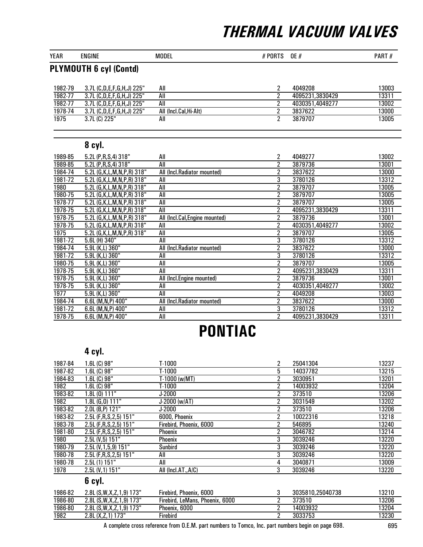| YEAR    | <b>MODEL</b><br><b>ENGINE</b>   |                                | # PORTS        | OE#             | PART# |  |
|---------|---------------------------------|--------------------------------|----------------|-----------------|-------|--|
|         | <b>PLYMOUTH 6 cyl (Contd)</b>   |                                |                |                 |       |  |
|         |                                 |                                |                |                 |       |  |
| 1982-79 | 3.7L (C,D,E,F,G,H,J) 225"       | All                            | 2              | 4049208         | 13003 |  |
| 1982-77 | 3.7L (C,D,E,F,G,H,J) 225"       | All                            | $\overline{2}$ | 4095231,3830429 | 13311 |  |
| 1982-77 | 3.7L (C,D,E,F,G,H,J) 225"       | All                            | $\overline{2}$ | 4030351,4049277 | 13002 |  |
| 1978-74 | 3.7L (C,D,E,F,G,H,J) 225"       | All (Incl.Cal, Hi-Alt)         | $\overline{2}$ | 3837622         | 13000 |  |
| 1975    | 3.7L (C) 225"                   | All                            | $\overline{2}$ | 3879707         | 13005 |  |
|         |                                 |                                |                |                 |       |  |
|         | 8 cyl.                          |                                |                |                 |       |  |
| 1989-85 | 5.2L (P,R,S,4) 318"             | All                            | 2              | 4049277         | 13002 |  |
| 1989-85 | 5.2L (P, R, S, 4) 318"          | All                            | $\overline{2}$ | 3879736         | 13001 |  |
| 1984-74 | 5.2L (G, K, L, M, N, P, R) 318" | All (Incl.Radiator mounted)    | $\overline{2}$ | 3837622         | 13000 |  |
| 1981-72 | 5.2L (G, K, L, M, N, P, R) 318" | All                            | 3              | 3780126         | 13312 |  |
| 1980    | 5.2L (G, K, L, M, N, P, R) 318" | All                            | $\overline{2}$ | 3879707         | 13005 |  |
| 1980-75 | 5.2L (G, K, L, M, N, P, R) 318" | All                            | $\overline{2}$ | 3879707         | 13005 |  |
| 1978-77 | 5.2L (G, K, L, M, N, P, R) 318" | All                            | $\overline{2}$ | 3879707         | 13005 |  |
| 1978-75 | 5.2L (G, K, L, M, N, P, R) 318" | All                            | $\overline{2}$ | 4095231,3830429 | 13311 |  |
| 1978-75 | 5.2L (G, K, L, M, N, P, R) 318" | All (Incl.Cal, Engine mounted) | $\overline{2}$ | 3879736         | 13001 |  |
| 1978-75 | 5.2L (G, K, L, M, N, P, R) 318" | All                            | 2              | 4030351,4049277 | 13002 |  |
| 1975    | 5.2L (G, K, L, M, N, P, R) 318" | All                            | $\overline{2}$ | 3879707         | 13005 |  |
| 1981-72 | 5.6L (H) 340"                   | All                            | $\overline{3}$ | 3780126         | 13312 |  |
| 1984-74 | 5.9L (K,L) 360"                 | All (Incl.Radiator mounted)    | $\overline{2}$ | 3837622         | 13000 |  |
| 1981-72 | 5.9L (K,L) 360"                 | All                            | $\overline{3}$ | 3780126         | 13312 |  |
| 1980-75 | 5.9L (K,L) 360"                 | All                            | $\overline{2}$ | 3879707         | 13005 |  |
| 1978-75 | 5.9L (K,L) 360"                 | All                            | $\overline{2}$ | 4095231,3830429 | 13311 |  |
| 1978-75 | 5.9L (K,L) 360"                 | All (Incl.Engine mounted)      | $\overline{2}$ | 3879736         | 13001 |  |
| 1978-75 | 5.9L (K,L) 360"                 | All                            | $\overline{2}$ | 4030351,4049277 | 13002 |  |
| 1977    | 5.9L (K,L) 360"                 | <b>All</b>                     | $\overline{2}$ | 4049208         | 13003 |  |
| 1984-74 | 6.6L (M, N, P) 400"             | All (Incl.Radiator mounted)    | $\overline{2}$ | 3837622         | 13000 |  |
| 1981-72 | 6.6L (M, N, P) 400"             | All                            | 3              | 3780126         | 13312 |  |
| 1978-75 | 6.6L (M, N, P) 400"             | All                            | $\overline{c}$ | 4095231,3830429 | 13311 |  |

# PONTIAC

#### 4 cyl.

| 1987-84 | $1.6L(G)$ 98"                | T-1000                          | 2              | 25041304         | 13237 |
|---------|------------------------------|---------------------------------|----------------|------------------|-------|
| 1987-82 | 1.6L (C) 98"                 | T-1000                          | 5              | 14037782         | 13215 |
| 1984-83 | $1.6L(G)$ 98"                | T-1000 (w/MT)                   | 2              | 3030951          | 13201 |
| 1982    | 1.6L (C) 98"                 | T-1000                          | 2              | 14003932         | 13204 |
| 1983-82 | $1.8L(0)$ 111"               | J-2000                          | 2              | 373510           | 13206 |
| 1982    | 1.8L (G,0) 111"              | J-2000 (w/AT)                   | 2              | 3031549          | 13202 |
| 1983-82 | 2.0L (B,P) 121"              | J-2000                          | 2              | 373510           | 13206 |
| 1983-82 | 2.5L (F,R,S,2,5) 151"        | 6000, Phoenix                   | 2              | 10022316         | 13218 |
| 1983-78 | 2.5L (F, R, S, 2, 5) 151"    | Firebird, Phoenix, 6000         | 2              | 546895           | 13240 |
| 1981-80 | 2.5L (F,R,S,2,5) 151"        | <b>Phoenix</b>                  | 2              | 3046782          | 13214 |
| 1980    | 2.5L (V,5) 151"              | Phoenix                         | 3              | 3039246          | 13220 |
| 1980-79 | 2.5L (V, 1, 5, 9) 151"       | Sunbird                         | 3              | 3039246          | 13220 |
| 1980-78 | 2.5L (F, R, S, 2, 5) 151"    | All                             | 3              | 3039246          | 13220 |
| 1980-78 | 2.5L(1) 151"                 | All                             | 4              | 3040871          | 13009 |
| 1978    | 2.5L (V,1) 151"              | All (Incl.AT.,A/C)              | 3              | 3039246          | 13220 |
|         | 6 cyl.                       |                                 |                |                  |       |
| 1986-82 | 2.8L (S, W, X, Z, 1, 9) 173" | Firebird, Phoenix, 6000         | 3              | 3035810.25040738 | 13210 |
| 1986-80 | 2.8L (S, W, X, Z, 1, 9) 173" | Firebird, LeMans, Phoenix, 6000 | 2              | 373510           | 13206 |
| 1986-80 | 2.8L (S, W, X, Z, 1, 9) 173" | Phoenix, 6000                   | 2              | 14003932         | 13204 |
| 1982    | 2.8L (X, Z, 1) 173"          | Firebird                        | $\overline{2}$ | 3033753          | 13230 |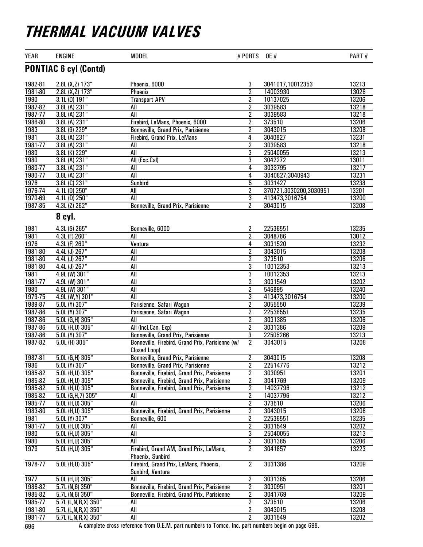| <b>PONTIAC 6 cyl (Contd)</b><br>1982-81<br>2.8L (X, Z) 173"<br>Phoenix, 6000<br>3<br>13213<br>3041017,10012353<br>$\overline{2}$<br>1981-80<br>2.8L (X, Z) 173"<br>14003930<br>13026<br>Phoenix<br>$3.1L$ (D) $191"$<br>10137025<br>13206<br>1990<br><b>Transport APV</b><br>2<br>1987-82<br>$\overline{2}$<br>13218<br>3.8L (A) 231"<br>3039583<br>All<br>$\overline{2}$<br>1987-77<br>13218<br>3.8L(A) 231"<br>3039583<br>All<br>1986-80<br>$\overline{2}$<br>13206<br>3.8L (A) 231"<br>Firebird, LeMans, Phoenix, 6000<br>373510<br>1983<br>13208<br>3.8L (9) 229"<br>$\overline{2}$<br>3043015<br>Bonneville, Grand Prix, Parisienne<br>1981<br>3.8L (A) 231"<br>13231<br>4<br>3040827<br>Firebird, Grand Prix, LeMans<br>1981-77<br>2<br>13218<br>3.8L (A) 231"<br>3039583<br>All<br>13213<br><b>1980</b><br>All<br>3<br>3.8L (K) 229"<br>25040055<br>$\overline{3}$<br>1980<br>13011<br>3.8L (A) 231"<br>All (Exc.Cal)<br>3042272<br>1980-77<br>3033795<br>13217<br>3.8L (A) 231"<br>4<br>All<br>1980-77<br>13231<br>3.8L (A) 231"<br>4<br>All<br>3040827,3040943<br>1976<br>$\overline{5}$<br>13238<br>3.8L (C) 231"<br>3031427<br><b>Sunbird</b><br>1976-74<br>2<br>370721,3030200,3030951<br>13201<br>4.1L (D) 250"<br>All<br>1970-69<br>3<br>13200<br>413473,3016754<br>4.1L (D) 250"<br>All<br>$\overline{2}$<br>1987-85<br>13208<br>4.3L (Z) 262"<br>Bonneville, Grand Prix, Parisienne<br>3043015<br>8 cyl.<br>Bonneville, 6000<br>22536551<br>13235<br>1981<br>4.3L (S) 265"<br>2<br>1981<br>2<br>13012<br>4.3L (F) 260"<br>All<br>3048786<br>1976<br>13232<br>4.3L (F) 260"<br>Ventura<br>4<br>3031520<br>$\overline{2}$<br>1981-80<br>13208<br>4.4L (J) 267"<br>All<br>3043015<br>$\overline{2}$<br>13206<br>1981-80<br>4.4L (J) 267"<br>All<br>373510<br>1981-80<br>13213<br>4.4L (J) 267"<br>3<br>10012353<br>All<br>1981<br>3<br>10012353<br>13213<br>4.9L (W) 301"<br>All<br>1981-77<br>2<br>3031549<br>13202<br>4.9L (W) 301"<br>All<br><b>1980</b><br>$\overline{2}$<br>13240<br>4.9L (W) 301"<br>All<br>546895<br>1979-75<br>$\overline{3}$<br>13200<br>All<br>413473,3016754<br>4.9L (W, Y) 301"<br>1989-87<br>$\overline{2}$<br>13239<br>5.0L (Y) 307"<br>Parisienne, Safari Wagon<br>3055550<br>$\overline{2}$<br>13235<br>1987-86<br>5.0L (Y) 307"<br>22536551<br>Parisienne, Safari Wagon<br>1987-86<br>$\overline{2}$<br>5.0L (G,H) 305"<br>3031385<br>13206<br>All<br>1987-86<br>3031386<br>13209<br>5.0L (H,U) 305"<br>All (Incl.Can, Exp)<br>2<br>1987-86<br>$\overline{3}$<br>22505266<br>13213<br>5.0L (Y) 307"<br><b>Bonneville, Grand Prix, Parisienne</b><br>1987-82<br>$\overline{2}$<br>13208<br>5.0L (H) 305"<br>3043015<br>Bonneville, Firebird, Grand Prix, Parisienne (w/<br>Closed Loop)<br>$5.0L$ (G,H) $305"$<br>13208<br>1987-81<br>Bonneville, Grand Prix, Parisienne<br>$\overline{2}$<br>3043015<br>$\overline{2}$<br>$5.0L$ (Y) $307"$<br>22514776<br>13212<br>1986<br>Bonneville, Grand Prix, Parisienne<br>1985-82<br>3030951<br>13201<br>5.0L (H,U) 305"<br>Bonneville, Firebird, Grand Prix, Parisienne<br>2<br>13209<br>1985-82<br>2<br>3041769<br>5.0L (H,U) 305"<br>Bonneville, Firebird, Grand Prix, Parisienne<br>$\overline{2}$<br>1985-82<br>13212<br>$5.0L$ (H,U) 305"<br>Bonneville, Firebird, Grand Prix, Parisienne<br>14037796<br>2<br>13212<br>1985-82<br>$5.0L$ (G, H, 7) $305"$<br>14037796<br>All<br>$\overline{\mathbf{2}}$<br>1985-77<br>$5.0L$ (H,U) $305"$<br>All<br>373510<br>13206<br>1983-80<br>2<br>13208<br>5.0L (H,U) 305"<br>Bonneville, Firebird, Grand Prix, Parisienne<br>3043015<br>1981<br>2<br>13235<br>5.0L (Y) 307"<br>Bonneville, 600<br>22536551<br>2<br>13202<br>1981-77<br>5.0L (H,U) 305"<br>3031549<br>All<br>$\overline{3}$<br>1980<br>All<br>25040055<br>13213<br>5.0L (H,U) 305"<br>$\overline{c}$<br>1980<br>5.0L (H,U) 305"<br>All<br>3031385<br>13206<br>1979<br>$\overline{2}$<br>Firebird, Grand AM, Grand Prix, LeMans,<br>3041857<br>13223<br>5.0L (H,U) 305"<br>Phoenix, Sunbird<br>1978-77<br>$\overline{2}$<br>5.0L (H,U) 305"<br>Firebird, Grand Prix, LeMans, Phoenix,<br>3031386<br>13209<br>Sunbird, Ventura<br>1977<br>$\overline{2}$<br>13206<br>5.0L (H,U) 305"<br>All<br>3031385<br>1986-82<br>2<br>13201<br>5.7L(N,6)350"<br>Bonneville, Firebird, Grand Prix, Parisienne<br>3030951<br>1985-82<br>$5.7L(N,6)$ 350"<br>2<br>3041769<br>13209<br>Bonneville, Firebird, Grand Prix, Parisienne<br>1985-77<br>$\overline{c}$<br>373510<br>13206<br>5.7L (L,N,R,X) 350"<br>All<br>1981-80<br>2<br>13208<br>5.7L (L,N,R,X) 350"<br>All<br>3043015<br>1981-77<br>13202<br>All<br>2<br>3031549<br>5.7L (L,N,R,X) 350" | <b>YEAR</b> | <b>ENGINE</b> | <b>MODEL</b> | # PORTS | <b>OE</b> # | PART# |
|--------------------------------------------------------------------------------------------------------------------------------------------------------------------------------------------------------------------------------------------------------------------------------------------------------------------------------------------------------------------------------------------------------------------------------------------------------------------------------------------------------------------------------------------------------------------------------------------------------------------------------------------------------------------------------------------------------------------------------------------------------------------------------------------------------------------------------------------------------------------------------------------------------------------------------------------------------------------------------------------------------------------------------------------------------------------------------------------------------------------------------------------------------------------------------------------------------------------------------------------------------------------------------------------------------------------------------------------------------------------------------------------------------------------------------------------------------------------------------------------------------------------------------------------------------------------------------------------------------------------------------------------------------------------------------------------------------------------------------------------------------------------------------------------------------------------------------------------------------------------------------------------------------------------------------------------------------------------------------------------------------------------------------------------------------------------------------------------------------------------------------------------------------------------------------------------------------------------------------------------------------------------------------------------------------------------------------------------------------------------------------------------------------------------------------------------------------------------------------------------------------------------------------------------------------------------------------------------------------------------------------------------------------------------------------------------------------------------------------------------------------------------------------------------------------------------------------------------------------------------------------------------------------------------------------------------------------------------------------------------------------------------------------------------------------------------------------------------------------------------------------------------------------------------------------------------------------------------------------------------------------------------------------------------------------------------------------------------------------------------------------------------------------------------------------------------------------------------------------------------------------------------------------------------------------------------------------------------------------------------------------------------------------------------------------------------------------------------------------------------------------------------------------------------------------------------------------------------------------------------------------------------------------------------------------------------------------------------------------------------------------------------------------------------------------------------------------------------------------------------------------------------------------------------------------------------------------------------------------------------------------------------------------------------------------------------------------------------------------------------------------------------------------------------------------------------------------------------------------------------------------------------------------------------------------------------------------------------------------------------------------------|-------------|---------------|--------------|---------|-------------|-------|
|                                                                                                                                                                                                                                                                                                                                                                                                                                                                                                                                                                                                                                                                                                                                                                                                                                                                                                                                                                                                                                                                                                                                                                                                                                                                                                                                                                                                                                                                                                                                                                                                                                                                                                                                                                                                                                                                                                                                                                                                                                                                                                                                                                                                                                                                                                                                                                                                                                                                                                                                                                                                                                                                                                                                                                                                                                                                                                                                                                                                                                                                                                                                                                                                                                                                                                                                                                                                                                                                                                                                                                                                                                                                                                                                                                                                                                                                                                                                                                                                                                                                                                                                                                                                                                                                                                                                                                                                                                                                                                                                                                                                                                      |             |               |              |         |             |       |
|                                                                                                                                                                                                                                                                                                                                                                                                                                                                                                                                                                                                                                                                                                                                                                                                                                                                                                                                                                                                                                                                                                                                                                                                                                                                                                                                                                                                                                                                                                                                                                                                                                                                                                                                                                                                                                                                                                                                                                                                                                                                                                                                                                                                                                                                                                                                                                                                                                                                                                                                                                                                                                                                                                                                                                                                                                                                                                                                                                                                                                                                                                                                                                                                                                                                                                                                                                                                                                                                                                                                                                                                                                                                                                                                                                                                                                                                                                                                                                                                                                                                                                                                                                                                                                                                                                                                                                                                                                                                                                                                                                                                                                      |             |               |              |         |             |       |
|                                                                                                                                                                                                                                                                                                                                                                                                                                                                                                                                                                                                                                                                                                                                                                                                                                                                                                                                                                                                                                                                                                                                                                                                                                                                                                                                                                                                                                                                                                                                                                                                                                                                                                                                                                                                                                                                                                                                                                                                                                                                                                                                                                                                                                                                                                                                                                                                                                                                                                                                                                                                                                                                                                                                                                                                                                                                                                                                                                                                                                                                                                                                                                                                                                                                                                                                                                                                                                                                                                                                                                                                                                                                                                                                                                                                                                                                                                                                                                                                                                                                                                                                                                                                                                                                                                                                                                                                                                                                                                                                                                                                                                      |             |               |              |         |             |       |
|                                                                                                                                                                                                                                                                                                                                                                                                                                                                                                                                                                                                                                                                                                                                                                                                                                                                                                                                                                                                                                                                                                                                                                                                                                                                                                                                                                                                                                                                                                                                                                                                                                                                                                                                                                                                                                                                                                                                                                                                                                                                                                                                                                                                                                                                                                                                                                                                                                                                                                                                                                                                                                                                                                                                                                                                                                                                                                                                                                                                                                                                                                                                                                                                                                                                                                                                                                                                                                                                                                                                                                                                                                                                                                                                                                                                                                                                                                                                                                                                                                                                                                                                                                                                                                                                                                                                                                                                                                                                                                                                                                                                                                      |             |               |              |         |             |       |
|                                                                                                                                                                                                                                                                                                                                                                                                                                                                                                                                                                                                                                                                                                                                                                                                                                                                                                                                                                                                                                                                                                                                                                                                                                                                                                                                                                                                                                                                                                                                                                                                                                                                                                                                                                                                                                                                                                                                                                                                                                                                                                                                                                                                                                                                                                                                                                                                                                                                                                                                                                                                                                                                                                                                                                                                                                                                                                                                                                                                                                                                                                                                                                                                                                                                                                                                                                                                                                                                                                                                                                                                                                                                                                                                                                                                                                                                                                                                                                                                                                                                                                                                                                                                                                                                                                                                                                                                                                                                                                                                                                                                                                      |             |               |              |         |             |       |
|                                                                                                                                                                                                                                                                                                                                                                                                                                                                                                                                                                                                                                                                                                                                                                                                                                                                                                                                                                                                                                                                                                                                                                                                                                                                                                                                                                                                                                                                                                                                                                                                                                                                                                                                                                                                                                                                                                                                                                                                                                                                                                                                                                                                                                                                                                                                                                                                                                                                                                                                                                                                                                                                                                                                                                                                                                                                                                                                                                                                                                                                                                                                                                                                                                                                                                                                                                                                                                                                                                                                                                                                                                                                                                                                                                                                                                                                                                                                                                                                                                                                                                                                                                                                                                                                                                                                                                                                                                                                                                                                                                                                                                      |             |               |              |         |             |       |
|                                                                                                                                                                                                                                                                                                                                                                                                                                                                                                                                                                                                                                                                                                                                                                                                                                                                                                                                                                                                                                                                                                                                                                                                                                                                                                                                                                                                                                                                                                                                                                                                                                                                                                                                                                                                                                                                                                                                                                                                                                                                                                                                                                                                                                                                                                                                                                                                                                                                                                                                                                                                                                                                                                                                                                                                                                                                                                                                                                                                                                                                                                                                                                                                                                                                                                                                                                                                                                                                                                                                                                                                                                                                                                                                                                                                                                                                                                                                                                                                                                                                                                                                                                                                                                                                                                                                                                                                                                                                                                                                                                                                                                      |             |               |              |         |             |       |
|                                                                                                                                                                                                                                                                                                                                                                                                                                                                                                                                                                                                                                                                                                                                                                                                                                                                                                                                                                                                                                                                                                                                                                                                                                                                                                                                                                                                                                                                                                                                                                                                                                                                                                                                                                                                                                                                                                                                                                                                                                                                                                                                                                                                                                                                                                                                                                                                                                                                                                                                                                                                                                                                                                                                                                                                                                                                                                                                                                                                                                                                                                                                                                                                                                                                                                                                                                                                                                                                                                                                                                                                                                                                                                                                                                                                                                                                                                                                                                                                                                                                                                                                                                                                                                                                                                                                                                                                                                                                                                                                                                                                                                      |             |               |              |         |             |       |
|                                                                                                                                                                                                                                                                                                                                                                                                                                                                                                                                                                                                                                                                                                                                                                                                                                                                                                                                                                                                                                                                                                                                                                                                                                                                                                                                                                                                                                                                                                                                                                                                                                                                                                                                                                                                                                                                                                                                                                                                                                                                                                                                                                                                                                                                                                                                                                                                                                                                                                                                                                                                                                                                                                                                                                                                                                                                                                                                                                                                                                                                                                                                                                                                                                                                                                                                                                                                                                                                                                                                                                                                                                                                                                                                                                                                                                                                                                                                                                                                                                                                                                                                                                                                                                                                                                                                                                                                                                                                                                                                                                                                                                      |             |               |              |         |             |       |
|                                                                                                                                                                                                                                                                                                                                                                                                                                                                                                                                                                                                                                                                                                                                                                                                                                                                                                                                                                                                                                                                                                                                                                                                                                                                                                                                                                                                                                                                                                                                                                                                                                                                                                                                                                                                                                                                                                                                                                                                                                                                                                                                                                                                                                                                                                                                                                                                                                                                                                                                                                                                                                                                                                                                                                                                                                                                                                                                                                                                                                                                                                                                                                                                                                                                                                                                                                                                                                                                                                                                                                                                                                                                                                                                                                                                                                                                                                                                                                                                                                                                                                                                                                                                                                                                                                                                                                                                                                                                                                                                                                                                                                      |             |               |              |         |             |       |
|                                                                                                                                                                                                                                                                                                                                                                                                                                                                                                                                                                                                                                                                                                                                                                                                                                                                                                                                                                                                                                                                                                                                                                                                                                                                                                                                                                                                                                                                                                                                                                                                                                                                                                                                                                                                                                                                                                                                                                                                                                                                                                                                                                                                                                                                                                                                                                                                                                                                                                                                                                                                                                                                                                                                                                                                                                                                                                                                                                                                                                                                                                                                                                                                                                                                                                                                                                                                                                                                                                                                                                                                                                                                                                                                                                                                                                                                                                                                                                                                                                                                                                                                                                                                                                                                                                                                                                                                                                                                                                                                                                                                                                      |             |               |              |         |             |       |
|                                                                                                                                                                                                                                                                                                                                                                                                                                                                                                                                                                                                                                                                                                                                                                                                                                                                                                                                                                                                                                                                                                                                                                                                                                                                                                                                                                                                                                                                                                                                                                                                                                                                                                                                                                                                                                                                                                                                                                                                                                                                                                                                                                                                                                                                                                                                                                                                                                                                                                                                                                                                                                                                                                                                                                                                                                                                                                                                                                                                                                                                                                                                                                                                                                                                                                                                                                                                                                                                                                                                                                                                                                                                                                                                                                                                                                                                                                                                                                                                                                                                                                                                                                                                                                                                                                                                                                                                                                                                                                                                                                                                                                      |             |               |              |         |             |       |
|                                                                                                                                                                                                                                                                                                                                                                                                                                                                                                                                                                                                                                                                                                                                                                                                                                                                                                                                                                                                                                                                                                                                                                                                                                                                                                                                                                                                                                                                                                                                                                                                                                                                                                                                                                                                                                                                                                                                                                                                                                                                                                                                                                                                                                                                                                                                                                                                                                                                                                                                                                                                                                                                                                                                                                                                                                                                                                                                                                                                                                                                                                                                                                                                                                                                                                                                                                                                                                                                                                                                                                                                                                                                                                                                                                                                                                                                                                                                                                                                                                                                                                                                                                                                                                                                                                                                                                                                                                                                                                                                                                                                                                      |             |               |              |         |             |       |
|                                                                                                                                                                                                                                                                                                                                                                                                                                                                                                                                                                                                                                                                                                                                                                                                                                                                                                                                                                                                                                                                                                                                                                                                                                                                                                                                                                                                                                                                                                                                                                                                                                                                                                                                                                                                                                                                                                                                                                                                                                                                                                                                                                                                                                                                                                                                                                                                                                                                                                                                                                                                                                                                                                                                                                                                                                                                                                                                                                                                                                                                                                                                                                                                                                                                                                                                                                                                                                                                                                                                                                                                                                                                                                                                                                                                                                                                                                                                                                                                                                                                                                                                                                                                                                                                                                                                                                                                                                                                                                                                                                                                                                      |             |               |              |         |             |       |
|                                                                                                                                                                                                                                                                                                                                                                                                                                                                                                                                                                                                                                                                                                                                                                                                                                                                                                                                                                                                                                                                                                                                                                                                                                                                                                                                                                                                                                                                                                                                                                                                                                                                                                                                                                                                                                                                                                                                                                                                                                                                                                                                                                                                                                                                                                                                                                                                                                                                                                                                                                                                                                                                                                                                                                                                                                                                                                                                                                                                                                                                                                                                                                                                                                                                                                                                                                                                                                                                                                                                                                                                                                                                                                                                                                                                                                                                                                                                                                                                                                                                                                                                                                                                                                                                                                                                                                                                                                                                                                                                                                                                                                      |             |               |              |         |             |       |
|                                                                                                                                                                                                                                                                                                                                                                                                                                                                                                                                                                                                                                                                                                                                                                                                                                                                                                                                                                                                                                                                                                                                                                                                                                                                                                                                                                                                                                                                                                                                                                                                                                                                                                                                                                                                                                                                                                                                                                                                                                                                                                                                                                                                                                                                                                                                                                                                                                                                                                                                                                                                                                                                                                                                                                                                                                                                                                                                                                                                                                                                                                                                                                                                                                                                                                                                                                                                                                                                                                                                                                                                                                                                                                                                                                                                                                                                                                                                                                                                                                                                                                                                                                                                                                                                                                                                                                                                                                                                                                                                                                                                                                      |             |               |              |         |             |       |
|                                                                                                                                                                                                                                                                                                                                                                                                                                                                                                                                                                                                                                                                                                                                                                                                                                                                                                                                                                                                                                                                                                                                                                                                                                                                                                                                                                                                                                                                                                                                                                                                                                                                                                                                                                                                                                                                                                                                                                                                                                                                                                                                                                                                                                                                                                                                                                                                                                                                                                                                                                                                                                                                                                                                                                                                                                                                                                                                                                                                                                                                                                                                                                                                                                                                                                                                                                                                                                                                                                                                                                                                                                                                                                                                                                                                                                                                                                                                                                                                                                                                                                                                                                                                                                                                                                                                                                                                                                                                                                                                                                                                                                      |             |               |              |         |             |       |
|                                                                                                                                                                                                                                                                                                                                                                                                                                                                                                                                                                                                                                                                                                                                                                                                                                                                                                                                                                                                                                                                                                                                                                                                                                                                                                                                                                                                                                                                                                                                                                                                                                                                                                                                                                                                                                                                                                                                                                                                                                                                                                                                                                                                                                                                                                                                                                                                                                                                                                                                                                                                                                                                                                                                                                                                                                                                                                                                                                                                                                                                                                                                                                                                                                                                                                                                                                                                                                                                                                                                                                                                                                                                                                                                                                                                                                                                                                                                                                                                                                                                                                                                                                                                                                                                                                                                                                                                                                                                                                                                                                                                                                      |             |               |              |         |             |       |
|                                                                                                                                                                                                                                                                                                                                                                                                                                                                                                                                                                                                                                                                                                                                                                                                                                                                                                                                                                                                                                                                                                                                                                                                                                                                                                                                                                                                                                                                                                                                                                                                                                                                                                                                                                                                                                                                                                                                                                                                                                                                                                                                                                                                                                                                                                                                                                                                                                                                                                                                                                                                                                                                                                                                                                                                                                                                                                                                                                                                                                                                                                                                                                                                                                                                                                                                                                                                                                                                                                                                                                                                                                                                                                                                                                                                                                                                                                                                                                                                                                                                                                                                                                                                                                                                                                                                                                                                                                                                                                                                                                                                                                      |             |               |              |         |             |       |
|                                                                                                                                                                                                                                                                                                                                                                                                                                                                                                                                                                                                                                                                                                                                                                                                                                                                                                                                                                                                                                                                                                                                                                                                                                                                                                                                                                                                                                                                                                                                                                                                                                                                                                                                                                                                                                                                                                                                                                                                                                                                                                                                                                                                                                                                                                                                                                                                                                                                                                                                                                                                                                                                                                                                                                                                                                                                                                                                                                                                                                                                                                                                                                                                                                                                                                                                                                                                                                                                                                                                                                                                                                                                                                                                                                                                                                                                                                                                                                                                                                                                                                                                                                                                                                                                                                                                                                                                                                                                                                                                                                                                                                      |             |               |              |         |             |       |
|                                                                                                                                                                                                                                                                                                                                                                                                                                                                                                                                                                                                                                                                                                                                                                                                                                                                                                                                                                                                                                                                                                                                                                                                                                                                                                                                                                                                                                                                                                                                                                                                                                                                                                                                                                                                                                                                                                                                                                                                                                                                                                                                                                                                                                                                                                                                                                                                                                                                                                                                                                                                                                                                                                                                                                                                                                                                                                                                                                                                                                                                                                                                                                                                                                                                                                                                                                                                                                                                                                                                                                                                                                                                                                                                                                                                                                                                                                                                                                                                                                                                                                                                                                                                                                                                                                                                                                                                                                                                                                                                                                                                                                      |             |               |              |         |             |       |
|                                                                                                                                                                                                                                                                                                                                                                                                                                                                                                                                                                                                                                                                                                                                                                                                                                                                                                                                                                                                                                                                                                                                                                                                                                                                                                                                                                                                                                                                                                                                                                                                                                                                                                                                                                                                                                                                                                                                                                                                                                                                                                                                                                                                                                                                                                                                                                                                                                                                                                                                                                                                                                                                                                                                                                                                                                                                                                                                                                                                                                                                                                                                                                                                                                                                                                                                                                                                                                                                                                                                                                                                                                                                                                                                                                                                                                                                                                                                                                                                                                                                                                                                                                                                                                                                                                                                                                                                                                                                                                                                                                                                                                      |             |               |              |         |             |       |
|                                                                                                                                                                                                                                                                                                                                                                                                                                                                                                                                                                                                                                                                                                                                                                                                                                                                                                                                                                                                                                                                                                                                                                                                                                                                                                                                                                                                                                                                                                                                                                                                                                                                                                                                                                                                                                                                                                                                                                                                                                                                                                                                                                                                                                                                                                                                                                                                                                                                                                                                                                                                                                                                                                                                                                                                                                                                                                                                                                                                                                                                                                                                                                                                                                                                                                                                                                                                                                                                                                                                                                                                                                                                                                                                                                                                                                                                                                                                                                                                                                                                                                                                                                                                                                                                                                                                                                                                                                                                                                                                                                                                                                      |             |               |              |         |             |       |
|                                                                                                                                                                                                                                                                                                                                                                                                                                                                                                                                                                                                                                                                                                                                                                                                                                                                                                                                                                                                                                                                                                                                                                                                                                                                                                                                                                                                                                                                                                                                                                                                                                                                                                                                                                                                                                                                                                                                                                                                                                                                                                                                                                                                                                                                                                                                                                                                                                                                                                                                                                                                                                                                                                                                                                                                                                                                                                                                                                                                                                                                                                                                                                                                                                                                                                                                                                                                                                                                                                                                                                                                                                                                                                                                                                                                                                                                                                                                                                                                                                                                                                                                                                                                                                                                                                                                                                                                                                                                                                                                                                                                                                      |             |               |              |         |             |       |
|                                                                                                                                                                                                                                                                                                                                                                                                                                                                                                                                                                                                                                                                                                                                                                                                                                                                                                                                                                                                                                                                                                                                                                                                                                                                                                                                                                                                                                                                                                                                                                                                                                                                                                                                                                                                                                                                                                                                                                                                                                                                                                                                                                                                                                                                                                                                                                                                                                                                                                                                                                                                                                                                                                                                                                                                                                                                                                                                                                                                                                                                                                                                                                                                                                                                                                                                                                                                                                                                                                                                                                                                                                                                                                                                                                                                                                                                                                                                                                                                                                                                                                                                                                                                                                                                                                                                                                                                                                                                                                                                                                                                                                      |             |               |              |         |             |       |
|                                                                                                                                                                                                                                                                                                                                                                                                                                                                                                                                                                                                                                                                                                                                                                                                                                                                                                                                                                                                                                                                                                                                                                                                                                                                                                                                                                                                                                                                                                                                                                                                                                                                                                                                                                                                                                                                                                                                                                                                                                                                                                                                                                                                                                                                                                                                                                                                                                                                                                                                                                                                                                                                                                                                                                                                                                                                                                                                                                                                                                                                                                                                                                                                                                                                                                                                                                                                                                                                                                                                                                                                                                                                                                                                                                                                                                                                                                                                                                                                                                                                                                                                                                                                                                                                                                                                                                                                                                                                                                                                                                                                                                      |             |               |              |         |             |       |
|                                                                                                                                                                                                                                                                                                                                                                                                                                                                                                                                                                                                                                                                                                                                                                                                                                                                                                                                                                                                                                                                                                                                                                                                                                                                                                                                                                                                                                                                                                                                                                                                                                                                                                                                                                                                                                                                                                                                                                                                                                                                                                                                                                                                                                                                                                                                                                                                                                                                                                                                                                                                                                                                                                                                                                                                                                                                                                                                                                                                                                                                                                                                                                                                                                                                                                                                                                                                                                                                                                                                                                                                                                                                                                                                                                                                                                                                                                                                                                                                                                                                                                                                                                                                                                                                                                                                                                                                                                                                                                                                                                                                                                      |             |               |              |         |             |       |
|                                                                                                                                                                                                                                                                                                                                                                                                                                                                                                                                                                                                                                                                                                                                                                                                                                                                                                                                                                                                                                                                                                                                                                                                                                                                                                                                                                                                                                                                                                                                                                                                                                                                                                                                                                                                                                                                                                                                                                                                                                                                                                                                                                                                                                                                                                                                                                                                                                                                                                                                                                                                                                                                                                                                                                                                                                                                                                                                                                                                                                                                                                                                                                                                                                                                                                                                                                                                                                                                                                                                                                                                                                                                                                                                                                                                                                                                                                                                                                                                                                                                                                                                                                                                                                                                                                                                                                                                                                                                                                                                                                                                                                      |             |               |              |         |             |       |
|                                                                                                                                                                                                                                                                                                                                                                                                                                                                                                                                                                                                                                                                                                                                                                                                                                                                                                                                                                                                                                                                                                                                                                                                                                                                                                                                                                                                                                                                                                                                                                                                                                                                                                                                                                                                                                                                                                                                                                                                                                                                                                                                                                                                                                                                                                                                                                                                                                                                                                                                                                                                                                                                                                                                                                                                                                                                                                                                                                                                                                                                                                                                                                                                                                                                                                                                                                                                                                                                                                                                                                                                                                                                                                                                                                                                                                                                                                                                                                                                                                                                                                                                                                                                                                                                                                                                                                                                                                                                                                                                                                                                                                      |             |               |              |         |             |       |
|                                                                                                                                                                                                                                                                                                                                                                                                                                                                                                                                                                                                                                                                                                                                                                                                                                                                                                                                                                                                                                                                                                                                                                                                                                                                                                                                                                                                                                                                                                                                                                                                                                                                                                                                                                                                                                                                                                                                                                                                                                                                                                                                                                                                                                                                                                                                                                                                                                                                                                                                                                                                                                                                                                                                                                                                                                                                                                                                                                                                                                                                                                                                                                                                                                                                                                                                                                                                                                                                                                                                                                                                                                                                                                                                                                                                                                                                                                                                                                                                                                                                                                                                                                                                                                                                                                                                                                                                                                                                                                                                                                                                                                      |             |               |              |         |             |       |
|                                                                                                                                                                                                                                                                                                                                                                                                                                                                                                                                                                                                                                                                                                                                                                                                                                                                                                                                                                                                                                                                                                                                                                                                                                                                                                                                                                                                                                                                                                                                                                                                                                                                                                                                                                                                                                                                                                                                                                                                                                                                                                                                                                                                                                                                                                                                                                                                                                                                                                                                                                                                                                                                                                                                                                                                                                                                                                                                                                                                                                                                                                                                                                                                                                                                                                                                                                                                                                                                                                                                                                                                                                                                                                                                                                                                                                                                                                                                                                                                                                                                                                                                                                                                                                                                                                                                                                                                                                                                                                                                                                                                                                      |             |               |              |         |             |       |
|                                                                                                                                                                                                                                                                                                                                                                                                                                                                                                                                                                                                                                                                                                                                                                                                                                                                                                                                                                                                                                                                                                                                                                                                                                                                                                                                                                                                                                                                                                                                                                                                                                                                                                                                                                                                                                                                                                                                                                                                                                                                                                                                                                                                                                                                                                                                                                                                                                                                                                                                                                                                                                                                                                                                                                                                                                                                                                                                                                                                                                                                                                                                                                                                                                                                                                                                                                                                                                                                                                                                                                                                                                                                                                                                                                                                                                                                                                                                                                                                                                                                                                                                                                                                                                                                                                                                                                                                                                                                                                                                                                                                                                      |             |               |              |         |             |       |
|                                                                                                                                                                                                                                                                                                                                                                                                                                                                                                                                                                                                                                                                                                                                                                                                                                                                                                                                                                                                                                                                                                                                                                                                                                                                                                                                                                                                                                                                                                                                                                                                                                                                                                                                                                                                                                                                                                                                                                                                                                                                                                                                                                                                                                                                                                                                                                                                                                                                                                                                                                                                                                                                                                                                                                                                                                                                                                                                                                                                                                                                                                                                                                                                                                                                                                                                                                                                                                                                                                                                                                                                                                                                                                                                                                                                                                                                                                                                                                                                                                                                                                                                                                                                                                                                                                                                                                                                                                                                                                                                                                                                                                      |             |               |              |         |             |       |
|                                                                                                                                                                                                                                                                                                                                                                                                                                                                                                                                                                                                                                                                                                                                                                                                                                                                                                                                                                                                                                                                                                                                                                                                                                                                                                                                                                                                                                                                                                                                                                                                                                                                                                                                                                                                                                                                                                                                                                                                                                                                                                                                                                                                                                                                                                                                                                                                                                                                                                                                                                                                                                                                                                                                                                                                                                                                                                                                                                                                                                                                                                                                                                                                                                                                                                                                                                                                                                                                                                                                                                                                                                                                                                                                                                                                                                                                                                                                                                                                                                                                                                                                                                                                                                                                                                                                                                                                                                                                                                                                                                                                                                      |             |               |              |         |             |       |
|                                                                                                                                                                                                                                                                                                                                                                                                                                                                                                                                                                                                                                                                                                                                                                                                                                                                                                                                                                                                                                                                                                                                                                                                                                                                                                                                                                                                                                                                                                                                                                                                                                                                                                                                                                                                                                                                                                                                                                                                                                                                                                                                                                                                                                                                                                                                                                                                                                                                                                                                                                                                                                                                                                                                                                                                                                                                                                                                                                                                                                                                                                                                                                                                                                                                                                                                                                                                                                                                                                                                                                                                                                                                                                                                                                                                                                                                                                                                                                                                                                                                                                                                                                                                                                                                                                                                                                                                                                                                                                                                                                                                                                      |             |               |              |         |             |       |
|                                                                                                                                                                                                                                                                                                                                                                                                                                                                                                                                                                                                                                                                                                                                                                                                                                                                                                                                                                                                                                                                                                                                                                                                                                                                                                                                                                                                                                                                                                                                                                                                                                                                                                                                                                                                                                                                                                                                                                                                                                                                                                                                                                                                                                                                                                                                                                                                                                                                                                                                                                                                                                                                                                                                                                                                                                                                                                                                                                                                                                                                                                                                                                                                                                                                                                                                                                                                                                                                                                                                                                                                                                                                                                                                                                                                                                                                                                                                                                                                                                                                                                                                                                                                                                                                                                                                                                                                                                                                                                                                                                                                                                      |             |               |              |         |             |       |
|                                                                                                                                                                                                                                                                                                                                                                                                                                                                                                                                                                                                                                                                                                                                                                                                                                                                                                                                                                                                                                                                                                                                                                                                                                                                                                                                                                                                                                                                                                                                                                                                                                                                                                                                                                                                                                                                                                                                                                                                                                                                                                                                                                                                                                                                                                                                                                                                                                                                                                                                                                                                                                                                                                                                                                                                                                                                                                                                                                                                                                                                                                                                                                                                                                                                                                                                                                                                                                                                                                                                                                                                                                                                                                                                                                                                                                                                                                                                                                                                                                                                                                                                                                                                                                                                                                                                                                                                                                                                                                                                                                                                                                      |             |               |              |         |             |       |
|                                                                                                                                                                                                                                                                                                                                                                                                                                                                                                                                                                                                                                                                                                                                                                                                                                                                                                                                                                                                                                                                                                                                                                                                                                                                                                                                                                                                                                                                                                                                                                                                                                                                                                                                                                                                                                                                                                                                                                                                                                                                                                                                                                                                                                                                                                                                                                                                                                                                                                                                                                                                                                                                                                                                                                                                                                                                                                                                                                                                                                                                                                                                                                                                                                                                                                                                                                                                                                                                                                                                                                                                                                                                                                                                                                                                                                                                                                                                                                                                                                                                                                                                                                                                                                                                                                                                                                                                                                                                                                                                                                                                                                      |             |               |              |         |             |       |
|                                                                                                                                                                                                                                                                                                                                                                                                                                                                                                                                                                                                                                                                                                                                                                                                                                                                                                                                                                                                                                                                                                                                                                                                                                                                                                                                                                                                                                                                                                                                                                                                                                                                                                                                                                                                                                                                                                                                                                                                                                                                                                                                                                                                                                                                                                                                                                                                                                                                                                                                                                                                                                                                                                                                                                                                                                                                                                                                                                                                                                                                                                                                                                                                                                                                                                                                                                                                                                                                                                                                                                                                                                                                                                                                                                                                                                                                                                                                                                                                                                                                                                                                                                                                                                                                                                                                                                                                                                                                                                                                                                                                                                      |             |               |              |         |             |       |
|                                                                                                                                                                                                                                                                                                                                                                                                                                                                                                                                                                                                                                                                                                                                                                                                                                                                                                                                                                                                                                                                                                                                                                                                                                                                                                                                                                                                                                                                                                                                                                                                                                                                                                                                                                                                                                                                                                                                                                                                                                                                                                                                                                                                                                                                                                                                                                                                                                                                                                                                                                                                                                                                                                                                                                                                                                                                                                                                                                                                                                                                                                                                                                                                                                                                                                                                                                                                                                                                                                                                                                                                                                                                                                                                                                                                                                                                                                                                                                                                                                                                                                                                                                                                                                                                                                                                                                                                                                                                                                                                                                                                                                      |             |               |              |         |             |       |
|                                                                                                                                                                                                                                                                                                                                                                                                                                                                                                                                                                                                                                                                                                                                                                                                                                                                                                                                                                                                                                                                                                                                                                                                                                                                                                                                                                                                                                                                                                                                                                                                                                                                                                                                                                                                                                                                                                                                                                                                                                                                                                                                                                                                                                                                                                                                                                                                                                                                                                                                                                                                                                                                                                                                                                                                                                                                                                                                                                                                                                                                                                                                                                                                                                                                                                                                                                                                                                                                                                                                                                                                                                                                                                                                                                                                                                                                                                                                                                                                                                                                                                                                                                                                                                                                                                                                                                                                                                                                                                                                                                                                                                      |             |               |              |         |             |       |
|                                                                                                                                                                                                                                                                                                                                                                                                                                                                                                                                                                                                                                                                                                                                                                                                                                                                                                                                                                                                                                                                                                                                                                                                                                                                                                                                                                                                                                                                                                                                                                                                                                                                                                                                                                                                                                                                                                                                                                                                                                                                                                                                                                                                                                                                                                                                                                                                                                                                                                                                                                                                                                                                                                                                                                                                                                                                                                                                                                                                                                                                                                                                                                                                                                                                                                                                                                                                                                                                                                                                                                                                                                                                                                                                                                                                                                                                                                                                                                                                                                                                                                                                                                                                                                                                                                                                                                                                                                                                                                                                                                                                                                      |             |               |              |         |             |       |
|                                                                                                                                                                                                                                                                                                                                                                                                                                                                                                                                                                                                                                                                                                                                                                                                                                                                                                                                                                                                                                                                                                                                                                                                                                                                                                                                                                                                                                                                                                                                                                                                                                                                                                                                                                                                                                                                                                                                                                                                                                                                                                                                                                                                                                                                                                                                                                                                                                                                                                                                                                                                                                                                                                                                                                                                                                                                                                                                                                                                                                                                                                                                                                                                                                                                                                                                                                                                                                                                                                                                                                                                                                                                                                                                                                                                                                                                                                                                                                                                                                                                                                                                                                                                                                                                                                                                                                                                                                                                                                                                                                                                                                      |             |               |              |         |             |       |
|                                                                                                                                                                                                                                                                                                                                                                                                                                                                                                                                                                                                                                                                                                                                                                                                                                                                                                                                                                                                                                                                                                                                                                                                                                                                                                                                                                                                                                                                                                                                                                                                                                                                                                                                                                                                                                                                                                                                                                                                                                                                                                                                                                                                                                                                                                                                                                                                                                                                                                                                                                                                                                                                                                                                                                                                                                                                                                                                                                                                                                                                                                                                                                                                                                                                                                                                                                                                                                                                                                                                                                                                                                                                                                                                                                                                                                                                                                                                                                                                                                                                                                                                                                                                                                                                                                                                                                                                                                                                                                                                                                                                                                      |             |               |              |         |             |       |
|                                                                                                                                                                                                                                                                                                                                                                                                                                                                                                                                                                                                                                                                                                                                                                                                                                                                                                                                                                                                                                                                                                                                                                                                                                                                                                                                                                                                                                                                                                                                                                                                                                                                                                                                                                                                                                                                                                                                                                                                                                                                                                                                                                                                                                                                                                                                                                                                                                                                                                                                                                                                                                                                                                                                                                                                                                                                                                                                                                                                                                                                                                                                                                                                                                                                                                                                                                                                                                                                                                                                                                                                                                                                                                                                                                                                                                                                                                                                                                                                                                                                                                                                                                                                                                                                                                                                                                                                                                                                                                                                                                                                                                      |             |               |              |         |             |       |
|                                                                                                                                                                                                                                                                                                                                                                                                                                                                                                                                                                                                                                                                                                                                                                                                                                                                                                                                                                                                                                                                                                                                                                                                                                                                                                                                                                                                                                                                                                                                                                                                                                                                                                                                                                                                                                                                                                                                                                                                                                                                                                                                                                                                                                                                                                                                                                                                                                                                                                                                                                                                                                                                                                                                                                                                                                                                                                                                                                                                                                                                                                                                                                                                                                                                                                                                                                                                                                                                                                                                                                                                                                                                                                                                                                                                                                                                                                                                                                                                                                                                                                                                                                                                                                                                                                                                                                                                                                                                                                                                                                                                                                      |             |               |              |         |             |       |
|                                                                                                                                                                                                                                                                                                                                                                                                                                                                                                                                                                                                                                                                                                                                                                                                                                                                                                                                                                                                                                                                                                                                                                                                                                                                                                                                                                                                                                                                                                                                                                                                                                                                                                                                                                                                                                                                                                                                                                                                                                                                                                                                                                                                                                                                                                                                                                                                                                                                                                                                                                                                                                                                                                                                                                                                                                                                                                                                                                                                                                                                                                                                                                                                                                                                                                                                                                                                                                                                                                                                                                                                                                                                                                                                                                                                                                                                                                                                                                                                                                                                                                                                                                                                                                                                                                                                                                                                                                                                                                                                                                                                                                      |             |               |              |         |             |       |
|                                                                                                                                                                                                                                                                                                                                                                                                                                                                                                                                                                                                                                                                                                                                                                                                                                                                                                                                                                                                                                                                                                                                                                                                                                                                                                                                                                                                                                                                                                                                                                                                                                                                                                                                                                                                                                                                                                                                                                                                                                                                                                                                                                                                                                                                                                                                                                                                                                                                                                                                                                                                                                                                                                                                                                                                                                                                                                                                                                                                                                                                                                                                                                                                                                                                                                                                                                                                                                                                                                                                                                                                                                                                                                                                                                                                                                                                                                                                                                                                                                                                                                                                                                                                                                                                                                                                                                                                                                                                                                                                                                                                                                      |             |               |              |         |             |       |
|                                                                                                                                                                                                                                                                                                                                                                                                                                                                                                                                                                                                                                                                                                                                                                                                                                                                                                                                                                                                                                                                                                                                                                                                                                                                                                                                                                                                                                                                                                                                                                                                                                                                                                                                                                                                                                                                                                                                                                                                                                                                                                                                                                                                                                                                                                                                                                                                                                                                                                                                                                                                                                                                                                                                                                                                                                                                                                                                                                                                                                                                                                                                                                                                                                                                                                                                                                                                                                                                                                                                                                                                                                                                                                                                                                                                                                                                                                                                                                                                                                                                                                                                                                                                                                                                                                                                                                                                                                                                                                                                                                                                                                      |             |               |              |         |             |       |
|                                                                                                                                                                                                                                                                                                                                                                                                                                                                                                                                                                                                                                                                                                                                                                                                                                                                                                                                                                                                                                                                                                                                                                                                                                                                                                                                                                                                                                                                                                                                                                                                                                                                                                                                                                                                                                                                                                                                                                                                                                                                                                                                                                                                                                                                                                                                                                                                                                                                                                                                                                                                                                                                                                                                                                                                                                                                                                                                                                                                                                                                                                                                                                                                                                                                                                                                                                                                                                                                                                                                                                                                                                                                                                                                                                                                                                                                                                                                                                                                                                                                                                                                                                                                                                                                                                                                                                                                                                                                                                                                                                                                                                      |             |               |              |         |             |       |
|                                                                                                                                                                                                                                                                                                                                                                                                                                                                                                                                                                                                                                                                                                                                                                                                                                                                                                                                                                                                                                                                                                                                                                                                                                                                                                                                                                                                                                                                                                                                                                                                                                                                                                                                                                                                                                                                                                                                                                                                                                                                                                                                                                                                                                                                                                                                                                                                                                                                                                                                                                                                                                                                                                                                                                                                                                                                                                                                                                                                                                                                                                                                                                                                                                                                                                                                                                                                                                                                                                                                                                                                                                                                                                                                                                                                                                                                                                                                                                                                                                                                                                                                                                                                                                                                                                                                                                                                                                                                                                                                                                                                                                      |             |               |              |         |             |       |
|                                                                                                                                                                                                                                                                                                                                                                                                                                                                                                                                                                                                                                                                                                                                                                                                                                                                                                                                                                                                                                                                                                                                                                                                                                                                                                                                                                                                                                                                                                                                                                                                                                                                                                                                                                                                                                                                                                                                                                                                                                                                                                                                                                                                                                                                                                                                                                                                                                                                                                                                                                                                                                                                                                                                                                                                                                                                                                                                                                                                                                                                                                                                                                                                                                                                                                                                                                                                                                                                                                                                                                                                                                                                                                                                                                                                                                                                                                                                                                                                                                                                                                                                                                                                                                                                                                                                                                                                                                                                                                                                                                                                                                      |             |               |              |         |             |       |
|                                                                                                                                                                                                                                                                                                                                                                                                                                                                                                                                                                                                                                                                                                                                                                                                                                                                                                                                                                                                                                                                                                                                                                                                                                                                                                                                                                                                                                                                                                                                                                                                                                                                                                                                                                                                                                                                                                                                                                                                                                                                                                                                                                                                                                                                                                                                                                                                                                                                                                                                                                                                                                                                                                                                                                                                                                                                                                                                                                                                                                                                                                                                                                                                                                                                                                                                                                                                                                                                                                                                                                                                                                                                                                                                                                                                                                                                                                                                                                                                                                                                                                                                                                                                                                                                                                                                                                                                                                                                                                                                                                                                                                      |             |               |              |         |             |       |
|                                                                                                                                                                                                                                                                                                                                                                                                                                                                                                                                                                                                                                                                                                                                                                                                                                                                                                                                                                                                                                                                                                                                                                                                                                                                                                                                                                                                                                                                                                                                                                                                                                                                                                                                                                                                                                                                                                                                                                                                                                                                                                                                                                                                                                                                                                                                                                                                                                                                                                                                                                                                                                                                                                                                                                                                                                                                                                                                                                                                                                                                                                                                                                                                                                                                                                                                                                                                                                                                                                                                                                                                                                                                                                                                                                                                                                                                                                                                                                                                                                                                                                                                                                                                                                                                                                                                                                                                                                                                                                                                                                                                                                      |             |               |              |         |             |       |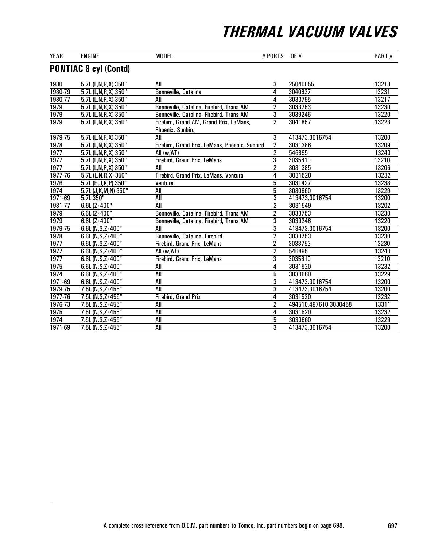| YEAR    | <b>ENGINE</b>                | <b>MODEL</b>                                                | # PORTS        | <b>OE</b> #           | PART# |
|---------|------------------------------|-------------------------------------------------------------|----------------|-----------------------|-------|
|         | <b>PONTIAC 8 cyl (Contd)</b> |                                                             |                |                       |       |
| 1980    | 5.7L (L,N,R,X) 350"          | All                                                         | 3              | 25040055              | 13213 |
| 1980-79 | 5.7L (L,N,R,X) 350"          | Bonneville, Catalina                                        | 4              | 3040827               | 13231 |
| 1980-77 | 5.7L (L,N,R,X) 350"          | All                                                         | 4              | 3033795               | 13217 |
| 1979    | 5.7L (L,N,R,X) 350"          | Bonneville, Catalina, Firebird, Trans AM                    | $\overline{2}$ | 3033753               | 13230 |
| 1979    | 5.7L (L,N,R,X) 350"          | Bonneville, Catalina, Firebird, Trans AM                    | $\overline{3}$ | 3039246               | 13220 |
| 1979    | 5.7L (L,N,R,X) 350"          | Firebird, Grand AM, Grand Prix, LeMans,<br>Phoenix, Sunbird | $\overline{2}$ | 3041857               | 13223 |
| 1979-75 | 5.7L (L,N,R,X) 350"          | All                                                         | 3              | 413473,3016754        | 13200 |
| 1978    | 5.7L (L,N,R,X) 350"          | Firebird, Grand Prix, LeMans, Phoenix, Sunbird              | $\overline{2}$ | 3031386               | 13209 |
| 1977    | 5.7L (L,N,R,X) 350"          | All (w/AT)                                                  | $\overline{2}$ | 546895                | 13240 |
| 1977    | 5.7L (L,N,R,X) 350"          | Firebird, Grand Prix, LeMans                                | $\overline{3}$ | 3035810               | 13210 |
| 1977    | 5.7L (L,N,R,X) 350"          | All                                                         | $\overline{2}$ | 3031385               | 13206 |
| 1977-76 | 5.7L (L,N,R,X) 350"          | Firebird, Grand Prix, LeMans, Ventura                       | 4              | 3031520               | 13232 |
| 1976    | 5.7L (H, J, K, P) 350"       | Ventura                                                     | $\overline{5}$ | 3031427               | 13238 |
| 1974    | 5.7L (J, K, M, N) 350"       | All                                                         | $\overline{5}$ | 3030660               | 13229 |
| 1971-69 | 5.7L350"                     | All                                                         | $\overline{3}$ | 413473,3016754        | 13200 |
| 1981-77 | $6.6L$ (Z) $400"$            | All                                                         | $\overline{2}$ | 3031549               | 13202 |
| 1979    | $6.6L$ (Z) $400"$            | Bonneville, Catalina, Firebird, Trans AM                    | $\overline{2}$ | 3033753               | 13230 |
| 1979    | $6.6L$ (Z) $400"$            | Bonneville, Catalina, Firebird, Trans AM                    | 3              | 3039246               | 13220 |
| 1979-75 | 6.6L (N, S, Z) 400"          | All                                                         | $\overline{3}$ | 413473,3016754        | 13200 |
| 1978    | 6.6L (N, S, Z) 400"          | Bonneville, Catalina, Firebird                              | $\overline{2}$ | 3033753               | 13230 |
| 1977    | 6.6L (N, S, Z) 400"          | Firebird, Grand Prix, LeMans                                | $\overline{2}$ | 3033753               | 13230 |
| 1977    | 6.6L (N, S, Z) 400"          | All (w/AT)                                                  | $\overline{2}$ | 546895                | 13240 |
| 1977    | 6.6L (N, S, Z) 400"          | Firebird, Grand Prix, LeMans                                | $\overline{3}$ | 3035810               | 13210 |
| 1975    | 6.6L (N, S, Z) 400"          | All                                                         | 4              | 3031520               | 13232 |
| 1974    | 6.6L (N, S, Z) 400"          | All                                                         | 5              | 3030660               | 13229 |
| 1971-69 | 6.6L (N, S, Z) 400"          | <b>All</b>                                                  | $\overline{3}$ | 413473,3016754        | 13200 |
| 1979-75 | 7.5L (N, S, Z) 455"          | <b>All</b>                                                  | 3              | 413473,3016754        | 13200 |
| 1977-76 | 7.5L (N, S, Z) 455"          | Firebird, Grand Prix                                        | 4              | 3031520               | 13232 |
| 1976-73 | 7.5L (N, S, Z) 455"          | All                                                         | $\overline{2}$ | 494510,497610,3030458 | 13311 |
| 1975    | 7.5L (N, S, Z) 455"          | <b>All</b>                                                  | 4              | 3031520               | 13232 |
| 1974    | 7.5L (N, S, Z) 455"          | All                                                         | 5              | 3030660               | 13229 |
| 1971-69 | 7.5L (N, S, Z) 455"          | All                                                         | $\overline{3}$ | 413473,3016754        | 13200 |

l,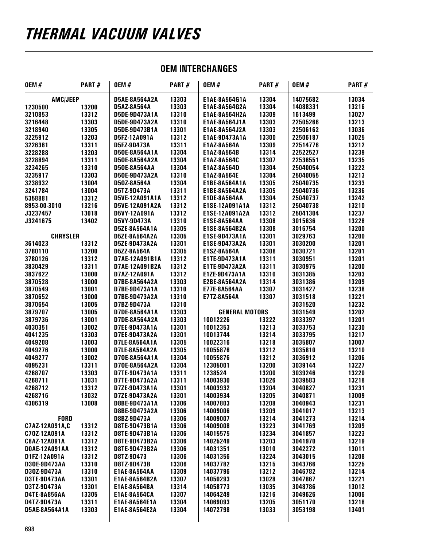#### OEM INTERCHANGES

| <b>OEM#</b>         | PART# | <b>OEM#</b>          | PART# | <b>OEM#</b>           | PART# | <b>OEM#</b> | PART# |
|---------------------|-------|----------------------|-------|-----------------------|-------|-------------|-------|
| <b>AMC/JEEP</b>     |       | <b>D5AE-8A564A2A</b> | 13303 | E1AE-8A564G1A         | 13304 | 14075682    | 13034 |
| 1230500             | 13200 | D5AZ-8A564A          | 13303 | E1AE-8A564G2A         | 13304 | 14088331    | 13216 |
| 3210853             | 13312 | D5DE-9D473A1A        | 13310 | <b>E1AE-8A564H2A</b>  | 13309 | 1613499     | 13027 |
| 3216448             | 13303 | D5DE-9D473A2A        | 13310 | E1AE-8A564J1A         | 13303 | 22505266    | 13213 |
| 3218940             | 13305 | D5DE-9D473B1A        | 13301 | E1AE-8A564J2A         | 13303 | 22506162    | 13036 |
| 3225912             | 13203 | D5FZ-12A091A         | 13312 | E1AE-9D473A1A         | 13300 | 22506187    | 13025 |
| 3226361             | 13311 | D5FZ-9D473A          | 13311 | E1AZ-8A564A           | 13309 | 22514776    | 13212 |
| 3228288             | 13203 | D50E-8A564A1A        | 13304 | E1AZ-8A564B           | 13314 | 22522527    | 13239 |
| 3228894             | 13311 | D50E-8A564A2A        | 13304 | E1AZ-8A564C           | 13307 | 22536551    | 13235 |
| 3234265             | 13310 | <b>D50E-8A564AA</b>  | 13304 | E1AZ-8A564D           | 13304 | 25040054    | 13222 |
| 3235917             | 13303 | D50E-9D473A2A        | 13310 | E1AZ-8A564E           | 13304 | 25040055    | 13213 |
| 3238932             | 13004 | D50Z-8A564A          | 13304 | E1BE-8A564A1A         | 13305 | 25040735    | 13233 |
| 3241784             | 13004 | D5TZ-9D473A          | 13311 | E1BE-8A564A2A         | 13305 | 25040736    | 13236 |
| 5358881             | 13312 | D5VE-12A091A1A       | 13312 | E1DE-8A564AA          | 13304 | 25040737    | 13242 |
| 8953-00-3010        | 13216 | D5VE-12A091A2A       | 13312 | E1SE-12A091A1A        | 13312 | 25040738    | 13210 |
| J3237457            | 13018 | D5VY-12A091A         | 13312 | E1SE-12A091A2A        | 13312 | 25041304    | 13237 |
| J3241675            | 13402 | D5VY-9D473A          | 13310 | E1SE-8A564AA          | 13308 | 3015636     | 13228 |
|                     |       | D5ZE-8A564A1A        | 13305 | E1SE-8A564B2A         | 13308 | 3016754     | 13200 |
| <b>CHRYSLER</b>     |       | D5ZE-8A564A2A        | 13305 | E1SE-9D473A1A         | 13301 | 3029763     | 13200 |
| 3614023             | 13312 | D5ZE-9D473A2A        | 13301 | E1SE-9D473A2A         | 13301 | 3030200     | 13201 |
| 3780110             | 13200 | D5ZZ-8A564A          | 13305 | E1SZ-8A564A           | 13308 | 3030721     | 13201 |
| 3780126             | 13312 | D7AE-12A091B1A       | 13312 | E1TE-9D473A1A         | 13311 | 3030951     | 13201 |
| 3830429             | 13311 | D7AE-12A091B2A       | 13312 | E1TE-9D473A2A         | 13311 | 3030975     | 13200 |
| 3837622             | 13000 | D7AZ-12A091A         | 13312 | E1ZE-9D473A1A         | 13310 | 3031385     | 13203 |
| 3870528             | 13000 | D7BE-8A564A2A        | 13303 | E2BE-8A564A2A         | 13314 | 3031386     | 13209 |
|                     | 13001 |                      |       |                       | 13307 |             |       |
| 3870549             |       | D7BE-9D473A1A        | 13310 | E77E-8A564AA          |       | 3031427     | 13238 |
| 3870652             | 13000 | D7BE-9D473A2A        | 13310 | <b>E7TZ-8A564A</b>    | 13307 | 3031518     | 13221 |
| 3870654             | 13005 | D7BZ-9D473A          | 13310 |                       |       | 3031520     | 13232 |
| 3879707             | 13005 | D7DE-8A564A1A        | 13303 | <b>GENERAL MOTORS</b> |       | 3031549     | 13202 |
| 3879736             | 13001 | D7DE-8A564A2A        | 13303 | 10012226              | 13222 | 3033397     | 13201 |
| 4030351             | 13002 | D7EE-9D473A1A        | 13301 | 10012353              | 13213 | 3033753     | 13230 |
| 4041235             | 13303 | D7EE-9D473A2A        | 13301 | 10013744              | 13214 | 3033795     | 13217 |
| 4049208             | 13003 | D7LE-8A564A1A        | 13305 | 10022316              | 13218 | 3035807     | 13007 |
| 4049276             | 13000 | D7LE-8A564A2A        | 13305 | 10055876              | 13212 | 3035810     | 13210 |
| 4049277             | 13002 | D70E-8A564A1A        | 13304 | 10055876              | 13212 | 3036912     | 13206 |
| 4095231             | 13311 | D70E-8A564A2A        | 13304 | 12305001              | 13200 | 3039144     | 13227 |
| 4268707             | 13303 | D7TE-9D473A1A        | 13311 | 1238524               | 13200 | 3039246     | 13220 |
| 4268711             | 13031 | D7TE-9D473A2A        | 13311 | 14003930              | 13026 | 3039583     | 13218 |
| 4268712             | 13312 | D7ZE-9D473A1A        | 13301 | 14003932              | 13204 | 3040827     | 13231 |
| 4268716             | 13032 | D7ZE-9D473A2A        | 13301 | 14003934              | 13205 | 3040871     | 13009 |
| 4306319             | 13008 | D8BE-9D473A1A        | 13306 | 14007803              | 13208 | 3040943     | 13231 |
|                     |       | D8BE-9D473A2A        | 13306 | 14009006              | 13209 | 3041017     | 13213 |
| <b>FORD</b>         |       | D8BZ-9D473A          | 13306 | 14009007              | 13214 | 3041273     | 13214 |
| C7AZ-12A091A,C      | 13312 | D8TE-9D473B1A        | 13306 | 14009008              | 13223 | 3041769     | 13209 |
| C70Z-12A091A        | 13312 | D8TE-9D473B1A        | 13306 | 14015575              | 13234 | 3041857     | 13223 |
| C8AZ-12A091A        | 13312 | D8TE-9D473B2A        | 13306 | 14025249              | 13203 | 3041970     | 13219 |
| DOAE-12A091AA       | 13312 | D8TE-9D473B2A        | 13306 | 14031351              | 13010 | 3042272     | 13011 |
| D1FZ-12A091A        | 13312 | D8TZ-9D473           | 13306 | 14031356              | 13224 | 3043015     | 13208 |
| D30E-9D473AA        | 13310 | D8TZ-9D473B          | 13306 | 14037782              | 13215 | 3043766     | 13225 |
| D30Z-9D473A         | 13310 | E1AE-8A564AA         | 13309 | 14037796              | 13212 | 3046782     | 13214 |
| D3TE-9D473AA        | 13301 | E1AE-8A564B2A        | 13307 | 14050293              | 13028 | 3047867     | 13221 |
| D3TZ-9D473A         | 13301 | E1AE-8A564BA         | 13314 | 14058773              | 13035 | 3048786     | 13012 |
| <b>D4TE-8A856AA</b> | 13305 | E1AE-8A564CA         | 13307 | 14064249              | 13216 | 3049626     | 13006 |
| D4TZ-9D473A         | 13311 | E1AE-8A564E1A        | 13304 | 14069093              | 13205 | 3051170     | 13218 |
| D5AE-8A564A1A       | 13303 | E1AE-8A564E2A        | 13304 | 14072798              | 13033 | 3053198     | 13401 |
|                     |       |                      |       |                       |       |             |       |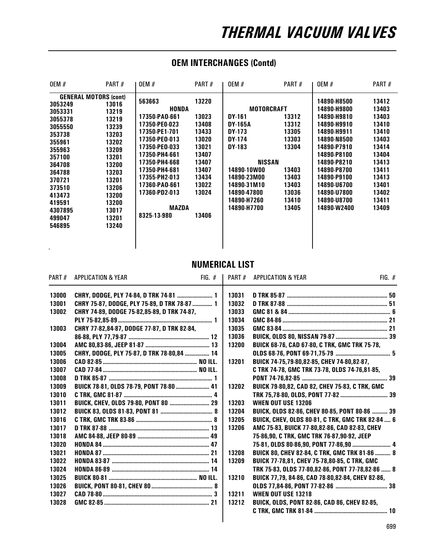### OEM INTERCHANGES (Contd)

| <b>OEM #</b>                                                                                                                                                                                                | PART#                                                                                                                                                 | <b>OEM #</b>                                                                                                                                                                                                                                     | PART#                                                                                                             | <b>OEM #</b>                                                                                                                                                                    | PART#                                                                                           | <b>OEM #</b>                                                                                                                                                                                                                  | PART#                                                                                                                               |
|-------------------------------------------------------------------------------------------------------------------------------------------------------------------------------------------------------------|-------------------------------------------------------------------------------------------------------------------------------------------------------|--------------------------------------------------------------------------------------------------------------------------------------------------------------------------------------------------------------------------------------------------|-------------------------------------------------------------------------------------------------------------------|---------------------------------------------------------------------------------------------------------------------------------------------------------------------------------|-------------------------------------------------------------------------------------------------|-------------------------------------------------------------------------------------------------------------------------------------------------------------------------------------------------------------------------------|-------------------------------------------------------------------------------------------------------------------------------------|
| <b>GENERAL MOTORS (cont)</b><br>3053249<br>3053331<br>3055378<br>3055550<br>353738<br>355961<br>355963<br>357100<br>364708<br>364788<br>370721<br>373510<br>413473<br>419591<br>4307895<br>499047<br>546895 | 13016<br>13219<br>13219<br>13239<br>13203<br>13202<br>13209<br>13201<br>13200<br>13203<br>13201<br>13206<br>13200<br>13200<br>13017<br>13201<br>13240 | 563663<br><b>HONDA</b><br>17350-PAO-661<br>17350-PE0-023<br>17350-PE1-701<br>17350-PEO-013<br>17350-PEO-033<br>17350-PH4-661<br>17350-PH4-668<br>17350-PH4-681<br>17355-PH2-013<br>17360-PAO-661<br>17360-PD2-013<br><b>MAZDA</b><br>8325-13-980 | 13220<br>13023<br>13408<br>13433<br>13020<br>13021<br>13407<br>13407<br>13407<br>13434<br>13022<br>13024<br>13406 | <b>MOTORCRAFT</b><br>DY-161<br><b>DY-165A</b><br>DY 173<br>DY-174<br>DY-183<br>NISSAN<br>14890-10W00<br>14890-23M00<br>14890-31M10<br>14890-47800<br>14890-H7260<br>14890-H7700 | 13312<br>13312<br>13305<br>13303<br>13304<br>13403<br>13403<br>13403<br>13036<br>13410<br>13405 | 14890-H8500<br>14890-H9800<br>14890-H9810<br>14890-H9910<br>14890-H9911<br>14890-N8500<br>14890-P7910<br>14890-P8100<br>14890-P8210<br>14890-P8700<br>14890-P9100<br>14890-U6700<br>14890-U7800<br>14890-U8700<br>14890-W2400 | 13412<br>13403<br>13403<br>13410<br>13410<br>13403<br>13414<br>13404<br>13413<br>13411<br>13413<br>13401<br>13402<br>13411<br>13409 |

#### NUMERICAL LIST

| PART# | <b>APPLICATION &amp; YEAR</b>                | $FIG. \#$ |       | PART # APPLICATION & YEAR                               | $FIG.$ # |
|-------|----------------------------------------------|-----------|-------|---------------------------------------------------------|----------|
| 13000 | CHRY, DODGE, PLY 74-84, D TRK 74-81  1       |           | 13031 |                                                         |          |
| 13001 | CHRY 75-87, DODGE, PLY 75-89, D TRK 78-87  1 |           | 13032 |                                                         |          |
| 13002 | CHRY 74-89, DODGE 75-82,85-89, D TRK 74-87,  |           | 13033 |                                                         |          |
|       |                                              |           | 13034 |                                                         |          |
| 13003 | CHRY 77-82,84-87, DODGE 77-87, D TRK 82-84,  |           | 13035 |                                                         |          |
|       |                                              |           | 13036 |                                                         |          |
| 13004 |                                              |           | 13200 | <b>BUICK 68-76, CAD 67-80, C TRK, GMC TRK 75-78,</b>    |          |
| 13005 | CHRY, DODGE, PLY 75-87, D TRK 78-80,84  14   |           |       |                                                         |          |
| 13006 |                                              |           | 13201 | BUICK 74-75,79-80,82-85, CHEV 74-80,82-87,              |          |
| 13007 |                                              |           |       | C TRK 74-78, GMC TRK 73-78, OLDS 74-76,81-85,           |          |
| 13008 |                                              |           |       |                                                         |          |
| 13009 | BUICK 78-81, OLDS 78-79, PONT 78-80  41      |           | 13202 | BUICK 79-80,82, CAD 82, CHEV 75-83, C TRK, GMC          |          |
| 13010 |                                              |           |       |                                                         |          |
| 13011 |                                              |           | 13203 | <b>WHEN OUT USE 13206</b>                               |          |
| 13012 |                                              |           | 13204 | BUICK, OLDS 82-86, CHEV 80-85, PONT 80-86  39           |          |
| 13016 |                                              |           | 13205 | <b>BUICK, CHEV, OLDS 80-81, C TRK, GMC TRK 82-84  6</b> |          |
| 13017 |                                              |           | 13206 | AMC 75-83, BUICK 77-80,82-86, CAD 82-83, CHEV           |          |
| 13018 |                                              |           |       | 75-86,90, C TRK, GMC TRK 76-87,90-92, JEEP              |          |
| 13020 |                                              |           |       |                                                         |          |
| 13021 |                                              |           | 13208 | BUICK 80, CHEV 82-84, C TRK, GMC TRK 81-86  8           |          |
| 13022 |                                              |           | 13209 | BUICK 77-78,81, CHEV 75-78,80-85, C TRK, GMC            |          |
| 13024 |                                              |           |       | TRK 75-83, OLDS 77-80,82-86, PONT 77-78,82-86  8        |          |
| 13025 |                                              |           | 13210 | BUICK 77,79, 84-86, CAD 78-80,82-84, CHEV 82-86,        |          |
| 13026 |                                              |           |       |                                                         |          |
| 13027 |                                              |           | 13211 | <b>WHEN OUT USE 13218</b>                               |          |
| 13028 |                                              |           | 13212 | BUICK, OLDS, PONT 82-86, CAD 86, CHEV 82-85,            |          |
|       |                                              |           |       |                                                         |          |
|       |                                              |           |       |                                                         |          |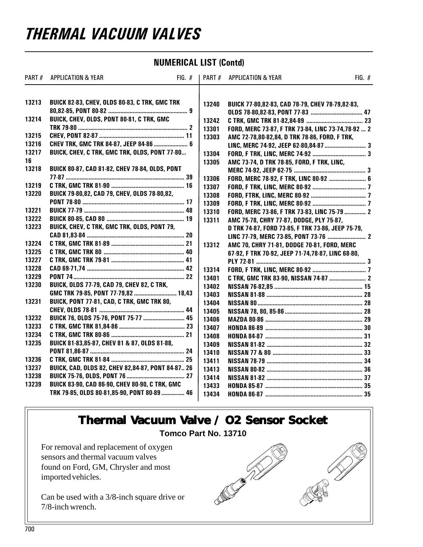#### NUMERICAL LIST (Contd)

| PART# | <b>APPLICATION &amp; YEAR</b>                         | $FIG. \#$ | <b>PART#</b> | <b>APPLICATION &amp; YEAR</b>                      | FIG. $#$ |
|-------|-------------------------------------------------------|-----------|--------------|----------------------------------------------------|----------|
| 13213 | <b>BUICK 82-83, CHEV, OLDS 80-83, C TRK, GMC TRK</b>  |           | 13240        | BUICK 77-80,82-83, CAD 78-79, CHEV 78-79,82-83,    |          |
| 13214 | BUICK, CHEV, OLDS, PONT 80-81, C TRK, GMC             |           | 13242        |                                                    |          |
|       |                                                       |           | 13301        | FORD, MERC 73-87, F TRK 73-84, LINC 73-74,78-92  2 |          |
| 13215 |                                                       |           | 13303        | AMC 72-78,80-82,84, D TRK 78-86, FORD, F TRK,      |          |
| 13216 | CHEV TRK, GMC TRK 84-87, JEEP 84-86  6                |           |              |                                                    |          |
| 13217 | BUICK, CHEV, C TRK, GMC TRK, OLDS, PONT 77-80         |           | 13304        |                                                    |          |
| 16    |                                                       |           | 13305        | AMC 73-74, D TRK 78-85, FORD, F TRK, LINC,         |          |
| 13218 | BUICK 80-87, CAD 81-82, CHEV 78-84, OLDS, PONT        |           |              |                                                    |          |
|       |                                                       |           | 13306        | FORD, MERC 78-92, F TRK, LINC 80-92  6             |          |
| 13219 |                                                       |           | 13307        |                                                    |          |
| 13220 | BUICK 79-80,82, CAD 79, CHEV, OLDS 78-80,82,          |           | 13308        |                                                    |          |
|       |                                                       |           | 13309        |                                                    |          |
| 13221 |                                                       |           | 13310        | FORD, MERC 73-86, F TRK 73-83, LINC 75-79  2       |          |
| 13222 |                                                       |           | 13311        | AMC 75-78, CHRY 77-87, DODGE, PLY 75-87,           |          |
| 13223 | BUICK, CHEV, C TRK, GMC TRK, OLDS, PONT 79,           |           |              | D TRK 74-87, FORD 73-85, F TRK 73-86, JEEP 75-79,  |          |
|       |                                                       |           |              |                                                    |          |
| 13224 |                                                       |           | 13312        | AMC 70, CHRY 71-81, DODGE 70-81, FORD, MERC        |          |
| 13225 |                                                       |           |              | 67-92, F TRK 70-92, JEEP 71-74,78-87, LINC 68-80,  |          |
| 13227 |                                                       |           |              |                                                    |          |
| 13228 |                                                       |           | 13314        |                                                    |          |
| 13229 |                                                       |           | 13401        |                                                    |          |
| 13230 | <b>BUICK, OLDS 77-79, CAD 79, CHEV 82, C TRK,</b>     |           | 13402        |                                                    |          |
|       | GMC TRK 79-85, PONT 77-79,82  18,43                   |           | 13403        |                                                    |          |
| 13231 | BUICK, PONT 77-81, CAD, C TRK, GMC TRK 80,            |           | 13404        |                                                    |          |
|       |                                                       |           | 13405        |                                                    |          |
| 13232 | BUICK 76, OLDS 75-76, PONT 75-77  45                  |           | 13406        |                                                    |          |
| 13233 |                                                       |           | 13407        |                                                    |          |
| 13234 |                                                       |           | 13408        |                                                    |          |
| 13235 | BUICK 81-83,85-87, CHEV 81 & 87, OLDS 81-88,          |           | 13409        |                                                    |          |
|       |                                                       |           | 13410        |                                                    |          |
| 13236 |                                                       |           | 13411        |                                                    |          |
| 13237 | BUICK, CAD, OLDS 82, CHEV 82,84-87, PONT 84-87 26     |           | 13413        |                                                    |          |
| 13238 |                                                       |           | 13414        |                                                    |          |
| 13239 | <b>BUICK 83-90, CAD 86-90, CHEV 80-90, C TRK, GMC</b> |           | 13433        |                                                    |          |
|       | TRK 79-85, OLDS 80-81,85-90, PONT 80-89  46           |           | 13434        |                                                    |          |

### **Thermal Vacuum Valve / O2 Sensor Socket alve / Sensor Socket**

#### **Tomco Part No. 13710**

For removal and replacement of oxygen sensors and thermal vacuum valves found on Ford, GM, Chrysler and most imported vehicles.

Can be used with a 3/8-inch square drive or 7/8-inch wrench.

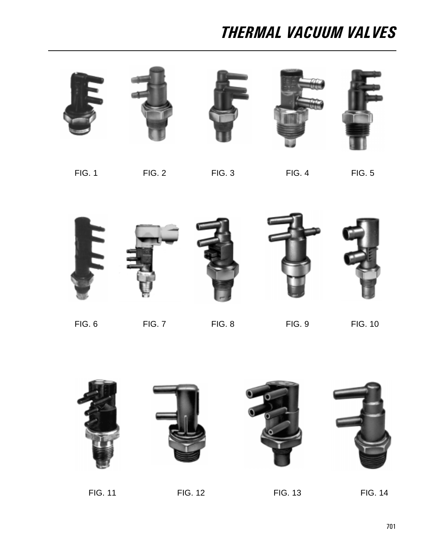









FIG. 1 FIG. 2 FIG. 3 FIG. 4 FIG. 5



FIG. 6 FIG. 7 FIG. 8 FIG. 9 FIG. 10



FIG. 11 FIG. 12 FIG. 13 FIG. 14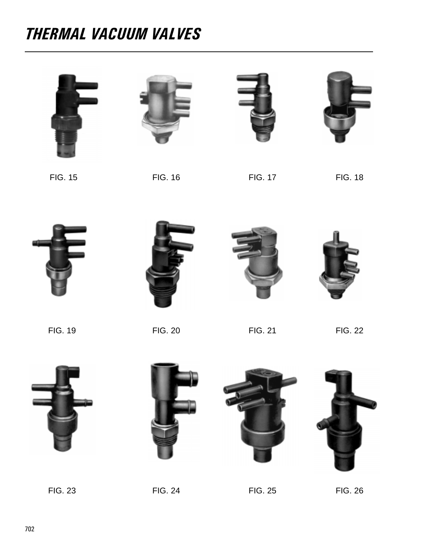





FIG. 15 FIG. 16 FIG. 17 FIG. 18



FIG. 19 FIG. 20 FIG. 21 FIG. 22









FIG. 23 FIG. 24 FIG. 25 FIG. 26



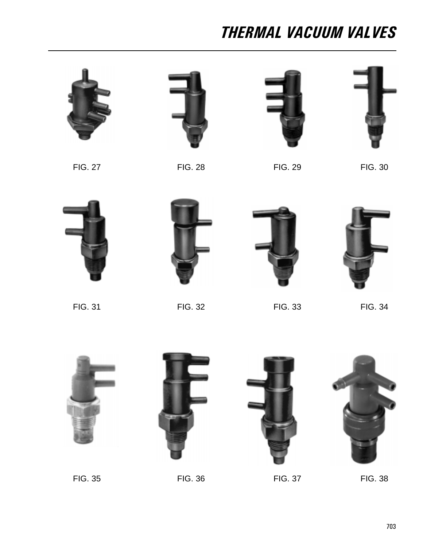







FIG. 27 FIG. 28 FIG. 29 FIG. 30









FIG. 31 FIG. 32 FIG. 33 FIG. 34







FIG. 35 FIG. 36 FIG. 37 FIG. 38

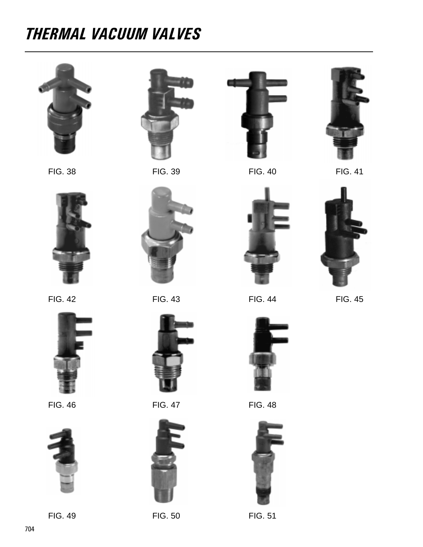







FIG. 49 FIG. 50 FIG. 51







FIG. 46 FIG. 47 FIG. 48







FIG. 42 **FIG. 43** FIG. 44 **FIG. 45** 







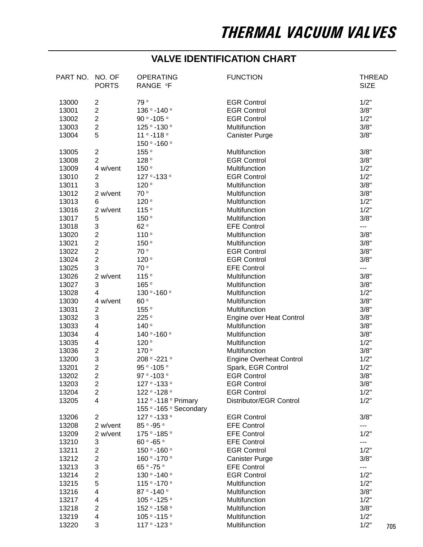### **VALVE IDENTIFICATION CHART**

| PART NO. NO. OF | <b>PORTS</b>            | <b>OPERATING</b><br>RANGE °F                   | <b>FUNCTION</b>                | <b>THREAD</b><br><b>SIZE</b> |
|-----------------|-------------------------|------------------------------------------------|--------------------------------|------------------------------|
| 13000           | 2                       | 79°                                            | <b>EGR Control</b>             | 1/2"                         |
| 13001           | $\overline{c}$          | 136 ° -140 °                                   | <b>EGR Control</b>             | 3/8"                         |
| 13002           | $\overline{c}$          | 90 ° -105 °                                    | <b>EGR Control</b>             | 1/2"                         |
| 13003           | $\overline{2}$          | 125 ° -130 °                                   | Multifunction                  | 3/8"                         |
| 13004           | 5                       | 11 ° -118 °                                    | <b>Canister Purge</b>          | 3/8"                         |
|                 |                         | 150 ° -160 °                                   |                                |                              |
| 13005           | $\overline{\mathbf{c}}$ | 155°                                           | Multifunction                  | 3/8"                         |
| 13008           | $\overline{2}$          | 128°                                           | <b>EGR Control</b>             | 3/8"                         |
| 13009           | 4 w/vent                | 150°                                           | Multifunction                  | 1/2"                         |
| 13010           | 2                       | 127 ° -133 °                                   | <b>EGR Control</b>             | 1/2"                         |
| 13011           | 3                       | 120°                                           | Multifunction                  | 3/8"                         |
| 13012           | 2 w/vent                | 70°                                            | Multifunction                  | 3/8"                         |
| 13013           | 6                       | 120°                                           | Multifunction                  | 1/2"                         |
| 13016           | 2 w/vent                | 115°                                           | Multifunction                  | 1/2"                         |
| 13017           | 5                       | 150°                                           | Multifunction                  | 3/8"                         |
| 13018           | 3                       | 62°                                            | <b>EFE Control</b>             | ---                          |
| 13020           | $\overline{c}$          | 110°                                           | Multifunction                  | 3/8"                         |
| 13021           | $\overline{2}$          | 150°                                           | Multifunction                  | 3/8"                         |
| 13022           | $\overline{c}$          | 70°                                            | <b>EGR Control</b>             | 3/8"                         |
| 13024           | $\overline{c}$          | 120°                                           | <b>EGR Control</b>             | 3/8"                         |
| 13025           | 3                       | 70°                                            | <b>EFE Control</b>             | ---                          |
| 13026           | 2 w/vent                | 115°                                           | Multifunction                  | 3/8"                         |
| 13027           | 3                       | 165°                                           | Multifunction                  | 3/8"                         |
| 13028           | 4                       | 130 ° - 160 °                                  | Multifunction                  | 1/2"                         |
| 13030           | 4 w/vent                | 60°                                            | Multifunction                  | 3/8"                         |
| 13031           | 2                       | 155°                                           | Multifunction                  | 3/8"                         |
| 13032           | 3                       | 225°                                           | Engine over Heat Control       | 3/8"                         |
| 13033           | $\overline{\mathbf{4}}$ | 140°                                           | Multifunction                  | 3/8"                         |
| 13034           | 4                       | 140 ° - 160 °                                  | Multifunction                  | 3/8"                         |
| 13035           | 4                       | 120°                                           | Multifunction                  | 1/2"                         |
| 13036           | $\overline{c}$          | 170°                                           | Multifunction                  | 3/8"                         |
| 13200           | 3                       | 208 ° -221 °                                   | <b>Engine Overheat Control</b> | 1/2"                         |
| 13201           | $\overline{2}$          | 95 ° -105 °                                    | Spark, EGR Control             | 1/2"                         |
| 13202           | $\overline{2}$          | 97 ° -103 °                                    | <b>EGR Control</b>             | 3/8"                         |
| 13203           | $\overline{c}$          | 127 ° -133 °                                   | <b>EGR Control</b>             | 3/8"                         |
| 13204           | $\overline{2}$          | 122 ° -128 °                                   | <b>EGR Control</b>             | 1/2"                         |
| 13205           | $\overline{\mathbf{4}}$ | 112 ° -118 ° Primary<br>155 ° -165 ° Secondary | Distributor/EGR Control        | 1/2"                         |
| 13206           | $\overline{2}$          | 127 ° -133 °                                   | <b>EGR Control</b>             | 3/8"                         |
| 13208           | 2 w/vent                | 85 ° -95 °                                     | <b>EFE Control</b>             | ---                          |
| 13209           | 2 w/vent                | 175 ° -185 °                                   | <b>EFE Control</b>             | 1/2"                         |
| 13210           | 3                       | 60 ° -65 °                                     | <b>EFE Control</b>             | ---                          |
| 13211           | $\overline{c}$          | 150 ° -160 °                                   | <b>EGR Control</b>             | 1/2"                         |
| 13212           | $\overline{2}$          | 160 ° -170 °                                   | <b>Canister Purge</b>          | 3/8"                         |
| 13213           | 3                       | 65 ° -75 °                                     | <b>EFE Control</b>             | ---                          |
| 13214           | $\overline{2}$          | 130 ° -140 °                                   | <b>EGR Control</b>             | 1/2"                         |
| 13215           | 5                       | 115 ° -170 °                                   | Multifunction                  | 1/2"                         |
| 13216           | 4                       | 87 ° -140 °                                    | Multifunction                  | 3/8"                         |
| 13217           | 4                       | 105 ° -125 °                                   | Multifunction                  | 1/2"                         |
| 13218           | $\overline{c}$          | 152 ° -158 °                                   | Multifunction                  | 3/8"                         |
| 13219           | 4                       | 105 ° -115 °                                   | Multifunction                  | 1/2"                         |
| 13220           | 3                       | 117 ° -123 °                                   | Multifunction                  | 1/2"                         |
|                 |                         |                                                |                                | 705                          |